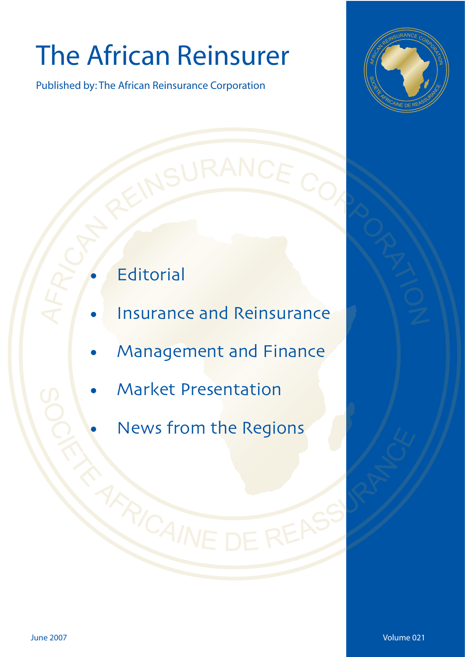# The African Reinsurer

Published by: The African Reinsurance Corporation



- **Editorial**
- Insurance and Reinsurance
- Management and Finance
- •Insurance and Reinsurance  $\mathcal{L}$  is a finance and  $\mathcal{L}$ • Market Presentation
- News from the Regions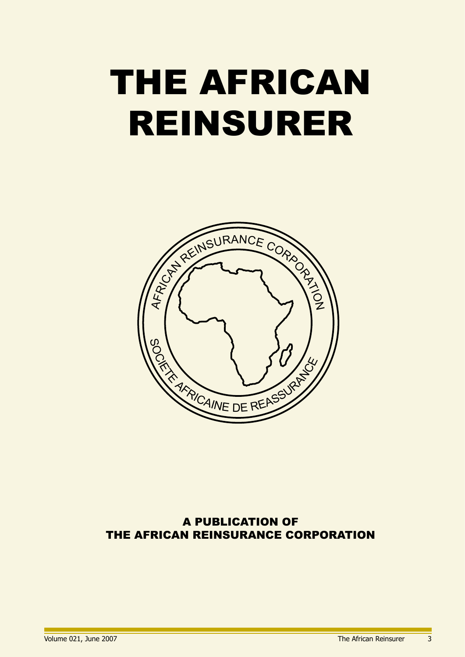# THE AFRICAN REINSURER



### A PUBLICATION OF THE AFRICAN REINSURANCE CORPORATION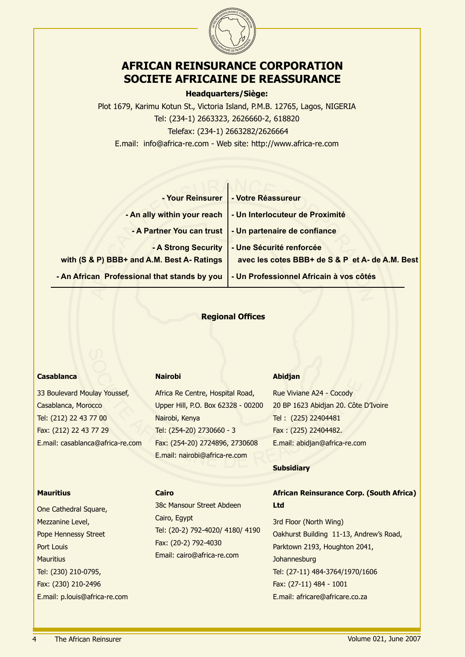

### **AFRICAN REINSURANCE CORPORATION SOCIETE AFRICAINE DE REASSURANCE**

### **Headquarters/Siège:**

Plot 1679, Karimu Kotun St., Victoria Island, P.M.B. 12765, Lagos, NIGERIA Tel: (234-1) 2663323, 2626660-2, 618820 Telefax: (234-1) 2663282/2626664 E.mail: info@africa-re.com - Web site: http://www.africa-re.com

| - Votre Réassureur                                                                                                                                                                                |
|---------------------------------------------------------------------------------------------------------------------------------------------------------------------------------------------------|
| - Un Interlocuteur de Proximité                                                                                                                                                                   |
| - Un partenaire de confiance                                                                                                                                                                      |
| - Une Sécurité renforcée<br>avec les cotes BBB+ de S & P et A- de A.M. Best                                                                                                                       |
| - Un Professionnel Africain à vos côtés                                                                                                                                                           |
|                                                                                                                                                                                                   |
| - Your Reinsurer<br>- An ally within your reach<br>- A Partner You can trust<br>- A Strong Security<br>with (S & P) BBB+ and A.M. Best A- Ratings<br>- An African Professional that stands by you |

### **Regional Offices**

### **Casablanca**

33 Boulevard Moulay Youssef, Casablanca, Morocco Tel: (212) 22 43 77 00 Fax: (212) 22 43 77 29 E.mail: casablanca@africa-re.com

### **Nairobi**

Mairobi<br>
Mairobi<br>
Mairobi<br>
Mairobi<br>
Mairobi<br>
Socience Centre, Hospital Road,<br>
Upper Hill, P.O. Box 62328 - 00200<br>
20 BP 1623 Abidjan 20. Côte<br>
77 00<br>
Nairobi, Kenya<br>
Tel: (254-20) 2730660 - 3<br>
Tel: (254-20) 2730660 - 3<br>
Fa Africa Re Centre, Hospital Road, Upper Hill, P.O. Box 62328 - 00200 Nairobi, Kenya Tel: (254-20) 2730660 - 3 Fax: (254-20) 2724896, 2730608 E.mail: nairobi@africa-re.com

### **Abidjan**

Rue Viviane A24 - Cocody 20 BP 1623 Abidjan 20. Côte D'Ivoire Tel : (225) 22404481 Fax : (225) 22404482. E.mail: abidjan@africa-re.com

### **Mauritius**

One Cathedral Square, Mezzanine Level, Pope Hennessy Street Port Louis Mauritius Tel: (230) 210-0795, Fax: (230) 210-2496 E.mail: p.louis@africa-re.com

### **Cairo**

38c Mansour Street Abdeen Cairo, Egypt Tel: (20-2) 792-4020/ 4180/ 4190 Fax: (20-2) 792-4030 Email: cairo@africa-re.com

### **Subsidiary**

### **African Reinsurance Corp. (South Africa) Ltd**

3rd Floor (North Wing) Oakhurst Building 11-13, Andrew's Road, Parktown 2193, Houghton 2041, Johannesburg Tel: (27-11) 484-3764/1970/1606 Fax: (27-11) 484 - 1001 E.mail: africare@africare.co.za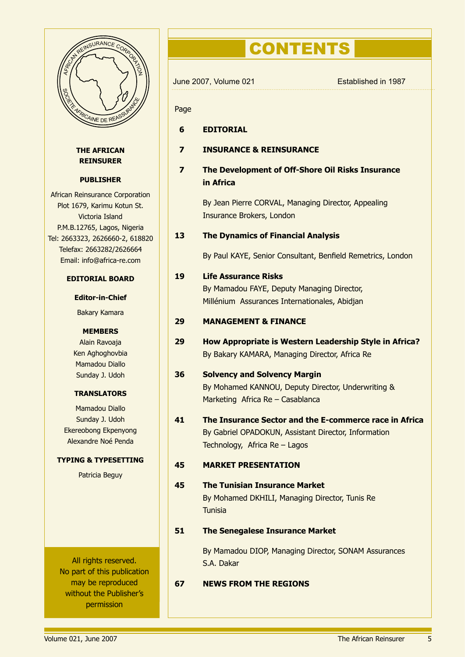

### **THE AFRICAN REINSURER**

### **PUBLISHER**

African Reinsurance Corporation Plot 1679, Karimu Kotun St. Victoria Island P.M.B.12765, Lagos, Nigeria Tel: 2663323, 2626660-2, 618820 Telefax: 2663282/2626664 Email: info@africa-re.com

### **EDITORIAL BOARD**

### **Editor-in-Chief**

Bakary Kamara

### **MEMBERS**

Alain Ravoaja Ken Aghoghovbia Mamadou Diallo Sunday J. Udoh

### **TRANSLATORS**

Mamadou Diallo Sunday J. Udoh Ekereobong Ekpenyong Alexandre Noé Penda

### **TYPING & TYPESETTING**

Patricia Beguy

All rights reserved. No part of this publication may be reproduced without the Publisher's permission

# **CONTENTS**

|                         | June 2007, Volume 021                                                                                                                           | Established in 1987 |
|-------------------------|-------------------------------------------------------------------------------------------------------------------------------------------------|---------------------|
| Page                    |                                                                                                                                                 |                     |
| 6                       | <b>EDITORIAL</b>                                                                                                                                |                     |
| 7                       | <b>INSURANCE &amp; REINSURANCE</b>                                                                                                              |                     |
| $\overline{\mathbf{z}}$ | The Development of Off-Shore Oil Risks Insurance<br>in Africa                                                                                   |                     |
|                         | By Jean Pierre CORVAL, Managing Director, Appealing<br>Insurance Brokers, London                                                                |                     |
| 13                      | <b>The Dynamics of Financial Analysis</b>                                                                                                       |                     |
|                         | By Paul KAYE, Senior Consultant, Benfield Remetrics, London                                                                                     |                     |
| 19                      | <b>Life Assurance Risks</b><br>By Mamadou FAYE, Deputy Managing Director,<br>Millénium Assurances Internationales, Abidjan                      |                     |
| 29                      | <b>MANAGEMENT &amp; FINANCE</b>                                                                                                                 |                     |
| 29                      | How Appropriate is Western Leadership Style in Africa?<br>By Bakary KAMARA, Managing Director, Africa Re                                        |                     |
| 36                      | <b>Solvency and Solvency Margin</b><br>By Mohamed KANNOU, Deputy Director, Underwriting &<br>Marketing Africa Re - Casablanca                   |                     |
| 41                      | The Insurance Sector and the E-commerce race in Africa<br>By Gabriel OPADOKUN, Assistant Director, Information<br>Technology, Africa Re - Lagos |                     |
| 45                      | <b>MARKET PRESENTATION</b>                                                                                                                      |                     |
| 45                      | <b>The Tunisian Insurance Market</b><br>By Mohamed DKHILI, Managing Director, Tunis Re<br><b>Tunisia</b>                                        |                     |
| 51                      | <b>The Senegalese Insurance Market</b>                                                                                                          |                     |
|                         | By Mamadou DIOP, Managing Director, SONAM Assurances<br>S.A. Dakar                                                                              |                     |
| 67                      | <b>NEWS FROM THE REGIONS</b>                                                                                                                    |                     |

5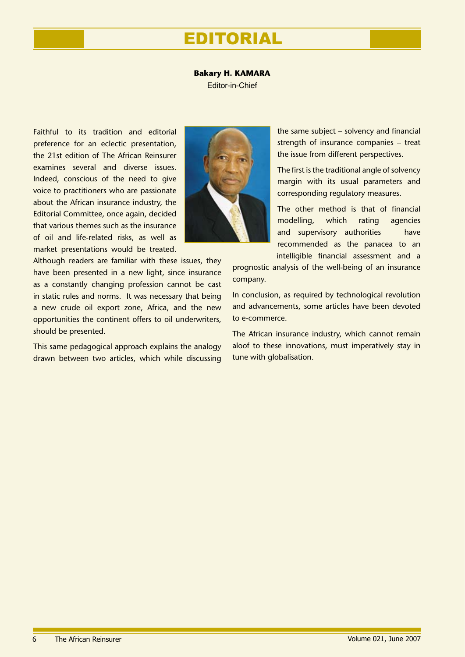# EDITORIAL

### **Bakary H. KAMARA**

Editor-in-Chief

Faithful to its tradition and editorial preference for an eclectic presentation, the 21st edition of The African Reinsurer examines several and diverse issues. Indeed, conscious of the need to give voice to practitioners who are passionate about the African insurance industry, the Editorial Committee, once again, decided that various themes such as the insurance of oil and life-related risks, as well as market presentations would be treated.

Although readers are familiar with these issues, they have been presented in a new light, since insurance as a constantly changing profession cannot be cast in static rules and norms. It was necessary that being a new crude oil export zone, Africa, and the new opportunities the continent offers to oil underwriters, should be presented.

This same pedagogical approach explains the analogy drawn between two articles, which while discussing



the same subject – solvency and financial strength of insurance companies – treat the issue from different perspectives.

The first is the traditional angle of solvency margin with its usual parameters and corresponding regulatory measures.

The other method is that of financial modelling, which rating agencies and supervisory authorities have recommended as the panacea to an intelligible financial assessment and a

prognostic analysis of the well-being of an insurance company.

In conclusion, as required by technological revolution and advancements, some articles have been devoted to e-commerce.

The African insurance industry, which cannot remain aloof to these innovations, must imperatively stay in tune with globalisation.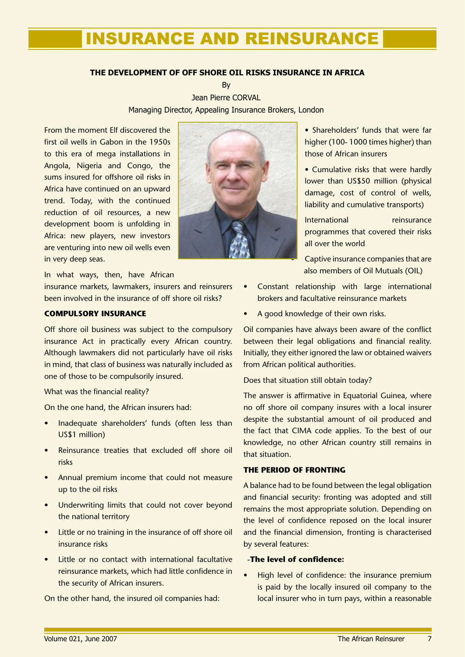### **THE DEVELOPMENT OF OFF SHORE OIL RISKS INSURANCE IN AFRICA**

By

Jean Pierre CORVAL Managing Director, Appealing Insurance Brokers, London

From the moment Elf discovered the first oil wells in Gabon in the 1950s to this era of mega installations in Angola, Nigeria and Congo, the sums insured for offshore oil risks in Africa have continued on an upward trend. Today, with the continued reduction of oil resources, a new development boom is unfolding in Africa: new players, new investors are venturing into new oil wells even in very deep seas.

In what ways, then, have African

insurance markets, lawmakers, insurers and reinsurers been involved in the insurance of off shore oil risks?

### **COMPULSORY INSURANCE**

Off shore oil business was subject to the compulsory insurance Act in practically every African country. Although lawmakers did not particularly have oil risks in mind, that class of business was naturally included as one of those to be compulsorily insured.

### What was the financial reality?

On the one hand, the African insurers had:

- Inadequate shareholders' funds (often less than US\$1 million) •
- Reinsurance treaties that excluded off shore oil risks
- Annual premium income that could not measure up to the oil risks
- Underwriting limits that could not cover beyond the national territory
- Little or no training in the insurance of off shore oil insurance risks •
- Little or no contact with international facultative reinsurance markets, which had little confidence in the security of African insurers. •

On the other hand, the insured oil companies had:



• Shareholders' funds that were far higher (100- 1000 times higher) than those of African insurers

• Cumulative risks that were hardly lower than US\$50 million (physical damage, cost of control of wells, liability and cumulative transports)

International reinsurance programmes that covered their risks all over the world

Captive insurance companies that are also members of Oil Mutuals (OIL)

- Constant relationship with large international brokers and facultative reinsurance markets •
- A good knowledge of their own risks. •

Oil companies have always been aware of the conflict between their legal obligations and financial reality. Initially, they either ignored the law or obtained waivers from African political authorities.

Does that situation still obtain today?

The answer is affirmative in Equatorial Guinea, where no off shore oil company insures with a local insurer despite the substantial amount of oil produced and the fact that CIMA code applies. To the best of our knowledge, no other African country still remains in that situation.

### **THE PERIOD OF FRONTING**

A balance had to be found between the legal obligation and financial security: fronting was adopted and still remains the most appropriate solution. Depending on the level of confidence reposed on the local insurer and the financial dimension, fronting is characterised by several features:

### **-The level of confidence:**

High level of confidence: the insurance premium is paid by the locally insured oil company to the local insurer who in turn pays, within a reasonable •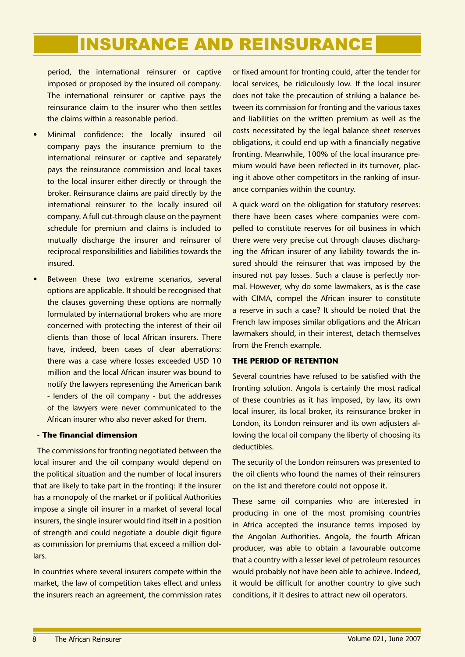period, the international reinsurer or captive imposed or proposed by the insured oil company. The international reinsurer or captive pays the reinsurance claim to the insurer who then settles the claims within a reasonable period.

- Minimal confidence: the locally insured oil company pays the insurance premium to the international reinsurer or captive and separately pays the reinsurance commission and local taxes to the local insurer either directly or through the broker. Reinsurance claims are paid directly by the international reinsurer to the locally insured oil company. A full cut-through clause on the payment schedule for premium and claims is included to mutually discharge the insurer and reinsurer of reciprocal responsibilities and liabilities towards the insured. •
- Between these two extreme scenarios, several options are applicable. It should be recognised that the clauses governing these options are normally formulated by international brokers who are more concerned with protecting the interest of their oil clients than those of local African insurers. There have, indeed, been cases of clear aberrations: there was a case where losses exceeded USD 10 million and the local African insurer was bound to notify the lawyers representing the American bank - lenders of the oil company - but the addresses of the lawyers were never communicated to the African insurer who also never asked for them. •

### **- The financial dimension**

The commissions for fronting negotiated between the local insurer and the oil company would depend on the political situation and the number of local insurers that are likely to take part in the fronting: if the insurer has a monopoly of the market or if political Authorities impose a single oil insurer in a market of several local insurers, the single insurer would find itself in a position of strength and could negotiate a double digit figure as commission for premiums that exceed a million dollars.

In countries where several insurers compete within the market, the law of competition takes effect and unless the insurers reach an agreement, the commission rates or fixed amount for fronting could, after the tender for local services, be ridiculously low. If the local insurer does not take the precaution of striking a balance between its commission for fronting and the various taxes and liabilities on the written premium as well as the costs necessitated by the legal balance sheet reserves obligations, it could end up with a financially negative fronting. Meanwhile, 100% of the local insurance premium would have been reflected in its turnover, placing it above other competitors in the ranking of insurance companies within the country.

A quick word on the obligation for statutory reserves: there have been cases where companies were compelled to constitute reserves for oil business in which there were very precise cut through clauses discharging the African insurer of any liability towards the insured should the reinsurer that was imposed by the insured not pay losses. Such a clause is perfectly normal. However, why do some lawmakers, as is the case with CIMA, compel the African insurer to constitute a reserve in such a case? It should be noted that the French law imposes similar obligations and the African lawmakers should, in their interest, detach themselves from the French example.

### **THE PERIOD OF RETENTION**

Several countries have refused to be satisfied with the fronting solution. Angola is certainly the most radical of these countries as it has imposed, by law, its own local insurer, its local broker, its reinsurance broker in London, its London reinsurer and its own adjusters allowing the local oil company the liberty of choosing its deductibles.

The security of the London reinsurers was presented to the oil clients who found the names of their reinsurers on the list and therefore could not oppose it.

These same oil companies who are interested in producing in one of the most promising countries in Africa accepted the insurance terms imposed by the Angolan Authorities. Angola, the fourth African producer, was able to obtain a favourable outcome that a country with a lesser level of petroleum resources would probably not have been able to achieve. Indeed, it would be difficult for another country to give such conditions, if it desires to attract new oil operators.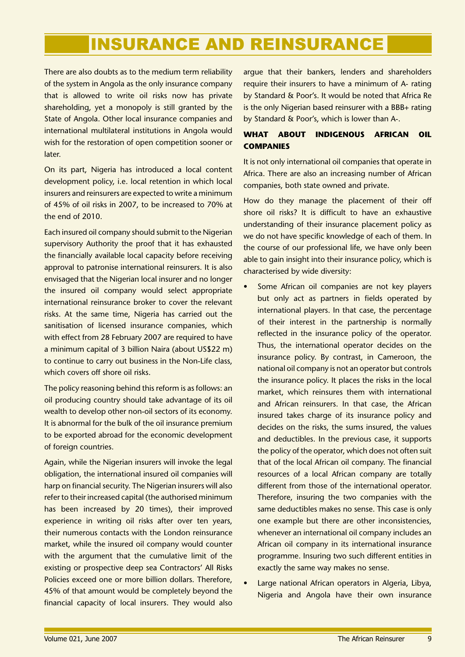There are also doubts as to the medium term reliability of the system in Angola as the only insurance company that is allowed to write oil risks now has private shareholding, yet a monopoly is still granted by the State of Angola. Other local insurance companies and international multilateral institutions in Angola would wish for the restoration of open competition sooner or later.

On its part, Nigeria has introduced a local content development policy, i.e. local retention in which local insurers and reinsurers are expected to write a minimum of 45% of oil risks in 2007, to be increased to 70% at the end of 2010.

Each insured oil company should submit to the Nigerian supervisory Authority the proof that it has exhausted the financially available local capacity before receiving approval to patronise international reinsurers. It is also envisaged that the Nigerian local insurer and no longer the insured oil company would select appropriate international reinsurance broker to cover the relevant risks. At the same time, Nigeria has carried out the sanitisation of licensed insurance companies, which with effect from 28 February 2007 are required to have a minimum capital of 3 billion Naira (about US\$22 m) to continue to carry out business in the Non-Life class, which covers off shore oil risks.

The policy reasoning behind this reform is as follows: an oil producing country should take advantage of its oil wealth to develop other non-oil sectors of its economy. It is abnormal for the bulk of the oil insurance premium to be exported abroad for the economic development of foreign countries.

Again, while the Nigerian insurers will invoke the legal obligation, the international insured oil companies will harp on financial security. The Nigerian insurers will also refer to their increased capital (the authorised minimum has been increased by 20 times), their improved experience in writing oil risks after over ten years, their numerous contacts with the London reinsurance market, while the insured oil company would counter with the argument that the cumulative limit of the existing or prospective deep sea Contractors' All Risks Policies exceed one or more billion dollars. Therefore, 45% of that amount would be completely beyond the financial capacity of local insurers. They would also

argue that their bankers, lenders and shareholders require their insurers to have a minimum of A- rating by Standard & Poor's. It would be noted that Africa Re is the only Nigerian based reinsurer with a BBB+ rating by Standard & Poor's, which is lower than A-.

### **WHAT ABOUT INDIGENOUS AFRICAN OIL COMPANIES**

It is not only international oil companies that operate in Africa. There are also an increasing number of African companies, both state owned and private.

How do they manage the placement of their off shore oil risks? It is difficult to have an exhaustive understanding of their insurance placement policy as we do not have specific knowledge of each of them. In the course of our professional life, we have only been able to gain insight into their insurance policy, which is characterised by wide diversity:

- Some African oil companies are not key players but only act as partners in fields operated by international players. In that case, the percentage of their interest in the partnership is normally reflected in the insurance policy of the operator. Thus, the international operator decides on the insurance policy. By contrast, in Cameroon, the national oil company is not an operator but controls the insurance policy. It places the risks in the local market, which reinsures them with international and African reinsurers. In that case, the African insured takes charge of its insurance policy and decides on the risks, the sums insured, the values and deductibles. In the previous case, it supports the policy of the operator, which does not often suit that of the local African oil company. The financial resources of a local African company are totally different from those of the international operator. Therefore, insuring the two companies with the same deductibles makes no sense. This case is only one example but there are other inconsistencies, whenever an international oil company includes an African oil company in its international insurance programme. Insuring two such different entities in exactly the same way makes no sense. •
- Large national African operators in Algeria, Libya, Nigeria and Angola have their own insurance •

 $\mathbf{q}$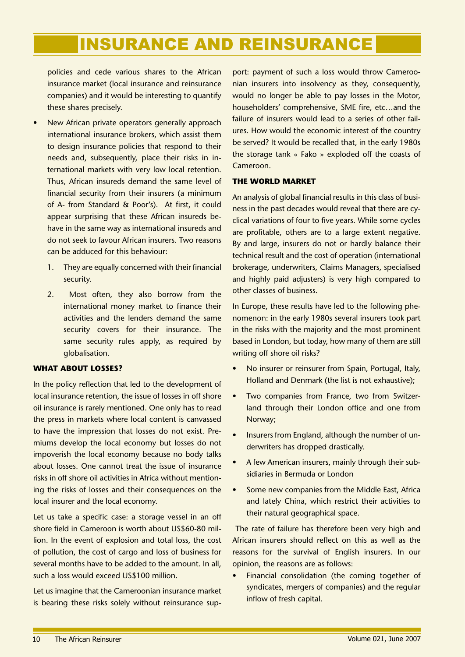policies and cede various shares to the African insurance market (local insurance and reinsurance companies) and it would be interesting to quantify these shares precisely.

- New African private operators generally approach international insurance brokers, which assist them to design insurance policies that respond to their needs and, subsequently, place their risks in international markets with very low local retention. Thus, African insureds demand the same level of financial security from their insurers (a minimum of A- from Standard & Poor's). At first, it could appear surprising that these African insureds behave in the same way as international insureds and do not seek to favour African insurers. Two reasons can be adduced for this behaviour: •
	- They are equally concerned with their financial security. 1.
	- Most often, they also borrow from the international money market to finance their activities and the lenders demand the same security covers for their insurance. The same security rules apply, as required by globalisation. 2.

### **WHAT ABOUT LOSSES?**

In the policy reflection that led to the development of local insurance retention, the issue of losses in off shore oil insurance is rarely mentioned. One only has to read the press in markets where local content is canvassed to have the impression that losses do not exist. Premiums develop the local economy but losses do not impoverish the local economy because no body talks about losses. One cannot treat the issue of insurance risks in off shore oil activities in Africa without mentioning the risks of losses and their consequences on the local insurer and the local economy.

Let us take a specific case: a storage vessel in an off shore field in Cameroon is worth about US\$60-80 million. In the event of explosion and total loss, the cost of pollution, the cost of cargo and loss of business for several months have to be added to the amount. In all, such a loss would exceed US\$100 million.

Let us imagine that the Cameroonian insurance market is bearing these risks solely without reinsurance sup-

port: payment of such a loss would throw Cameroonian insurers into insolvency as they, consequently, would no longer be able to pay losses in the Motor, householders' comprehensive, SME fire, etc…and the failure of insurers would lead to a series of other failures. How would the economic interest of the country be served? It would be recalled that, in the early 1980s the storage tank « Fako » exploded off the coasts of Cameroon.

### **THE WORLD MARKET**

An analysis of global financial results in this class of business in the past decades would reveal that there are cyclical variations of four to five years. While some cycles are profitable, others are to a large extent negative. By and large, insurers do not or hardly balance their technical result and the cost of operation (international brokerage, underwriters, Claims Managers, specialised and highly paid adjusters) is very high compared to other classes of business.

In Europe, these results have led to the following phenomenon: in the early 1980s several insurers took part in the risks with the majority and the most prominent based in London, but today, how many of them are still writing off shore oil risks?

- No insurer or reinsurer from Spain, Portugal, Italy, Holland and Denmark (the list is not exhaustive); •
- Two companies from France, two from Switzerland through their London office and one from Norway; •
- Insurers from England, although the number of underwriters has dropped drastically. •
- A few American insurers, mainly through their subsidiaries in Bermuda or London •
- Some new companies from the Middle East, Africa and lately China, which restrict their activities to their natural geographical space. •

 The rate of failure has therefore been very high and African insurers should reflect on this as well as the reasons for the survival of English insurers. In our opinion, the reasons are as follows:

Financial consolidation (the coming together of syndicates, mergers of companies) and the regular inflow of fresh capital. •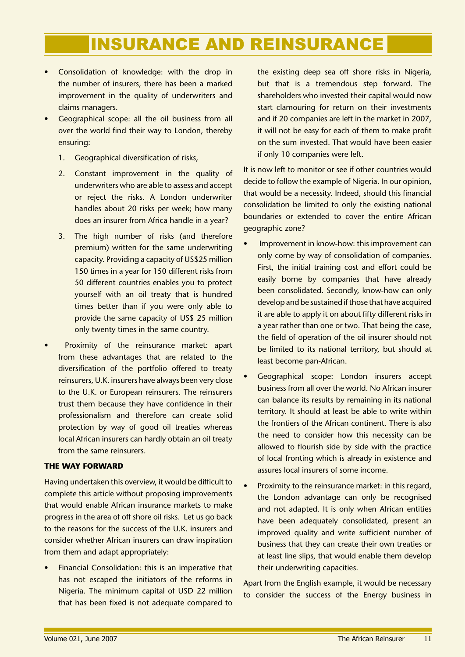- Consolidation of knowledge: with the drop in the number of insurers, there has been a marked improvement in the quality of underwriters and claims managers.
- Geographical scope: all the oil business from all over the world find their way to London, thereby ensuring:
	- 1. Geographical diversification of risks,
	- Constant improvement in the quality of underwriters who are able to assess and accept or reject the risks. A London underwriter handles about 20 risks per week; how many does an insurer from Africa handle in a year? 2.
	- 3. The high number of risks (and therefore premium) written for the same underwriting capacity. Providing a capacity of US\$25 million 150 times in a year for 150 different risks from 50 different countries enables you to protect yourself with an oil treaty that is hundred times better than if you were only able to provide the same capacity of US\$ 25 million only twenty times in the same country.
- Proximity of the reinsurance market: apart from these advantages that are related to the diversification of the portfolio offered to treaty reinsurers, U.K. insurers have always been very close to the U.K. or European reinsurers. The reinsurers trust them because they have confidence in their professionalism and therefore can create solid protection by way of good oil treaties whereas local African insurers can hardly obtain an oil treaty from the same reinsurers. •

### **THE WAY FORWARD**

Having undertaken this overview, it would be difficult to complete this article without proposing improvements that would enable African insurance markets to make progress in the area of off shore oil risks. Let us go back to the reasons for the success of the U.K. insurers and consider whether African insurers can draw inspiration from them and adapt appropriately:

Financial Consolidation: this is an imperative that has not escaped the initiators of the reforms in Nigeria. The minimum capital of USD 22 million that has been fixed is not adequate compared to •

the existing deep sea off shore risks in Nigeria, but that is a tremendous step forward. The shareholders who invested their capital would now start clamouring for return on their investments and if 20 companies are left in the market in 2007, it will not be easy for each of them to make profit on the sum invested. That would have been easier if only 10 companies were left.

It is now left to monitor or see if other countries would decide to follow the example of Nigeria. In our opinion, that would be a necessity. Indeed, should this financial consolidation be limited to only the existing national boundaries or extended to cover the entire African geographic zone?

- Improvement in know-how: this improvement can only come by way of consolidation of companies. First, the initial training cost and effort could be easily borne by companies that have already been consolidated. Secondly, know-how can only develop and be sustained if those that have acquired it are able to apply it on about fifty different risks in a year rather than one or two. That being the case, the field of operation of the oil insurer should not be limited to its national territory, but should at least become pan-African. •
- Geographical scope: London insurers accept business from all over the world. No African insurer can balance its results by remaining in its national territory. It should at least be able to write within the frontiers of the African continent. There is also the need to consider how this necessity can be allowed to flourish side by side with the practice of local fronting which is already in existence and assures local insurers of some income. •
- Proximity to the reinsurance market: in this regard, the London advantage can only be recognised and not adapted. It is only when African entities have been adequately consolidated, present an improved quality and write sufficient number of business that they can create their own treaties or at least line slips, that would enable them develop their underwriting capacities. •

Apart from the English example, it would be necessary to consider the success of the Energy business in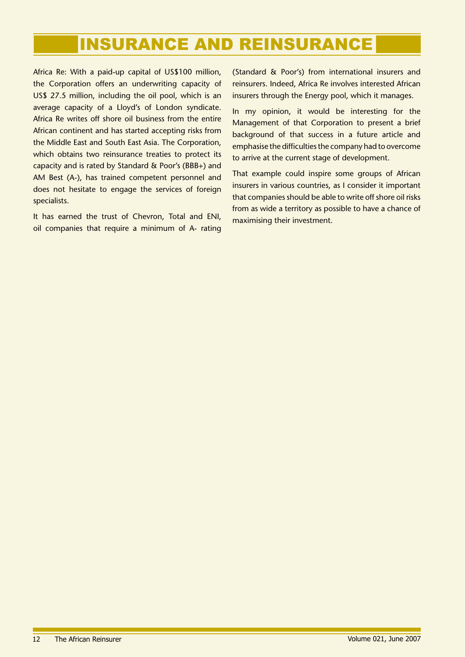Africa Re: With a paid-up capital of US\$100 million, the Corporation offers an underwriting capacity of US\$ 27.5 million, including the oil pool, which is an average capacity of a Lloyd's of London syndicate. Africa Re writes off shore oil business from the entire African continent and has started accepting risks from the Middle East and South East Asia. The Corporation, which obtains two reinsurance treaties to protect its capacity and is rated by Standard & Poor's (BBB+) and AM Best (A-), has trained competent personnel and does not hesitate to engage the services of foreign specialists.

It has earned the trust of Chevron, Total and ENI, oil companies that require a minimum of A- rating (Standard & Poor's) from international insurers and reinsurers. Indeed, Africa Re involves interested African insurers through the Energy pool, which it manages.

In my opinion, it would be interesting for the Management of that Corporation to present a brief background of that success in a future article and emphasise the difficulties the company had to overcome to arrive at the current stage of development.

That example could inspire some groups of African insurers in various countries, as I consider it important that companies should be able to write off shore oil risks from as wide a territory as possible to have a chance of maximising their investment.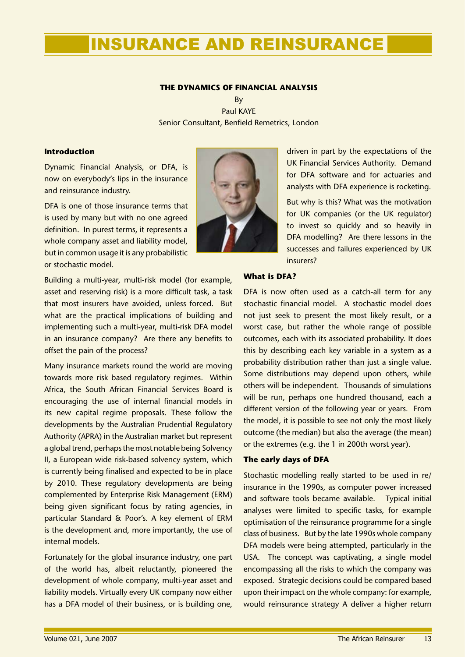### **THE DYNAMICS OF FINANCIAL ANALYSIS**

By Paul KAYE Senior Consultant, Benfield Remetrics, London

### **Introduction**

Dynamic Financial Analysis, or DFA, is now on everybody's lips in the insurance and reinsurance industry.

DFA is one of those insurance terms that is used by many but with no one agreed definition. In purest terms, it represents a whole company asset and liability model, but in common usage it is any probabilistic or stochastic model.

Building a multi-year, multi-risk model (for example, asset and reserving risk) is a more difficult task, a task that most insurers have avoided, unless forced. But what are the practical implications of building and implementing such a multi-year, multi-risk DFA model in an insurance company? Are there any benefits to offset the pain of the process?

Many insurance markets round the world are moving towards more risk based regulatory regimes. Within Africa, the South African Financial Services Board is encouraging the use of internal financial models in its new capital regime proposals. These follow the developments by the Australian Prudential Regulatory Authority (APRA) in the Australian market but represent a global trend, perhaps the most notable being Solvency II, a European wide risk-based solvency system, which is currently being finalised and expected to be in place by 2010. These regulatory developments are being complemented by Enterprise Risk Management (ERM) being given significant focus by rating agencies, in particular Standard & Poor's. A key element of ERM is the development and, more importantly, the use of internal models.

Fortunately for the global insurance industry, one part of the world has, albeit reluctantly, pioneered the development of whole company, multi-year asset and liability models. Virtually every UK company now either has a DFA model of their business, or is building one,



driven in part by the expectations of the UK Financial Services Authority. Demand for DFA software and for actuaries and analysts with DFA experience is rocketing.

But why is this? What was the motivation for UK companies (or the UK regulator) to invest so quickly and so heavily in DFA modelling? Are there lessons in the successes and failures experienced by UK insurers?

### **What is DFA?**

DFA is now often used as a catch-all term for any stochastic financial model. A stochastic model does not just seek to present the most likely result, or a worst case, but rather the whole range of possible outcomes, each with its associated probability. It does this by describing each key variable in a system as a probability distribution rather than just a single value. Some distributions may depend upon others, while others will be independent. Thousands of simulations will be run, perhaps one hundred thousand, each a different version of the following year or years. From the model, it is possible to see not only the most likely outcome (the median) but also the average (the mean) or the extremes (e.g. the 1 in 200th worst year).

### **The early days of DFA**

Stochastic modelling really started to be used in re/ insurance in the 1990s, as computer power increased and software tools became available. Typical initial analyses were limited to specific tasks, for example optimisation of the reinsurance programme for a single class of business. But by the late 1990s whole company DFA models were being attempted, particularly in the USA. The concept was captivating, a single model encompassing all the risks to which the company was exposed. Strategic decisions could be compared based upon their impact on the whole company: for example, would reinsurance strategy A deliver a higher return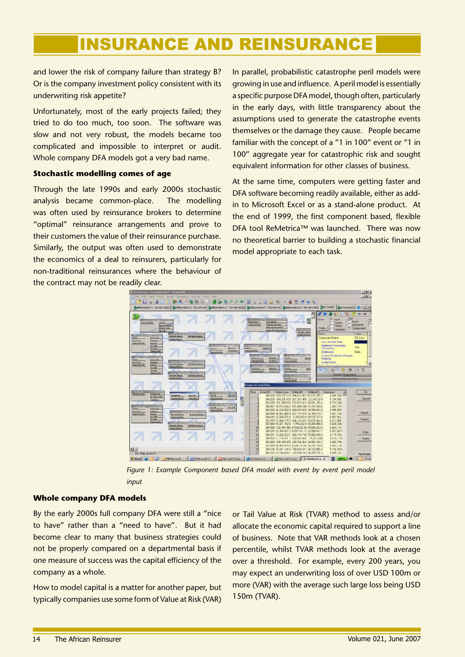and lower the risk of company failure than strategy B? Or is the company investment policy consistent with its underwriting risk appetite?

Unfortunately, most of the early projects failed; they tried to do too much, too soon. The software was slow and not very robust, the models became too complicated and impossible to interpret or audit. Whole company DFA models got a very bad name.

### **Stochastic modelling comes of age**

Through the late 1990s and early 2000s stochastic analysis became common-place. The modelling was often used by reinsurance brokers to determine "optimal" reinsurance arrangements and prove to their customers the value of their reinsurance purchase. Similarly, the output was often used to demonstrate the economics of a deal to reinsurers, particularly for non-traditional reinsurances where the behaviour of the contract may not be readily clear.

In parallel, probabilistic catastrophe peril models were growing in use and influence. A peril model is essentially a specific purpose DFA model, though often, particularly in the early days, with little transparency about the assumptions used to generate the catastrophe events themselves or the damage they cause. People became familiar with the concept of a "1 in 100" event or "1 in 100" aggregate year for catastrophic risk and sought equivalent information for other classes of business.

At the same time, computers were getting faster and DFA software becoming readily available, either as addin to Microsoft Excel or as a stand-alone product. At the end of 1999, the first component based, flexible DFA tool ReMetrica™ was launched. There was now no theoretical barrier to building a stochastic financial model appropriate to each task.



Figure 1: Example Component based DFA model with event by event peril model *input*

### **Whole company DFA models**

By the early 2000s full company DFA were still a "nice to have" rather than a "need to have". But it had become clear to many that business strategies could not be properly compared on a departmental basis if one measure of success was the capital efficiency of the company as a whole.

How to model capital is a matter for another paper, but typically companies use some form of Value at Risk (VAR)

or Tail Value at Risk (TVAR) method to assess and/or allocate the economic capital required to support a line of business. Note that VAR methods look at a chosen percentile, whilst TVAR methods look at the average over a threshold. For example, every 200 years, you may expect an underwriting loss of over USD 100m or more (VAR) with the average such large loss being USD 150m (TVAR).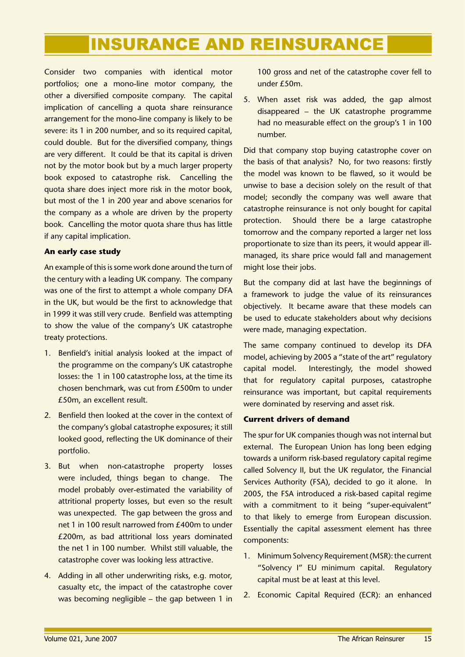Consider two companies with identical motor portfolios; one a mono-line motor company, the other a diversified composite company. The capital implication of cancelling a quota share reinsurance arrangement for the mono-line company is likely to be severe: its 1 in 200 number, and so its required capital, could double. But for the diversified company, things are very different. It could be that its capital is driven not by the motor book but by a much larger property book exposed to catastrophe risk. Cancelling the quota share does inject more risk in the motor book, but most of the 1 in 200 year and above scenarios for the company as a whole are driven by the property book. Cancelling the motor quota share thus has little if any capital implication.

### **An early case study**

An example of this is some work done around the turn of the century with a leading UK company. The company was one of the first to attempt a whole company DFA in the UK, but would be the first to acknowledge that in 1999 it was still very crude. Benfield was attempting to show the value of the company's UK catastrophe treaty protections.

- 1. Benfield's initial analysis looked at the impact of the programme on the company's UK catastrophe losses: the 1 in 100 catastrophe loss, at the time its chosen benchmark, was cut from £500m to under £50m, an excellent result.
- 2. Benfield then looked at the cover in the context of the company's global catastrophe exposures; it still looked good, reflecting the UK dominance of their portfolio.
- 3. But when non-catastrophe property losses were included, things began to change. The model probably over-estimated the variability of attritional property losses, but even so the result was unexpected. The gap between the gross and net 1 in 100 result narrowed from £400m to under £200m, as bad attritional loss years dominated the net 1 in 100 number. Whilst still valuable, the catastrophe cover was looking less attractive.
- 4. Adding in all other underwriting risks, e.g. motor, casualty etc, the impact of the catastrophe cover was becoming negligible – the gap between 1 in

100 gross and net of the catastrophe cover fell to under £50m.

When asset risk was added, the gap almost 5. disappeared – the UK catastrophe programme had no measurable effect on the group's 1 in 100 number.

Did that company stop buying catastrophe cover on the basis of that analysis? No, for two reasons: firstly the model was known to be flawed, so it would be unwise to base a decision solely on the result of that model; secondly the company was well aware that catastrophe reinsurance is not only bought for capital protection. Should there be a large catastrophe tomorrow and the company reported a larger net loss proportionate to size than its peers, it would appear illmanaged, its share price would fall and management might lose their jobs.

But the company did at last have the beginnings of a framework to judge the value of its reinsurances objectively. It became aware that these models can be used to educate stakeholders about why decisions were made, managing expectation.

The same company continued to develop its DFA model, achieving by 2005 a "state of the art" regulatory capital model. Interestingly, the model showed that for regulatory capital purposes, catastrophe reinsurance was important, but capital requirements were dominated by reserving and asset risk.

### **Current drivers of demand**

The spur for UK companies though was not internal but external. The European Union has long been edging towards a uniform risk-based regulatory capital regime called Solvency II, but the UK regulator, the Financial Services Authority (FSA), decided to go it alone. In 2005, the FSA introduced a risk-based capital regime with a commitment to it being "super-equivalent" to that likely to emerge from European discussion. Essentially the capital assessment element has three components:

- 1. Minimum Solvency Requirement (MSR): the current "Solvency I" EU minimum capital. Regulatory capital must be at least at this level.
- 2. Economic Capital Required (ECR): an enhanced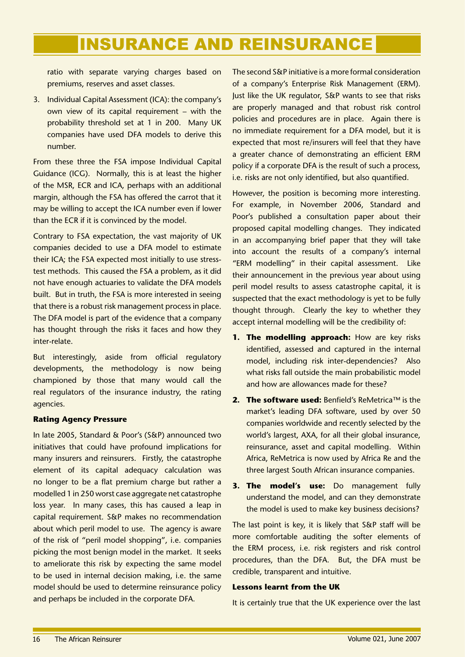ratio with separate varying charges based on premiums, reserves and asset classes.

3. Individual Capital Assessment (ICA): the company's own view of its capital requirement – with the probability threshold set at 1 in 200. Many UK companies have used DFA models to derive this number.

From these three the FSA impose Individual Capital Guidance (ICG). Normally, this is at least the higher of the MSR, ECR and ICA, perhaps with an additional margin, although the FSA has offered the carrot that it may be willing to accept the ICA number even if lower than the ECR if it is convinced by the model.

Contrary to FSA expectation, the vast majority of UK companies decided to use a DFA model to estimate their ICA; the FSA expected most initially to use stresstest methods. This caused the FSA a problem, as it did not have enough actuaries to validate the DFA models built. But in truth, the FSA is more interested in seeing that there is a robust risk management process in place. The DFA model is part of the evidence that a company has thought through the risks it faces and how they inter-relate.

But interestingly, aside from official regulatory developments, the methodology is now being championed by those that many would call the real regulators of the insurance industry, the rating agencies.

### **Rating Agency Pressure**

In late 2005, Standard & Poor's (S&P) announced two initiatives that could have profound implications for many insurers and reinsurers. Firstly, the catastrophe element of its capital adequacy calculation was no longer to be a flat premium charge but rather a modelled 1 in 250 worst case aggregate net catastrophe loss year. In many cases, this has caused a leap in capital requirement. S&P makes no recommendation about which peril model to use. The agency is aware of the risk of "peril model shopping", i.e. companies picking the most benign model in the market. It seeks to ameliorate this risk by expecting the same model to be used in internal decision making, i.e. the same model should be used to determine reinsurance policy and perhaps be included in the corporate DFA.

The second S&P initiative is a more formal consideration of a company's Enterprise Risk Management (ERM). Just like the UK regulator, S&P wants to see that risks are properly managed and that robust risk control policies and procedures are in place. Again there is no immediate requirement for a DFA model, but it is expected that most re/insurers will feel that they have a greater chance of demonstrating an efficient ERM policy if a corporate DFA is the result of such a process, i.e. risks are not only identified, but also quantified.

However, the position is becoming more interesting. For example, in November 2006, Standard and Poor's published a consultation paper about their proposed capital modelling changes. They indicated in an accompanying brief paper that they will take into account the results of a company's internal "ERM modelling" in their capital assessment. Like their announcement in the previous year about using peril model results to assess catastrophe capital, it is suspected that the exact methodology is yet to be fully thought through. Clearly the key to whether they accept internal modelling will be the credibility of:

- **1. The modelling approach:** How are key risks identified, assessed and captured in the internal model, including risk inter-dependencies? Also what risks fall outside the main probabilistic model and how are allowances made for these?
- **The software used:** Benfield's ReMetrica™ is the **2.** market's leading DFA software, used by over 50 companies worldwide and recently selected by the world's largest, AXA, for all their global insurance, reinsurance, asset and capital modelling. Within Africa, ReMetrica is now used by Africa Re and the three largest South African insurance companies.
- **The model's use:** Do management fully **3.** understand the model, and can they demonstrate the model is used to make key business decisions?

The last point is key, it is likely that S&P staff will be more comfortable auditing the softer elements of the ERM process, i.e. risk registers and risk control procedures, than the DFA. But, the DFA must be credible, transparent and intuitive.

### **Lessons learnt from the UK**

It is certainly true that the UK experience over the last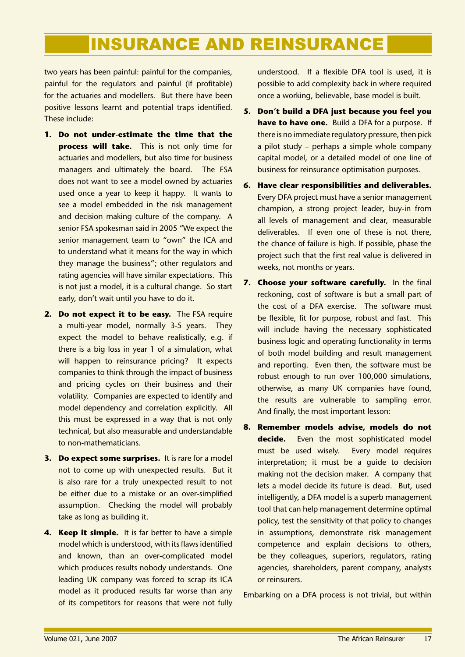two years has been painful: painful for the companies, painful for the regulators and painful (if profitable) for the actuaries and modellers. But there have been positive lessons learnt and potential traps identified. These include:

- **Do not under-estimate the time that the 1. process will take.** This is not only time for actuaries and modellers, but also time for business managers and ultimately the board. The FSA does not want to see a model owned by actuaries used once a year to keep it happy. It wants to see a model embedded in the risk management and decision making culture of the company. A senior FSA spokesman said in 2005 "We expect the senior management team to "own" the ICA and to understand what it means for the way in which they manage the business"; other regulators and rating agencies will have similar expectations. This is not just a model, it is a cultural change. So start early, don't wait until you have to do it.
- 2. Do not expect it to be easy. The FSA require a multi-year model, normally 3-5 years. They expect the model to behave realistically, e.g. if there is a big loss in year 1 of a simulation, what will happen to reinsurance pricing? It expects companies to think through the impact of business and pricing cycles on their business and their volatility. Companies are expected to identify and model dependency and correlation explicitly. All this must be expressed in a way that is not only technical, but also measurable and understandable to non-mathematicians.
- **Do expect some surprises.** It is rare for a model **3.** not to come up with unexpected results. But it is also rare for a truly unexpected result to not be either due to a mistake or an over-simplified assumption. Checking the model will probably take as long as building it.
- **4. Keep it simple.** It is far better to have a simple model which is understood, with its flaws identified and known, than an over-complicated model which produces results nobody understands. One leading UK company was forced to scrap its ICA model as it produced results far worse than any of its competitors for reasons that were not fully

understood. If a flexible DFA tool is used, it is possible to add complexity back in where required once a working, believable, base model is built.

- **Don't build a DFA just because you feel you 5. have to have one.** Build a DFA for a purpose. If there is no immediate regulatory pressure, then pick a pilot study – perhaps a simple whole company capital model, or a detailed model of one line of business for reinsurance optimisation purposes.
- **Have clear responsibilities and deliverables. 6.** Every DFA project must have a senior management champion, a strong project leader, buy-in from all levels of management and clear, measurable deliverables. If even one of these is not there, the chance of failure is high. If possible, phase the project such that the first real value is delivered in weeks, not months or years.
- **7. Choose your software carefully.** In the final reckoning, cost of software is but a small part of the cost of a DFA exercise. The software must be flexible, fit for purpose, robust and fast. This will include having the necessary sophisticated business logic and operating functionality in terms of both model building and result management and reporting. Even then, the software must be robust enough to run over 100,000 simulations, otherwise, as many UK companies have found, the results are vulnerable to sampling error. And finally, the most important lesson:
- **Remember models advise, models do not decide.** Even the most sophisticated model must be used wisely. Every model requires interpretation; it must be a guide to decision making not the decision maker. A company that lets a model decide its future is dead. But, used intelligently, a DFA model is a superb management tool that can help management determine optimal policy, test the sensitivity of that policy to changes in assumptions, demonstrate risk management competence and explain decisions to others, be they colleagues, superiors, regulators, rating agencies, shareholders, parent company, analysts or reinsurers. **8.**

Embarking on a DFA process is not trivial, but within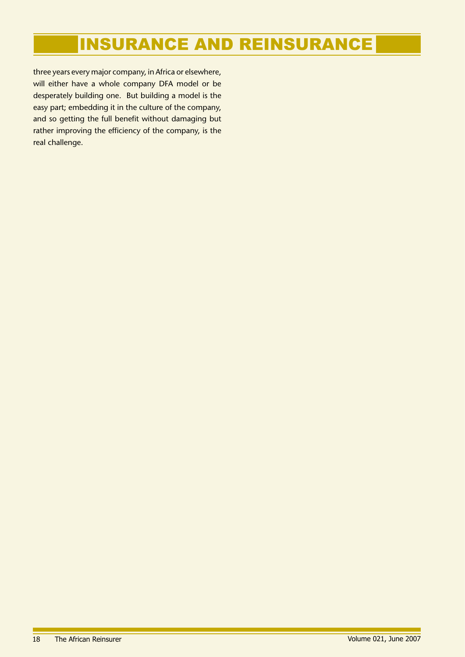three years every major company, in Africa or elsewhere, will either have a whole company DFA model or be desperately building one. But building a model is the easy part; embedding it in the culture of the company, and so getting the full benefit without damaging but rather improving the efficiency of the company, is the real challenge.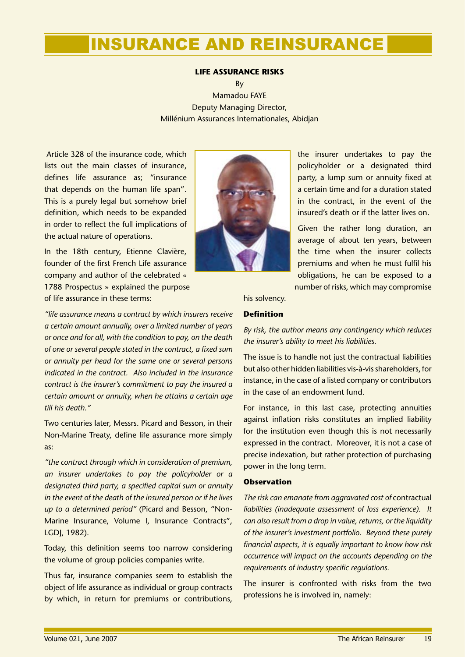### **LIFE ASSURANCE RISKS**

By Mamadou FAYE Deputy Managing Director, Millénium Assurances Internationales, Abidjan

 Article 328 of the insurance code, which lists out the main classes of insurance, defines life assurance as; "insurance that depends on the human life span". This is a purely legal but somehow brief definition, which needs to be expanded in order to reflect the full implications of the actual nature of operations.

In the 18th century, Etienne Clavière, founder of the first French Life assurance company and author of the celebrated « 1788 Prospectus » explained the purpose of life assurance in these terms:

*"life assurance means a contract by which insurers receive a certain amount annually, over a limited number of years or once and for all, with the condition to pay, on the death of one or several people stated in the contract, a fixed sum or annuity per head for the same one or several persons indicated in the contract. Also included in the insurance contract is the insurer's commitment to pay the insured a certain amount or annuity, when he attains a certain age till his death."*

Two centuries later, Messrs. Picard and Besson, in their Non-Marine Treaty, define life assurance more simply as:

*"the contract through which in consideration of premium, an insurer undertakes to pay the policyholder or a designated third party, a specified capital sum or annuity in the event of the death of the insured person or if he lives up to a determined period"* (Picard and Besson, "Non-Marine Insurance, Volume I, Insurance Contracts", LGDJ, 1982).

Today, this definition seems too narrow considering the volume of group policies companies write.

Thus far, insurance companies seem to establish the object of life assurance as individual or group contracts by which, in return for premiums or contributions,



the insurer undertakes to pay the policyholder or a designated third party, a lump sum or annuity fixed at a certain time and for a duration stated in the contract, in the event of the insured's death or if the latter lives on.

Given the rather long duration, an average of about ten years, between the time when the insurer collects premiums and when he must fulfil his obligations, he can be exposed to a number of risks, which may compromise

his solvency.

### **Definition**

*By risk, the author means any contingency which reduces the insurer's ability to meet his liabilities.*

The issue is to handle not just the contractual liabilities but also other hidden liabilities vis-à-vis shareholders, for instance, in the case of a listed company or contributors in the case of an endowment fund.

For instance, in this last case, protecting annuities against inflation risks constitutes an implied liability for the institution even though this is not necessarily expressed in the contract. Moreover, it is not a case of precise indexation, but rather protection of purchasing power in the long term.

### **Observation**

*The risk can emanate from aggravated cost of* contractual *liabilities (inadequate assessment of loss experience). It can also result from a drop in value, returns, or the liquidity of the insurer's investment portfolio. Beyond these purely financial aspects, it is equally important to know how risk occurrence will impact on the accounts depending on the requirements of industry specific regulations.*

The insurer is confronted with risks from the two professions he is involved in, namely: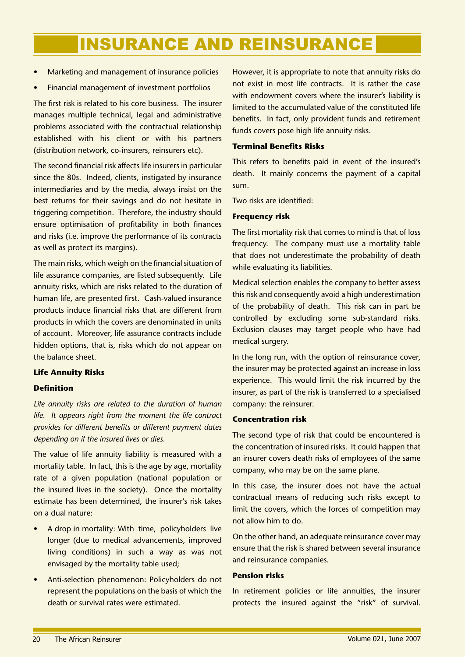- Marketing and management of insurance policies •
- Financial management of investment portfolios •

The first risk is related to his core business. The insurer manages multiple technical, legal and administrative problems associated with the contractual relationship established with his client or with his partners (distribution network, co-insurers, reinsurers etc).

The second financial risk affects life insurers in particular since the 80s. Indeed, clients, instigated by insurance intermediaries and by the media, always insist on the best returns for their savings and do not hesitate in triggering competition. Therefore, the industry should ensure optimisation of profitability in both finances and risks (i.e. improve the performance of its contracts as well as protect its margins).

The main risks, which weigh on the financial situation of life assurance companies, are listed subsequently. Life annuity risks, which are risks related to the duration of human life, are presented first. Cash-valued insurance products induce financial risks that are different from products in which the covers are denominated in units of account. Moreover, life assurance contracts include hidden options, that is, risks which do not appear on the balance sheet.

### **Life Annuity Risks**

### **Definition**

*Life annuity risks are related to the duration of human life. It appears right from the moment the life contract provides for different benefits or different payment dates depending on if the insured lives or dies.*

The value of life annuity liability is measured with a mortality table. In fact, this is the age by age, mortality rate of a given population (national population or the insured lives in the society). Once the mortality estimate has been determined, the insurer's risk takes on a dual nature:

- A drop in mortality: With time, policyholders live longer (due to medical advancements, improved living conditions) in such a way as was not envisaged by the mortality table used; •
- Anti-selection phenomenon: Policyholders do not represent the populations on the basis of which the death or survival rates were estimated. •

However, it is appropriate to note that annuity risks do not exist in most life contracts. It is rather the case with endowment covers where the insurer's liability is limited to the accumulated value of the constituted life benefits. In fact, only provident funds and retirement funds covers pose high life annuity risks.

### **Terminal Benefits Risks**

This refers to benefits paid in event of the insured's death. It mainly concerns the payment of a capital sum.

Two risks are identified:

### **Frequency risk**

The first mortality risk that comes to mind is that of loss frequency. The company must use a mortality table that does not underestimate the probability of death while evaluating its liabilities.

Medical selection enables the company to better assess this risk and consequently avoid a high underestimation of the probability of death. This risk can in part be controlled by excluding some sub-standard risks. Exclusion clauses may target people who have had medical surgery.

In the long run, with the option of reinsurance cover, the insurer may be protected against an increase in loss experience. This would limit the risk incurred by the insurer, as part of the risk is transferred to a specialised company: the reinsurer.

### **Concentration risk**

The second type of risk that could be encountered is the concentration of insured risks. It could happen that an insurer covers death risks of employees of the same company, who may be on the same plane.

In this case, the insurer does not have the actual contractual means of reducing such risks except to limit the covers, which the forces of competition may not allow him to do.

On the other hand, an adequate reinsurance cover may ensure that the risk is shared between several insurance and reinsurance companies.

### **Pension risks**

In retirement policies or life annuities, the insurer protects the insured against the "risk" of survival.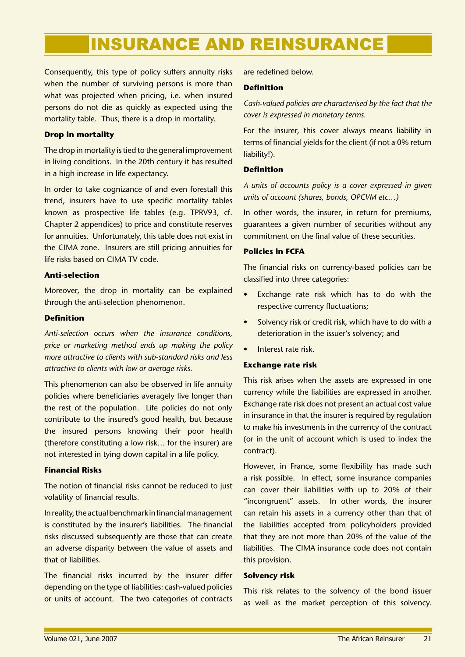Consequently, this type of policy suffers annuity risks when the number of surviving persons is more than what was projected when pricing, i.e. when insured persons do not die as quickly as expected using the mortality table. Thus, there is a drop in mortality.

### **Drop in mortality**

The drop in mortality is tied to the general improvement in living conditions. In the 20th century it has resulted in a high increase in life expectancy.

In order to take cognizance of and even forestall this trend, insurers have to use specific mortality tables known as prospective life tables (e.g. TPRV93, cf. Chapter 2 appendices) to price and constitute reserves for annuities. Unfortunately, this table does not exist in the CIMA zone. Insurers are still pricing annuities for life risks based on CIMA TV code.

### **Anti-selection**

Moreover, the drop in mortality can be explained through the anti-selection phenomenon.

### **Definition**

*Anti-selection occurs when the insurance conditions, price or marketing method ends up making the policy more attractive to clients with sub-standard risks and less attractive to clients with low or average risks.*

This phenomenon can also be observed in life annuity policies where beneficiaries averagely live longer than the rest of the population. Life policies do not only contribute to the insured's good health, but because the insured persons knowing their poor health (therefore constituting a low risk… for the insurer) are not interested in tying down capital in a life policy.

### **Financial Risks**

The notion of financial risks cannot be reduced to just volatility of financial results.

In reality, the actual benchmark in financial management is constituted by the insurer's liabilities. The financial risks discussed subsequently are those that can create an adverse disparity between the value of assets and that of liabilities.

The financial risks incurred by the insurer differ depending on the type of liabilities: cash-valued policies or units of account. The two categories of contracts are redefined below.

### **Definition**

*Cash-valued policies are characterised by the fact that the cover is expressed in monetary terms.*

For the insurer, this cover always means liability in terms of financial yields for the client (if not a 0% return liability!).

### **Definition**

*A units of accounts policy is a cover expressed in given units of account (shares, bonds, OPCVM etc…)*

In other words, the insurer, in return for premiums, guarantees a given number of securities without any commitment on the final value of these securities.

### **Policies in FCFA**

The financial risks on currency-based policies can be classified into three categories:

- Exchange rate risk which has to do with the respective currency fluctuations; •
- Solvency risk or credit risk, which have to do with a deterioration in the issuer's solvency; and •
- Interest rate risk. •

### **Exchange rate risk**

This risk arises when the assets are expressed in one currency while the liabilities are expressed in another. Exchange rate risk does not present an actual cost value in insurance in that the insurer is required by regulation to make his investments in the currency of the contract (or in the unit of account which is used to index the contract).

However, in France, some flexibility has made such a risk possible. In effect, some insurance companies can cover their liabilities with up to 20% of their "incongruent" assets. In other words, the insurer can retain his assets in a currency other than that of the liabilities accepted from policyholders provided that they are not more than 20% of the value of the liabilities. The CIMA insurance code does not contain this provision.

### **Solvency risk**

This risk relates to the solvency of the bond issuer as well as the market perception of this solvency.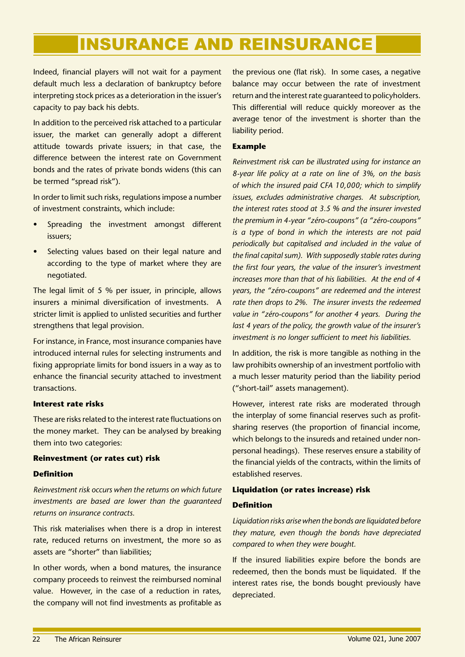Indeed, financial players will not wait for a payment default much less a declaration of bankruptcy before interpreting stock prices as a deterioration in the issuer's capacity to pay back his debts.

In addition to the perceived risk attached to a particular issuer, the market can generally adopt a different attitude towards private issuers; in that case, the difference between the interest rate on Government bonds and the rates of private bonds widens (this can be termed "spread risk").

In order to limit such risks, regulations impose a number of investment constraints, which include:

- Spreading the investment amongst different issuers; •
- Selecting values based on their legal nature and according to the type of market where they are negotiated. •

The legal limit of 5 % per issuer, in principle, allows insurers a minimal diversification of investments. A stricter limit is applied to unlisted securities and further strengthens that legal provision.

For instance, in France, most insurance companies have introduced internal rules for selecting instruments and fixing appropriate limits for bond issuers in a way as to enhance the financial security attached to investment transactions.

### **Interest rate risks**

These are risks related to the interest rate fluctuations on the money market. They can be analysed by breaking them into two categories:

### **Reinvestment (or rates cut) risk**

### **Definition**

*Reinvestment risk occurs when the returns on which future investments are based are lower than the guaranteed returns on insurance contracts.*

This risk materialises when there is a drop in interest rate, reduced returns on investment, the more so as assets are "shorter" than liabilities;

In other words, when a bond matures, the insurance company proceeds to reinvest the reimbursed nominal value. However, in the case of a reduction in rates, the company will not find investments as profitable as the previous one (flat risk). In some cases, a negative balance may occur between the rate of investment return and the interest rate guaranteed to policyholders. This differential will reduce quickly moreover as the average tenor of the investment is shorter than the liability period.

### **Example**

*Reinvestment risk can be illustrated using for instance an 8-year life policy at a rate on line of 3%, on the basis of which the insured paid CFA 10,000; which to simplify issues, excludes administrative charges. At subscription, the interest rates stood at 3.5 % and the insurer invested the premium in 4-year "zéro-coupons" (a "zéro-coupons" is a type of bond in which the interests are not paid periodically but capitalised and included in the value of the final capital sum). With supposedly stable rates during the first four years, the value of the insurer's investment increases more than that of his liabilities. At the end of 4 years, the "zéro-coupons" are redeemed and the interest rate then drops to 2%. The insurer invests the redeemed value in "zéro-coupons" for another 4 years. During the last 4 years of the policy, the growth value of the insurer's investment is no longer sufficient to meet his liabilities.*

In addition, the risk is more tangible as nothing in the law prohibits ownership of an investment portfolio with a much lesser maturity period than the liability period ("short-tail" assets management).

However, interest rate risks are moderated through the interplay of some financial reserves such as profitsharing reserves (the proportion of financial income, which belongs to the insureds and retained under nonpersonal headings). These reserves ensure a stability of the financial yields of the contracts, within the limits of established reserves.

## **Liquidation (or rates increase) risk**

### **Definition**

*Liquidation risks arise when the bonds are liquidated before they mature, even though the bonds have depreciated compared to when they were bought.* 

If the insured liabilities expire before the bonds are redeemed, then the bonds must be liquidated. If the interest rates rise, the bonds bought previously have depreciated.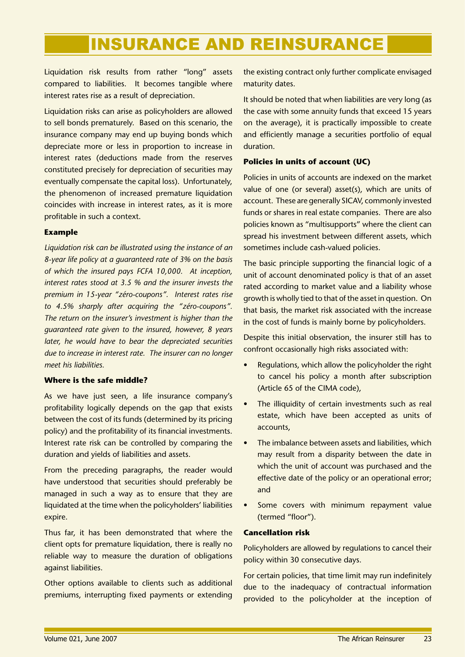Liquidation risk results from rather "long" assets compared to liabilities. It becomes tangible where interest rates rise as a result of depreciation.

Liquidation risks can arise as policyholders are allowed to sell bonds prematurely. Based on this scenario, the insurance company may end up buying bonds which depreciate more or less in proportion to increase in interest rates (deductions made from the reserves constituted precisely for depreciation of securities may eventually compensate the capital loss). Unfortunately, the phenomenon of increased premature liquidation coincides with increase in interest rates, as it is more profitable in such a context.

### **Example**

*Liquidation risk can be illustrated using the instance of an 8-year life policy at a guaranteed rate of 3% on the basis of which the insured pays FCFA 10,000. At inception, interest rates stood at 3.5 % and the insurer invests the premium in 15-year "zéro-coupons". Interest rates rise to 4.5% sharply after acquiring the "zéro-coupons". The return on the insurer's investment is higher than the guaranteed rate given to the insured, however, 8 years later, he would have to bear the depreciated securities due to increase in interest rate. The insurer can no longer meet his liabilities.*

### **Where is the safe middle?**

As we have just seen, a life insurance company's profitability logically depends on the gap that exists between the cost of its funds (determined by its pricing policy) and the profitability of its financial investments. Interest rate risk can be controlled by comparing the duration and yields of liabilities and assets.

From the preceding paragraphs, the reader would have understood that securities should preferably be managed in such a way as to ensure that they are liquidated at the time when the policyholders' liabilities expire.

Thus far, it has been demonstrated that where the client opts for premature liquidation, there is really no reliable way to measure the duration of obligations against liabilities.

Other options available to clients such as additional premiums, interrupting fixed payments or extending

the existing contract only further complicate envisaged maturity dates.

It should be noted that when liabilities are very long (as the case with some annuity funds that exceed 15 years on the average), it is practically impossible to create and efficiently manage a securities portfolio of equal duration.

### **Policies in units of account (UC)**

Policies in units of accounts are indexed on the market value of one (or several) asset(s), which are units of account. These are generally SICAV, commonly invested funds or shares in real estate companies. There are also policies known as "multisupports" where the client can spread his investment between different assets, which sometimes include cash-valued policies.

The basic principle supporting the financial logic of a unit of account denominated policy is that of an asset rated according to market value and a liability whose growth is wholly tied to that of the asset in question. On that basis, the market risk associated with the increase in the cost of funds is mainly borne by policyholders.

Despite this initial observation, the insurer still has to confront occasionally high risks associated with:

- Regulations, which allow the policyholder the right to cancel his policy a month after subscription (Article 65 of the CIMA code), •
- The illiquidity of certain investments such as real estate, which have been accepted as units of accounts, •
- The imbalance between assets and liabilities, which may result from a disparity between the date in which the unit of account was purchased and the effective date of the policy or an operational error; and •
- Some covers with minimum repayment value (termed "floor"). •

### **Cancellation risk**

Policyholders are allowed by regulations to cancel their policy within 30 consecutive days.

For certain policies, that time limit may run indefinitely due to the inadequacy of contractual information provided to the policyholder at the inception of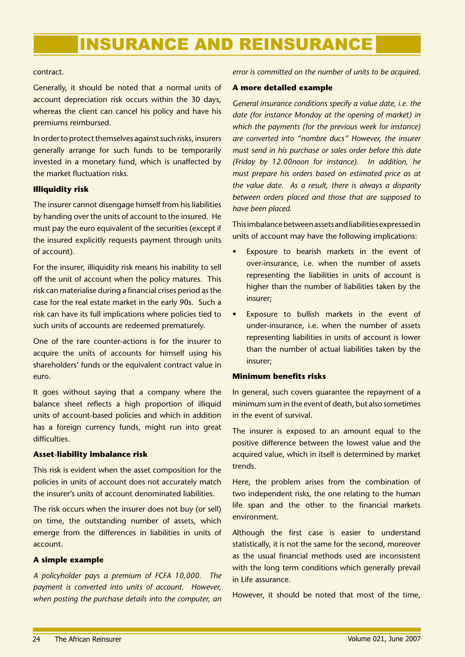### contract.

Generally, it should be noted that a normal units of account depreciation risk occurs within the 30 days, whereas the client can cancel his policy and have his premiums reimbursed.

In order to protect themselves against such risks, insurers generally arrange for such funds to be temporarily invested in a monetary fund, which is unaffected by the market fluctuation risks.

### **Illiquidity risk**

The insurer cannot disengage himself from his liabilities by handing over the units of account to the insured. He must pay the euro equivalent of the securities (except if the insured explicitly requests payment through units of account).

For the insurer, illiquidity risk means his inability to sell off the unit of account when the policy matures. This risk can materialise during a financial crises period as the case for the real estate market in the early 90s. Such a risk can have its full implications where policies tied to such units of accounts are redeemed prematurely.

One of the rare counter-actions is for the insurer to acquire the units of accounts for himself using his shareholders' funds or the equivalent contract value in euro.

It goes without saying that a company where the balance sheet reflects a high proportion of illiquid units of account-based policies and which in addition has a foreign currency funds, might run into great difficulties.

### **Asset-liability imbalance risk**

This risk is evident when the asset composition for the policies in units of account does not accurately match the insurer's units of account denominated liabilities.

The risk occurs when the insurer does not buy (or sell) on time, the outstanding number of assets, which emerge from the differences in liabilities in units of account.

### **A simple example**

*A policyholder pays a premium of FCFA 10,000. The payment is converted into units of account. However, when posting the purchase details into the computer, an*  *error is committed on the number of units to be acquired.*

### **A more detailed example**

*General insurance conditions specify a value date, i.e. the date (for instance Monday at the opening of market) in which the payments (for the previous week for instance) are converted into "nombre ducs" However, the insurer must send in his purchase or sales order before this date (Friday by 12.00noon for instance). In addition, he must prepare his orders based on estimated price as at the value date. As a result, there is always a disparity between orders placed and those that are supposed to have been placed.*

This imbalance between assets and liabilities expressed in units of account may have the following implications:

- Exposure to bearish markets in the event of over-insurance, i.e. when the number of assets representing the liabilities in units of account is higher than the number of liabilities taken by the insurer; •
- Exposure to bullish markets in the event of under-insurance, i.e. when the number of assets representing liabilities in units of account is lower than the number of actual liabilities taken by the insurer; •

### **Minimum benefits risks**

In general, such covers guarantee the repayment of a minimum sum in the event of death, but also sometimes in the event of survival.

The insurer is exposed to an amount equal to the positive difference between the lowest value and the acquired value, which in itself is determined by market trends.

Here, the problem arises from the combination of two independent risks, the one relating to the human life span and the other to the financial markets environment.

Although the first case is easier to understand statistically, it is not the same for the second, moreover as the usual financial methods used are inconsistent with the long term conditions which generally prevail in Life assurance.

However, it should be noted that most of the time,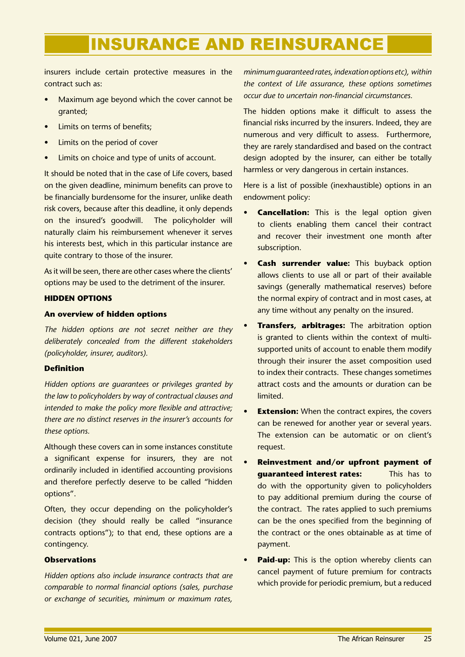insurers include certain protective measures in the contract such as:

- Maximum age beyond which the cover cannot be granted; •
- Limits on terms of benefits; •
- Limits on the period of cover •
- Limits on choice and type of units of account. •

It should be noted that in the case of Life covers, based on the given deadline, minimum benefits can prove to be financially burdensome for the insurer, unlike death risk covers, because after this deadline, it only depends on the insured's goodwill. The policyholder will naturally claim his reimbursement whenever it serves his interests best, which in this particular instance are quite contrary to those of the insurer.

As it will be seen, there are other cases where the clients' options may be used to the detriment of the insurer.

### **HIDDEN OPTIONS**

### **An overview of hidden options**

*The hidden options are not secret neither are they deliberately concealed from the different stakeholders (policyholder, insurer, auditors).*

### **Definition**

*Hidden options are guarantees or privileges granted by the law to policyholders by way of contractual clauses and intended to make the policy more flexible and attractive; there are no distinct reserves in the insurer's accounts for these options.*

Although these covers can in some instances constitute a significant expense for insurers, they are not ordinarily included in identified accounting provisions and therefore perfectly deserve to be called "hidden options".

Often, they occur depending on the policyholder's decision (they should really be called "insurance contracts options"); to that end, these options are a contingency.

### **Observations**

*Hidden options also include insurance contracts that are comparable to normal financial options (sales, purchase or exchange of securities, minimum or maximum rates,* 

*minimum guaranteed rates, indexation options etc), within the context of Life assurance, these options sometimes occur due to uncertain non-financial circumstances.*

The hidden options make it difficult to assess the financial risks incurred by the insurers. Indeed, they are numerous and very difficult to assess. Furthermore, they are rarely standardised and based on the contract design adopted by the insurer, can either be totally harmless or very dangerous in certain instances.

Here is a list of possible (inexhaustible) options in an endowment policy:

- **Cancellation:** This is the legal option given to clients enabling them cancel their contract and recover their investment one month after subscription. **•**
- **Cash surrender value:** This buyback option allows clients to use all or part of their available savings (generally mathematical reserves) before the normal expiry of contract and in most cases, at any time without any penalty on the insured. **•**
- **Transfers, arbitrages:** The arbitration option is granted to clients within the context of multisupported units of account to enable them modify through their insurer the asset composition used to index their contracts. These changes sometimes attract costs and the amounts or duration can be limited. **•**
- **Extension:** When the contract expires, the covers can be renewed for another year or several years. The extension can be automatic or on client's request. **•**
- **Reinvestment and/or upfront payment of guaranteed interest rates:** This has to do with the opportunity given to policyholders to pay additional premium during the course of the contract. The rates applied to such premiums can be the ones specified from the beginning of the contract or the ones obtainable as at time of payment. **•**
- **Paid-up:** This is the option whereby clients can cancel payment of future premium for contracts which provide for periodic premium, but a reduced **•**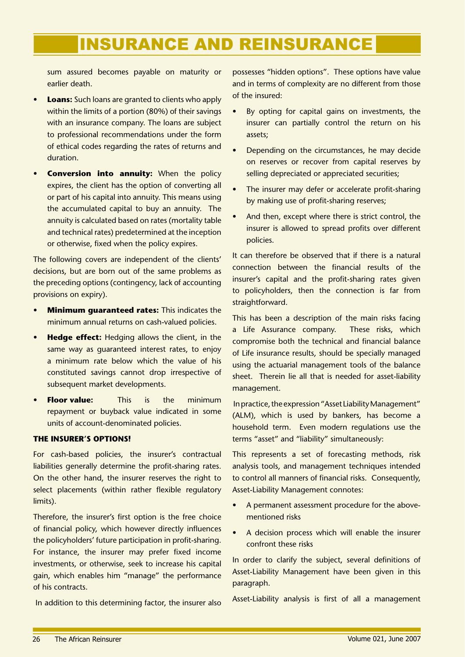sum assured becomes payable on maturity or earlier death.

- **Loans:** Such loans are granted to clients who apply within the limits of a portion (80%) of their savings with an insurance company. The loans are subject to professional recommendations under the form of ethical codes regarding the rates of returns and duration. **•**
- **Conversion into annuity:** When the policy expires, the client has the option of converting all or part of his capital into annuity. This means using the accumulated capital to buy an annuity. The annuity is calculated based on rates (mortality table and technical rates) predetermined at the inception or otherwise, fixed when the policy expires. **•**

The following covers are independent of the clients' decisions, but are born out of the same problems as the preceding options (contingency, lack of accounting provisions on expiry).

- **Minimum guaranteed rates:** This indicates the minimum annual returns on cash-valued policies. **•**
- **Hedge effect:** Hedging allows the client, in the same way as guaranteed interest rates, to enjoy a minimum rate below which the value of his constituted savings cannot drop irrespective of subsequent market developments. **•**
- **Floor value:** This is the minimum repayment or buyback value indicated in some units of account-denominated policies. **•**

### **THE INSURER'S OPTIONS!**

For cash-based policies, the insurer's contractual liabilities generally determine the profit-sharing rates. On the other hand, the insurer reserves the right to select placements (within rather flexible regulatory limits).

Therefore, the insurer's first option is the free choice of financial policy, which however directly influences the policyholders' future participation in profit-sharing. For instance, the insurer may prefer fixed income investments, or otherwise, seek to increase his capital gain, which enables him "manage" the performance of his contracts.

In addition to this determining factor, the insurer also

possesses "hidden options". These options have value and in terms of complexity are no different from those of the insured:

- By opting for capital gains on investments, the insurer can partially control the return on his assets; •
- Depending on the circumstances, he may decide on reserves or recover from capital reserves by selling depreciated or appreciated securities; •
- The insurer may defer or accelerate profit-sharing by making use of profit-sharing reserves; •
- And then, except where there is strict control, the insurer is allowed to spread profits over different policies. •

It can therefore be observed that if there is a natural connection between the financial results of the insurer's capital and the profit-sharing rates given to policyholders, then the connection is far from straightforward.

This has been a description of the main risks facing a Life Assurance company. These risks, which compromise both the technical and financial balance of Life insurance results, should be specially managed using the actuarial management tools of the balance sheet. Therein lie all that is needed for asset-liability management.

 In practice, the expression "Asset Liability Management" (ALM), which is used by bankers, has become a household term. Even modern regulations use the terms "asset" and "liability" simultaneously:

This represents a set of forecasting methods, risk analysis tools, and management techniques intended to control all manners of financial risks. Consequently, Asset-Liability Management connotes:

- A permanent assessment procedure for the abovementioned risks •
- A decision process which will enable the insurer confront these risks •

In order to clarify the subject, several definitions of Asset-Liability Management have been given in this paragraph.

Asset-Liability analysis is first of all a management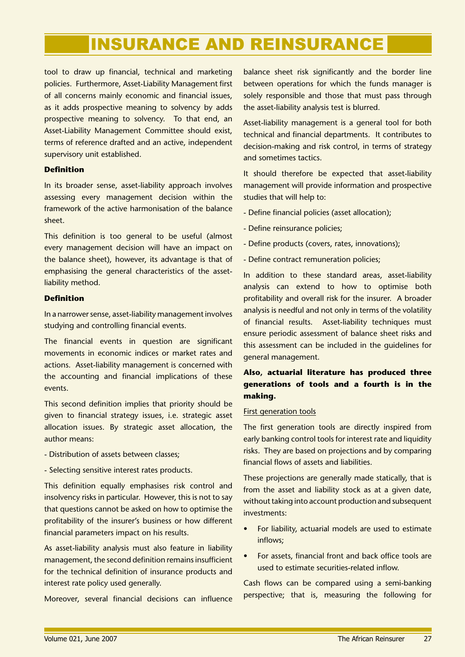tool to draw up financial, technical and marketing policies. Furthermore, Asset-Liability Management first of all concerns mainly economic and financial issues, as it adds prospective meaning to solvency by adds prospective meaning to solvency. To that end, an Asset-Liability Management Committee should exist, terms of reference drafted and an active, independent supervisory unit established.

### **Definition**

In its broader sense, asset-liability approach involves assessing every management decision within the framework of the active harmonisation of the balance sheet.

This definition is too general to be useful (almost every management decision will have an impact on the balance sheet), however, its advantage is that of emphasising the general characteristics of the assetliability method.

### **Definition**

In a narrower sense, asset-liability management involves studying and controlling financial events.

The financial events in question are significant movements in economic indices or market rates and actions. Asset-liability management is concerned with the accounting and financial implications of these events.

This second definition implies that priority should be given to financial strategy issues, i.e. strategic asset allocation issues. By strategic asset allocation, the author means:

- Distribution of assets between classes;
- Selecting sensitive interest rates products.

This definition equally emphasises risk control and insolvency risks in particular. However, this is not to say that questions cannot be asked on how to optimise the profitability of the insurer's business or how different financial parameters impact on his results.

As asset-liability analysis must also feature in liability management, the second definition remains insufficient for the technical definition of insurance products and interest rate policy used generally.

Moreover, several financial decisions can influence

balance sheet risk significantly and the border line between operations for which the funds manager is solely responsible and those that must pass through the asset-liability analysis test is blurred.

Asset-liability management is a general tool for both technical and financial departments. It contributes to decision-making and risk control, in terms of strategy and sometimes tactics.

It should therefore be expected that asset-liability management will provide information and prospective studies that will help to:

- Define financial policies (asset allocation);
- Define reinsurance policies;
- Define products (covers, rates, innovations);
- Define contract remuneration policies;

In addition to these standard areas, asset-liability analysis can extend to how to optimise both profitability and overall risk for the insurer. A broader analysis is needful and not only in terms of the volatility of financial results. Asset-liability techniques must ensure periodic assessment of balance sheet risks and this assessment can be included in the guidelines for general management.

### **Also, actuarial literature has produced three generations of tools and a fourth is in the making.**

### First generation tools

The first generation tools are directly inspired from early banking control tools for interest rate and liquidity risks. They are based on projections and by comparing financial flows of assets and liabilities.

These projections are generally made statically, that is from the asset and liability stock as at a given date, without taking into account production and subsequent investments:

- For liability, actuarial models are used to estimate inflows; •
- For assets, financial front and back office tools are used to estimate securities-related inflow. •

Cash flows can be compared using a semi-banking perspective; that is, measuring the following for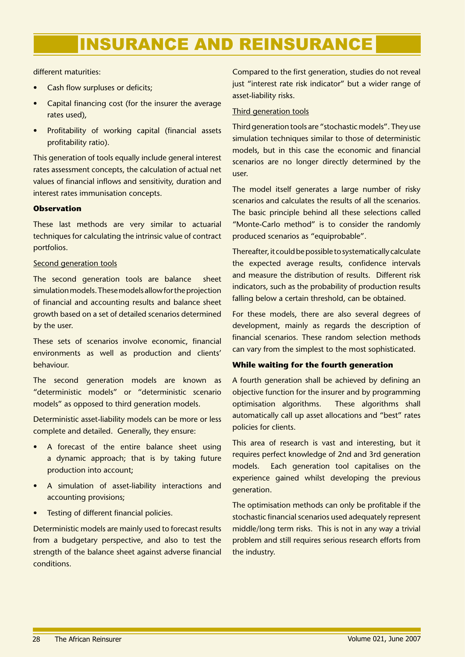different maturities:

- Cash flow surpluses or deficits; •
- Capital financing cost (for the insurer the average rates used), •
- Profitability of working capital (financial assets profitability ratio). •

This generation of tools equally include general interest rates assessment concepts, the calculation of actual net values of financial inflows and sensitivity, duration and interest rates immunisation concepts.

### **Observation**

These last methods are very similar to actuarial techniques for calculating the intrinsic value of contract portfolios.

### Second generation tools

The second generation tools are balance sheet simulation models. These models allow for the projection of financial and accounting results and balance sheet growth based on a set of detailed scenarios determined by the user.

These sets of scenarios involve economic, financial environments as well as production and clients' behaviour.

The second generation models are known as "deterministic models" or "deterministic scenario models" as opposed to third generation models.

Deterministic asset-liability models can be more or less complete and detailed. Generally, they ensure:

- A forecast of the entire balance sheet using a dynamic approach; that is by taking future production into account; •
- A simulation of asset-liability interactions and accounting provisions; •
- Testing of different financial policies. •

Deterministic models are mainly used to forecast results from a budgetary perspective, and also to test the strength of the balance sheet against adverse financial conditions.

Compared to the first generation, studies do not reveal just "interest rate risk indicator" but a wider range of asset-liability risks.

### Third generation tools

Third generation tools are "stochastic models". They use simulation techniques similar to those of deterministic models, but in this case the economic and financial scenarios are no longer directly determined by the user.

The model itself generates a large number of risky scenarios and calculates the results of all the scenarios. The basic principle behind all these selections called "Monte-Carlo method" is to consider the randomly produced scenarios as "equiprobable".

Thereafter, it could be possible to systematically calculate the expected average results, confidence intervals and measure the distribution of results. Different risk indicators, such as the probability of production results falling below a certain threshold, can be obtained.

For these models, there are also several degrees of development, mainly as regards the description of financial scenarios. These random selection methods can vary from the simplest to the most sophisticated.

### **While waiting for the fourth generation**

A fourth generation shall be achieved by defining an objective function for the insurer and by programming optimisation algorithms. These algorithms shall automatically call up asset allocations and "best" rates policies for clients.

This area of research is vast and interesting, but it requires perfect knowledge of 2nd and 3rd generation models. Each generation tool capitalises on the experience gained whilst developing the previous generation.

The optimisation methods can only be profitable if the stochastic financial scenarios used adequately represent middle/long term risks. This is not in any way a trivial problem and still requires serious research efforts from the industry.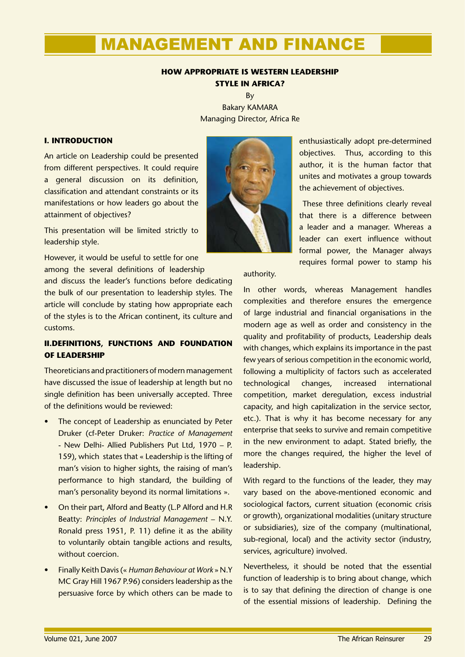### **HOW APPROPRIATE IS WESTERN LEADERSHIP STYLE IN AFRICA?**

By Bakary KAMARA Managing Director, Africa Re

### **I. INTRODUCTION**

An article on Leadership could be presented from different perspectives. It could require a general discussion on its definition, classification and attendant constraints or its manifestations or how leaders go about the attainment of objectives?

This presentation will be limited strictly to leadership style.

However, it would be useful to settle for one among the several definitions of leadership

and discuss the leader's functions before dedicating the bulk of our presentation to leadership styles. The article will conclude by stating how appropriate each of the styles is to the African continent, its culture and customs.

### **II.DEFINITIONS, FUNCTIONS AND FOUNDATION OF LEADERSHIP**

Theoreticians and practitioners of modern management have discussed the issue of leadership at length but no single definition has been universally accepted. Three of the definitions would be reviewed:

- The concept of Leadership as enunciated by Peter Druker (cf-Peter Druker: *Practice of Management* - New Delhi- Allied Publishers Put Ltd, 1970 – P. 159), which states that « Leadership is the lifting of man's vision to higher sights, the raising of man's performance to high standard, the building of man's personality beyond its normal limitations ». •
- On their part, Alford and Beatty (L.P Alford and H.R Beatty: *Principles of Industrial Management* – N.Y. Ronald press 1951, P. 11) define it as the ability to voluntarily obtain tangible actions and results, without coercion. •
- Finally Keith Davis (« *Human Behaviour at Work* » N.Y MC Gray Hill 1967 P.96) considers leadership as the persuasive force by which others can be made to •

enthusiastically adopt pre-determined objectives. Thus, according to this author, it is the human factor that unites and motivates a group towards the achievement of objectives.

 These three definitions clearly reveal that there is a difference between a leader and a manager. Whereas a leader can exert influence without formal power, the Manager always requires formal power to stamp his

### authority.

In other words, whereas Management handles complexities and therefore ensures the emergence of large industrial and financial organisations in the modern age as well as order and consistency in the quality and profitability of products, Leadership deals with changes, which explains its importance in the past few years of serious competition in the economic world, following a multiplicity of factors such as accelerated technological changes, increased international competition, market deregulation, excess industrial capacity, and high capitalization in the service sector, etc.). That is why it has become necessary for any enterprise that seeks to survive and remain competitive in the new environment to adapt. Stated briefly, the more the changes required, the higher the level of leadership.

With regard to the functions of the leader, they may vary based on the above-mentioned economic and sociological factors, current situation (economic crisis or growth), organizational modalities (unitary structure or subsidiaries), size of the company (multinational, sub-regional, local) and the activity sector (industry, services, agriculture) involved.

Nevertheless, it should be noted that the essential function of leadership is to bring about change, which is to say that defining the direction of change is one of the essential missions of leadership. Defining the

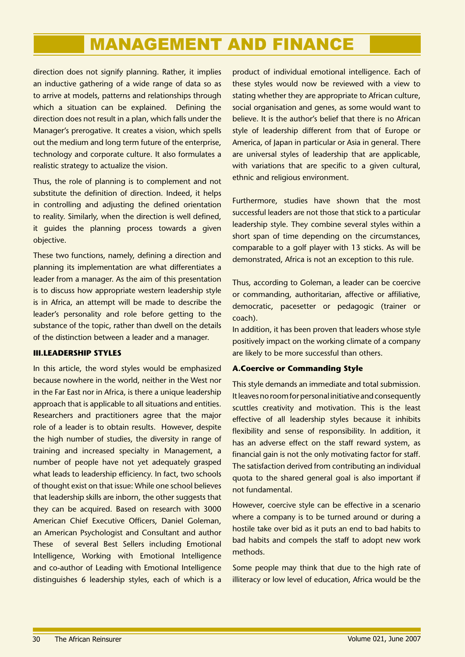direction does not signify planning. Rather, it implies an inductive gathering of a wide range of data so as to arrive at models, patterns and relationships through which a situation can be explained. Defining the direction does not result in a plan, which falls under the Manager's prerogative. It creates a vision, which spells out the medium and long term future of the enterprise, technology and corporate culture. It also formulates a realistic strategy to actualize the vision.

Thus, the role of planning is to complement and not substitute the definition of direction. Indeed, it helps in controlling and adjusting the defined orientation to reality. Similarly, when the direction is well defined, it guides the planning process towards a given objective.

These two functions, namely, defining a direction and planning its implementation are what differentiates a leader from a manager. As the aim of this presentation is to discuss how appropriate western leadership style is in Africa, an attempt will be made to describe the leader's personality and role before getting to the substance of the topic, rather than dwell on the details of the distinction between a leader and a manager.

### **III.LEADERSHIP STYLES**

In this article, the word styles would be emphasized because nowhere in the world, neither in the West nor in the Far East nor in Africa, is there a unique leadership approach that is applicable to all situations and entities. Researchers and practitioners agree that the major role of a leader is to obtain results. However, despite the high number of studies, the diversity in range of training and increased specialty in Management, a number of people have not yet adequately grasped what leads to leadership efficiency. In fact, two schools of thought exist on that issue: While one school believes that leadership skills are inborn, the other suggests that they can be acquired. Based on research with 3000 American Chief Executive Officers, Daniel Goleman, an American Psychologist and Consultant and author These of several Best Sellers including Emotional Intelligence, Working with Emotional Intelligence and co-author of Leading with Emotional Intelligence distinguishes 6 leadership styles, each of which is a

product of individual emotional intelligence. Each of these styles would now be reviewed with a view to stating whether they are appropriate to African culture, social organisation and genes, as some would want to believe. It is the author's belief that there is no African style of leadership different from that of Europe or America, of Japan in particular or Asia in general. There are universal styles of leadership that are applicable, with variations that are specific to a given cultural, ethnic and religious environment.

Furthermore, studies have shown that the most successful leaders are not those that stick to a particular leadership style. They combine several styles within a short span of time depending on the circumstances, comparable to a golf player with 13 sticks. As will be demonstrated, Africa is not an exception to this rule.

Thus, according to Goleman, a leader can be coercive or commanding, authoritarian, affective or affiliative, democratic, pacesetter or pedagogic (trainer or coach).

In addition, it has been proven that leaders whose style positively impact on the working climate of a company are likely to be more successful than others.

### **A.Coercive or Commanding Style**

This style demands an immediate and total submission. It leaves no room for personal initiative and consequently scuttles creativity and motivation. This is the least effective of all leadership styles because it inhibits flexibility and sense of responsibility. In addition, it has an adverse effect on the staff reward system, as financial gain is not the only motivating factor for staff. The satisfaction derived from contributing an individual quota to the shared general goal is also important if not fundamental.

However, coercive style can be effective in a scenario where a company is to be turned around or during a hostile take over bid as it puts an end to bad habits to bad habits and compels the staff to adopt new work methods.

Some people may think that due to the high rate of illiteracy or low level of education, Africa would be the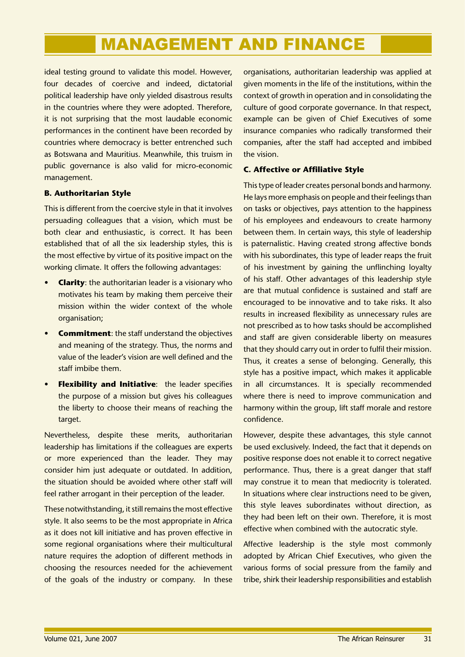ideal testing ground to validate this model. However, four decades of coercive and indeed, dictatorial political leadership have only yielded disastrous results in the countries where they were adopted. Therefore, it is not surprising that the most laudable economic performances in the continent have been recorded by countries where democracy is better entrenched such as Botswana and Mauritius. Meanwhile, this truism in public governance is also valid for micro-economic management.

### **B. Authoritarian Style**

This is different from the coercive style in that it involves persuading colleagues that a vision, which must be both clear and enthusiastic, is correct. It has been established that of all the six leadership styles, this is the most effective by virtue of its positive impact on the working climate. It offers the following advantages:

- **Clarity**: the authoritarian leader is a visionary who motivates his team by making them perceive their mission within the wider context of the whole organisation; **•**
- **Commitment**: the staff understand the objectives and meaning of the strategy. Thus, the norms and value of the leader's vision are well defined and the staff imbibe them. **•**
- **Flexibility and Initiative:** the leader specifies the purpose of a mission but gives his colleagues the liberty to choose their means of reaching the target. **•**

Nevertheless, despite these merits, authoritarian leadership has limitations if the colleagues are experts or more experienced than the leader. They may consider him just adequate or outdated. In addition, the situation should be avoided where other staff will feel rather arrogant in their perception of the leader.

These notwithstanding, it still remains the most effective style. It also seems to be the most appropriate in Africa as it does not kill initiative and has proven effective in some regional organisations where their multicultural nature requires the adoption of different methods in choosing the resources needed for the achievement of the goals of the industry or company. In these

organisations, authoritarian leadership was applied at given moments in the life of the institutions, within the context of growth in operation and in consolidating the culture of good corporate governance. In that respect, example can be given of Chief Executives of some insurance companies who radically transformed their companies, after the staff had accepted and imbibed the vision.

### **C. Affective or Affiliative Style**

This type of leader creates personal bonds and harmony. He lays more emphasis on people and their feelings than on tasks or objectives, pays attention to the happiness of his employees and endeavours to create harmony between them. In certain ways, this style of leadership is paternalistic. Having created strong affective bonds with his subordinates, this type of leader reaps the fruit of his investment by gaining the unflinching loyalty of his staff. Other advantages of this leadership style are that mutual confidence is sustained and staff are encouraged to be innovative and to take risks. It also results in increased flexibility as unnecessary rules are not prescribed as to how tasks should be accomplished and staff are given considerable liberty on measures that they should carry out in order to fulfil their mission. Thus, it creates a sense of belonging. Generally, this style has a positive impact, which makes it applicable in all circumstances. It is specially recommended where there is need to improve communication and harmony within the group, lift staff morale and restore confidence.

However, despite these advantages, this style cannot be used exclusively. Indeed, the fact that it depends on positive response does not enable it to correct negative performance. Thus, there is a great danger that staff may construe it to mean that mediocrity is tolerated. In situations where clear instructions need to be given, this style leaves subordinates without direction, as they had been left on their own. Therefore, it is most effective when combined with the autocratic style.

Affective leadership is the style most commonly adopted by African Chief Executives, who given the various forms of social pressure from the family and tribe, shirk their leadership responsibilities and establish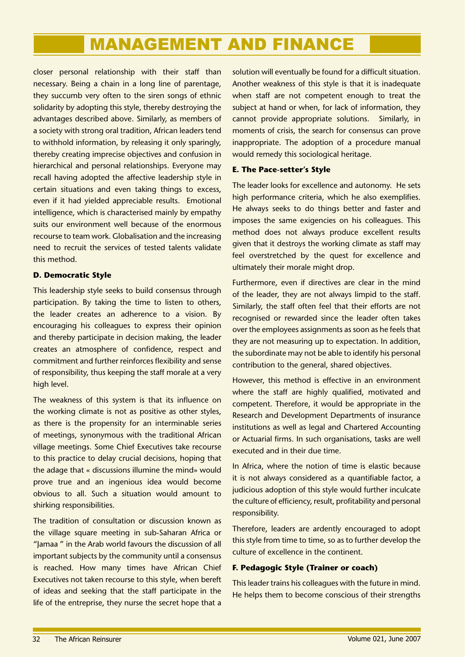closer personal relationship with their staff than necessary. Being a chain in a long line of parentage, they succumb very often to the siren songs of ethnic solidarity by adopting this style, thereby destroying the advantages described above. Similarly, as members of a society with strong oral tradition, African leaders tend to withhold information, by releasing it only sparingly, thereby creating imprecise objectives and confusion in hierarchical and personal relationships. Everyone may recall having adopted the affective leadership style in certain situations and even taking things to excess, even if it had yielded appreciable results. Emotional intelligence, which is characterised mainly by empathy suits our environment well because of the enormous recourse to team work. Globalisation and the increasing need to recruit the services of tested talents validate this method.

### **D. Democratic Style**

This leadership style seeks to build consensus through participation. By taking the time to listen to others, the leader creates an adherence to a vision. By encouraging his colleagues to express their opinion and thereby participate in decision making, the leader creates an atmosphere of confidence, respect and commitment and further reinforces flexibility and sense of responsibility, thus keeping the staff morale at a very high level.

The weakness of this system is that its influence on the working climate is not as positive as other styles, as there is the propensity for an interminable series of meetings, synonymous with the traditional African village meetings. Some Chief Executives take recourse to this practice to delay crucial decisions, hoping that the adage that « discussions illumine the mind» would prove true and an ingenious idea would become obvious to all. Such a situation would amount to shirking responsibilities.

The tradition of consultation or discussion known as the village square meeting in sub-Saharan Africa or "Jamaa " in the Arab world favours the discussion of all important subjects by the community until a consensus is reached. How many times have African Chief Executives not taken recourse to this style, when bereft of ideas and seeking that the staff participate in the life of the entreprise, they nurse the secret hope that a

solution will eventually be found for a difficult situation. Another weakness of this style is that it is inadequate when staff are not competent enough to treat the subject at hand or when, for lack of information, they cannot provide appropriate solutions. Similarly, in moments of crisis, the search for consensus can prove inappropriate. The adoption of a procedure manual would remedy this sociological heritage.

### **E. The Pace-setter's Style**

The leader looks for excellence and autonomy. He sets high performance criteria, which he also exemplifies. He always seeks to do things better and faster and imposes the same exigencies on his colleagues. This method does not always produce excellent results given that it destroys the working climate as staff may feel overstretched by the quest for excellence and ultimately their morale might drop.

Furthermore, even if directives are clear in the mind of the leader, they are not always limpid to the staff. Similarly, the staff often feel that their efforts are not recognised or rewarded since the leader often takes over the employees assignments as soon as he feels that they are not measuring up to expectation. In addition, the subordinate may not be able to identify his personal contribution to the general, shared objectives.

However, this method is effective in an environment where the staff are highly qualified, motivated and competent. Therefore, it would be appropriate in the Research and Development Departments of insurance institutions as well as legal and Chartered Accounting or Actuarial firms. In such organisations, tasks are well executed and in their due time.

In Africa, where the notion of time is elastic because it is not always considered as a quantifiable factor, a judicious adoption of this style would further inculcate the culture of efficiency, result, profitability and personal responsibility.

Therefore, leaders are ardently encouraged to adopt this style from time to time, so as to further develop the culture of excellence in the continent.

### **F. Pedagogic Style (Trainer or coach)**

This leader trains his colleagues with the future in mind. He helps them to become conscious of their strengths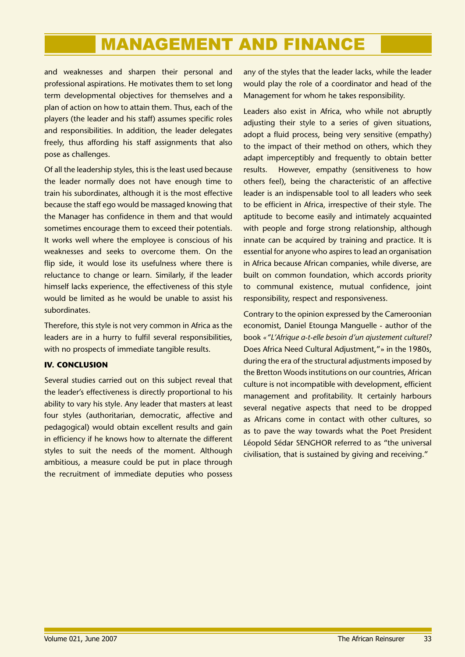and weaknesses and sharpen their personal and professional aspirations. He motivates them to set long term developmental objectives for themselves and a plan of action on how to attain them. Thus, each of the players (the leader and his staff) assumes specific roles and responsibilities. In addition, the leader delegates freely, thus affording his staff assignments that also pose as challenges.

Of all the leadership styles, this is the least used because the leader normally does not have enough time to train his subordinates, although it is the most effective because the staff ego would be massaged knowing that the Manager has confidence in them and that would sometimes encourage them to exceed their potentials. It works well where the employee is conscious of his weaknesses and seeks to overcome them. On the flip side, it would lose its usefulness where there is reluctance to change or learn. Similarly, if the leader himself lacks experience, the effectiveness of this style would be limited as he would be unable to assist his subordinates.

Therefore, this style is not very common in Africa as the leaders are in a hurry to fulfil several responsibilities, with no prospects of immediate tangible results.

### **IV. CONCLUSION**

Several studies carried out on this subject reveal that the leader's effectiveness is directly proportional to his ability to vary his style. Any leader that masters at least four styles (authoritarian, democratic, affective and pedagogical) would obtain excellent results and gain in efficiency if he knows how to alternate the different styles to suit the needs of the moment. Although ambitious, a measure could be put in place through the recruitment of immediate deputies who possess

any of the styles that the leader lacks, while the leader would play the role of a coordinator and head of the Management for whom he takes responsibility.

Leaders also exist in Africa, who while not abruptly adjusting their style to a series of given situations, adopt a fluid process, being very sensitive (empathy) to the impact of their method on others, which they adapt imperceptibly and frequently to obtain better results. However, empathy (sensitiveness to how others feel), being the characteristic of an affective leader is an indispensable tool to all leaders who seek to be efficient in Africa, irrespective of their style. The aptitude to become easily and intimately acquainted with people and forge strong relationship, although innate can be acquired by training and practice. It is essential for anyone who aspires to lead an organisation in Africa because African companies, while diverse, are built on common foundation, which accords priority to communal existence, mutual confidence, joint responsibility, respect and responsiveness.

Contrary to the opinion expressed by the Cameroonian economist, Daniel Etounga Manguelle - author of the book *«"L'Afrique a-t-elle besoin d'un ajustement culturel?* Does Africa Need Cultural Adjustment,"» in the 1980s, during the era of the structural adjustments imposed by the Bretton Woods institutions on our countries, African culture is not incompatible with development, efficient management and profitability. It certainly harbours several negative aspects that need to be dropped as Africans come in contact with other cultures, so as to pave the way towards what the Poet President Léopold Sédar SENGHOR referred to as "the universal civilisation, that is sustained by giving and receiving."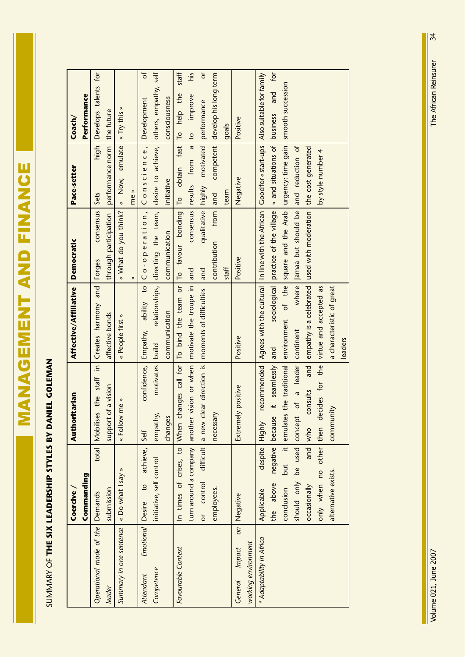**MANAGEMENT AND FINANCE** ESTRIKT AND FINANCE

# SUMMARY OF THE SIX LEADERSHIP STYLES BY DANIEL GOLEMAN SUMMARY OF **THE SIX LEADERSHIP STYLES BY DANIEL GOLEMAN**

|                                             | <b>Coercive</b>               | Authoritarian                                                                                               | Affective/Affiliative                                                                                              | Democratic                                                                  | Pace-setter                  | Coach/                                  |
|---------------------------------------------|-------------------------------|-------------------------------------------------------------------------------------------------------------|--------------------------------------------------------------------------------------------------------------------|-----------------------------------------------------------------------------|------------------------------|-----------------------------------------|
|                                             | Commanding                    |                                                                                                             |                                                                                                                    |                                                                             |                              | <b>Performance</b>                      |
| Operational mode of the Demands             | total                         | Mobilises the staff in Creates harmony and                                                                  |                                                                                                                    | consensus<br>Forges                                                         | high  <br>Sets               | Develops talents for                    |
| leader                                      | submission                    | of a vision<br>support                                                                                      | affective bonds                                                                                                    | through participation                                                       | performance norm the future  |                                         |
| Summary in one sentence   « Do what I say » |                               | « Follow me »                                                                                               | « People first »                                                                                                   | « What do you think?                                                        | « Now, emulate               | « Try this »                            |
|                                             |                               |                                                                                                             |                                                                                                                    | $\hat{\mathbf{z}}$                                                          | me »                         |                                         |
| <b>Emotional</b> Desire<br>Attendant        | achieve,<br>$\overline{c}$    | confidence,<br>Self                                                                                         | Empathy,                                                                                                           | ability to $ $ C $o$ - $o$ peration, $ $ C $o$ nscience,                    |                              | ď<br>Development                        |
| Competence                                  | initiative, self control      | motivates   build<br>empathy,                                                                               |                                                                                                                    | relationships, directing the team, desire to achieve, others, empathy, self |                              |                                         |
|                                             |                               | changes                                                                                                     | communication                                                                                                      | communication                                                               | initiative                   | consciousness                           |
| Favourable Context                          | In times of crises, to When   |                                                                                                             | changes call for To bind the team or To favour bonding To obtain                                                   |                                                                             |                              | staff<br>fast To help the               |
|                                             | turn around a company         | another vision or when   motivate the troupe in   and                                                       |                                                                                                                    |                                                                             | consensus results from a     | <u>si</u> y<br>improve<br>$\frac{1}{2}$ |
|                                             | difficult<br>or control       | a new                                                                                                       | clear direction is   moments of difficulties                                                                       | and                                                                         | qualitative highly motivated | $\overline{0}$<br>performance           |
|                                             | employees.                    | necessary                                                                                                   |                                                                                                                    | from<br>contribution                                                        | and                          | competent develop his long term         |
|                                             |                               |                                                                                                             |                                                                                                                    | staff                                                                       | team                         | goals                                   |
| General Impact                              | on Negative                   | Extremely positive                                                                                          | Positive                                                                                                           | Positive                                                                    | Negative                     | Positive                                |
| working environment                         |                               |                                                                                                             |                                                                                                                    |                                                                             |                              |                                         |
| * Adaptability in Africa                    | Applicable                    | despite Highly                                                                                              | recommended   Agrees with the cultural   In line with the African   Good for «start-ups   Also suitable for family |                                                                             |                              |                                         |
|                                             | negative because<br>the above | it seamlessly                                                                                               | and                                                                                                                | sociological   practice of the village   » and situations of   business     |                              | and for                                 |
|                                             | conclusion                    | but it emulates the traditional environment of the square and the Arab urgency: time gain smooth succession |                                                                                                                    |                                                                             |                              |                                         |
|                                             | should only be used concept   | of a leader continent                                                                                       |                                                                                                                    | where Jamaa but should be and reduction of                                  |                              |                                         |
|                                             | occasionally                  | and<br>consults<br>and who                                                                                  | empathy is a celebrated used with moderation the cost generated                                                    |                                                                             |                              |                                         |
|                                             | only when no other then d     |                                                                                                             | lecides for the virtue and accepted as                                                                             |                                                                             | by style number 4            |                                         |
|                                             | alternative exists.           | community                                                                                                   | a characteristic of great                                                                                          |                                                                             |                              |                                         |
|                                             |                               |                                                                                                             | leaders                                                                                                            |                                                                             |                              |                                         |

34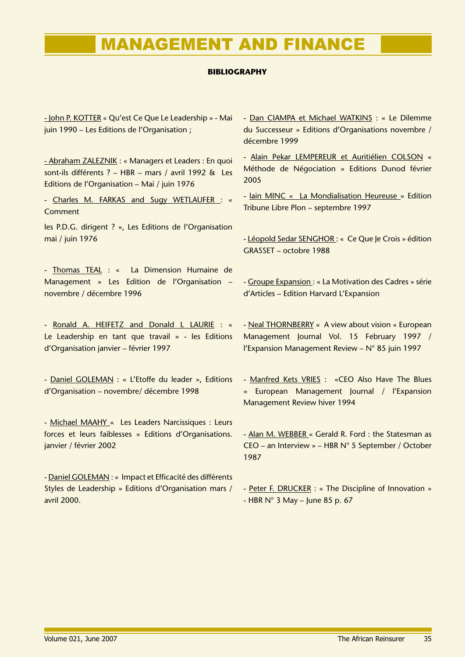### **BIBLIOGRAPHY**

- John P. KOTTER « Qu'est Ce Que Le Leadership » - Mai juin 1990 – Les Editions de l'Organisation ;

- Abraham ZALEZNIK : « Managers et Leaders : En quoi sont-ils différents ? – HBR – mars / avril 1992 & Les Editions de l'Organisation – Mai / juin 1976

- Charles M. FARKAS and Sugy WETLAUFER : « Comment

les P.D.G. dirigent ? », Les Editions de l'Organisation mai / juin 1976

- Thomas TEAL : « La Dimension Humaine de Management » Les Edition de l'Organisation – novembre / décembre 1996

- Ronald A. HEIFETZ and Donald L LAURIE : « Le Leadership en tant que travail » - les Editions d'Organisation janvier – février 1997

- Daniel GOLEMAN : « L'Etoffe du leader », Editions d'Organisation – novembre/ décembre 1998

- Michael MAAHY « Les Leaders Narcissiques : Leurs forces et leurs faiblesses » Editions d'Organisations. janvier / février 2002

- Daniel GOLEMAN : « Impact et Efficacité des différents Styles de Leadership » Editions d'Organisation mars / avril 2000.

- Dan CIAMPA et Michael WATKINS : « Le Dilemme du Successeur » Editions d'Organisations novembre / décembre 1999

- Alain Pekar LEMPEREUR et Auritiélien COLSON « Méthode de Négociation » Editions Dunod février 2005

- lain MINC « La Mondialisation Heureuse » Edition Tribune Libre Plon – septembre 1997

- Léopold Sedar SENGHOR : « Ce Que Je Crois » édition GRASSET – octobre 1988

- Groupe Expansion : « La Motivation des Cadres » série d'Articles – Edition Harvard L'Expansion

- Neal THORNBERRY « A view about vision « European Management Journal Vol. 15 February 1997 / l'Expansion Management Review – N° 85 juin 1997

- Manfred Kets VRIES : «CEO Also Have The Blues » European Management Journal / l'Expansion Management Review hiver 1994

- Alan M. WEBBER « Gerald R. Ford : the Statesman as CEO – an Interview » – HBR N° 5 September / October 1987

- Peter F. DRUCKER : « The Discipline of Innovation » - HBR N° 3 May – June 85 p. 67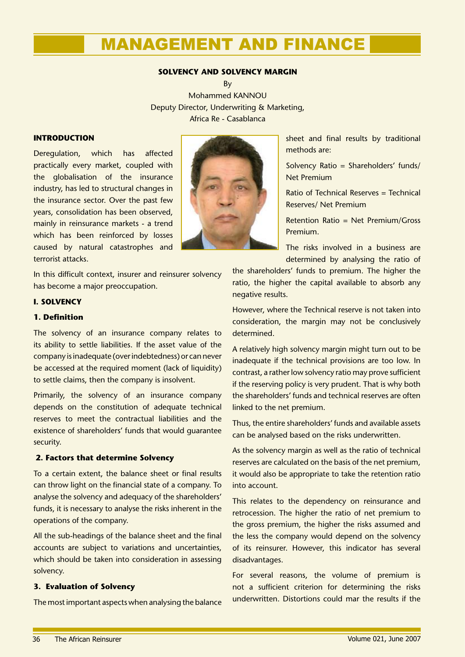### **SOLVENCY AND SOLVENCY MARGIN**

**R**<sub>V</sub> Mohammed KANNOU Deputy Director, Underwriting & Marketing, Africa Re - Casablanca

### **INTRODUCTION**

Deregulation, which has affected practically every market, coupled with the globalisation of the insurance industry, has led to structural changes in the insurance sector. Over the past few years, consolidation has been observed, mainly in reinsurance markets - a trend which has been reinforced by losses caused by natural catastrophes and terrorist attacks.

In this difficult context, insurer and reinsurer solvency has become a major preoccupation.

### **I. SOLVENCY**

### **1. Definition**

The solvency of an insurance company relates to its ability to settle liabilities. If the asset value of the company is inadequate (over indebtedness) or can never be accessed at the required moment (lack of liquidity) to settle claims, then the company is insolvent.

Primarily, the solvency of an insurance company depends on the constitution of adequate technical reserves to meet the contractual liabilities and the existence of shareholders' funds that would guarantee security.

### **2. Factors that determine Solvency**

To a certain extent, the balance sheet or final results can throw light on the financial state of a company. To analyse the solvency and adequacy of the shareholders' funds, it is necessary to analyse the risks inherent in the operations of the company.

All the sub-headings of the balance sheet and the final accounts are subject to variations and uncertainties, which should be taken into consideration in assessing solvency.

### **3. Evaluation of Solvency**

The most important aspects when analysing the balance



sheet and final results by traditional methods are:

Solvency Ratio = Shareholders' funds/ Net Premium

Ratio of Technical Reserves = Technical Reserves/ Net Premium

Retention Ratio = Net Premium/Gross Premium.

The risks involved in a business are determined by analysing the ratio of

the shareholders' funds to premium. The higher the ratio, the higher the capital available to absorb any negative results.

However, where the Technical reserve is not taken into consideration, the margin may not be conclusively determined.

A relatively high solvency margin might turn out to be inadequate if the technical provisions are too low. In contrast, a rather low solvency ratio may prove sufficient if the reserving policy is very prudent. That is why both the shareholders' funds and technical reserves are often linked to the net premium.

Thus, the entire shareholders' funds and available assets can be analysed based on the risks underwritten.

As the solvency margin as well as the ratio of technical reserves are calculated on the basis of the net premium, it would also be appropriate to take the retention ratio into account.

This relates to the dependency on reinsurance and retrocession. The higher the ratio of net premium to the gross premium, the higher the risks assumed and the less the company would depend on the solvency of its reinsurer. However, this indicator has several disadvantages.

For several reasons, the volume of premium is not a sufficient criterion for determining the risks underwritten. Distortions could mar the results if the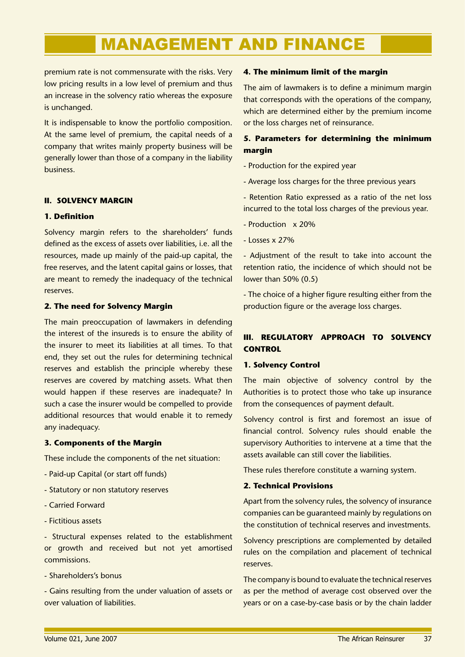premium rate is not commensurate with the risks. Very low pricing results in a low level of premium and thus an increase in the solvency ratio whereas the exposure is unchanged.

It is indispensable to know the portfolio composition. At the same level of premium, the capital needs of a company that writes mainly property business will be generally lower than those of a company in the liability business.

### **II. SOLVENCY MARGIN**

### **1. Definition**

Solvency margin refers to the shareholders' funds defined as the excess of assets over liabilities, i.e. all the resources, made up mainly of the paid-up capital, the free reserves, and the latent capital gains or losses, that are meant to remedy the inadequacy of the technical reserves.

### **2. The need for Solvency Margin**

The main preoccupation of lawmakers in defending the interest of the insureds is to ensure the ability of the insurer to meet its liabilities at all times. To that end, they set out the rules for determining technical reserves and establish the principle whereby these reserves are covered by matching assets. What then would happen if these reserves are inadequate? In such a case the insurer would be compelled to provide additional resources that would enable it to remedy any inadequacy.

### **3. Components of the Margin**

These include the components of the net situation:

- Paid-up Capital (or start off funds)
- Statutory or non statutory reserves
- Carried Forward
- Fictitious assets

- Structural expenses related to the establishment or growth and received but not yet amortised commissions.

- Shareholders's bonus

- Gains resulting from the under valuation of assets or over valuation of liabilities.

### **4. The minimum limit of the margin**

The aim of lawmakers is to define a minimum margin that corresponds with the operations of the company, which are determined either by the premium income or the loss charges net of reinsurance.

### **5. Parameters for determining the minimum margin**

- Production for the expired year
- Average loss charges for the three previous years
- Retention Ratio expressed as a ratio of the net loss incurred to the total loss charges of the previous year.
- Production x 20%
- Losses x 27%

- Adjustment of the result to take into account the retention ratio, the incidence of which should not be lower than 50% (0.5)

- The choice of a higher figure resulting either from the production figure or the average loss charges.

### **III. REGULATORY APPROACH TO SOLVENCY CONTROL**

### **1. Solvency Control**

The main objective of solvency control by the Authorities is to protect those who take up insurance from the consequences of payment default.

Solvency control is first and foremost an issue of financial control. Solvency rules should enable the supervisory Authorities to intervene at a time that the assets available can still cover the liabilities.

These rules therefore constitute a warning system.

### **2. Technical Provisions**

Apart from the solvency rules, the solvency of insurance companies can be guaranteed mainly by regulations on the constitution of technical reserves and investments.

Solvency prescriptions are complemented by detailed rules on the compilation and placement of technical reserves.

The company is bound to evaluate the technical reserves as per the method of average cost observed over the years or on a case-by-case basis or by the chain ladder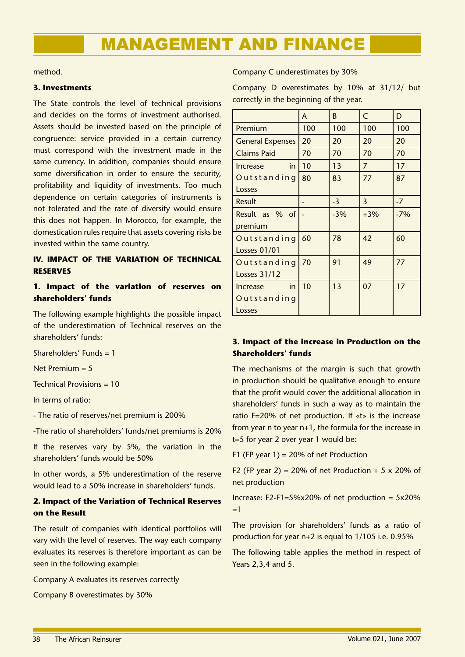method.

### **3. Investments**

The State controls the level of technical provisions and decides on the forms of investment authorised. Assets should be invested based on the principle of congruence: service provided in a certain currency must correspond with the investment made in the same currency. In addition, companies should ensure some diversification in order to ensure the security, profitability and liquidity of investments. Too much dependence on certain categories of instruments is not tolerated and the rate of diversity would ensure this does not happen. In Morocco, for example, the domestication rules require that assets covering risks be invested within the same country.

### **IV. IMPACT OF THE VARIATION OF TECHNICAL RESERVES**

### **1. Impact of the variation of reserves on shareholders' funds**

The following example highlights the possible impact of the underestimation of Technical reserves on the shareholders' funds:

Shareholders' Funds = 1

Net Premium  $= 5$ 

Technical Provisions = 10

In terms of ratio:

- The ratio of reserves/net premium is 200%

-The ratio of shareholders' funds/net premiums is 20%

If the reserves vary by 5%, the variation in the shareholders' funds would be 50%

In other words, a 5% underestimation of the reserve would lead to a 50% increase in shareholders' funds.

### **2. Impact of the Variation of Technical Reserves on the Result**

The result of companies with identical portfolios will vary with the level of reserves. The way each company evaluates its reserves is therefore important as can be seen in the following example:

Company A evaluates its reserves correctly

Company B overestimates by 30%

### Company C underestimates by 30%

Company D overestimates by 10% at 31/12/ but correctly in the beginning of the year.

|                         | A   | B     | C              | D     |
|-------------------------|-----|-------|----------------|-------|
| Premium                 | 100 | 100   | 100            | 100   |
| <b>General Expenses</b> | 20  | 20    | 20             | 20    |
| <b>Claims Paid</b>      | 70  | 70    | 70             | 70    |
| in.<br><b>Increase</b>  | 10  | 13    | $\overline{7}$ | 17    |
| Outstanding             | 80  | 83    | 77             | 87    |
| Losses                  |     |       |                |       |
| Result                  |     | $-3$  | 3              | $-7$  |
| Result as % of          |     | $-3%$ | $+3%$          | $-7%$ |
| premium                 |     |       |                |       |
| Outstanding             | 60  | 78    | 42             | 60    |
| <b>Losses 01/01</b>     |     |       |                |       |
| Outstanding             | 70  | 91    | 49             | 77    |
| Losses 31/12            |     |       |                |       |
| in<br>Increase          | 10  | 13    | 07             | 17    |
| Outstanding             |     |       |                |       |
| Losses                  |     |       |                |       |

### **3. Impact of the increase in Production on the Shareholders' funds**

The mechanisms of the margin is such that growth in production should be qualitative enough to ensure that the profit would cover the additional allocation in shareholders' funds in such a way as to maintain the ratio F=20% of net production. If «t» is the increase from year n to year n+1, the formula for the increase in t=5 for year 2 over year 1 would be:

F1 (FP year  $1$ ) = 20% of net Production

F2 (FP year 2) = 20% of net Production  $+ 5 \times 20$ % of net production

Increase: F2-F1=5%x20% of net production = 5x20% =1

The provision for shareholders' funds as a ratio of production for year n+2 is equal to 1/105 i.e. 0.95%

The following table applies the method in respect of Years 2,3,4 and 5.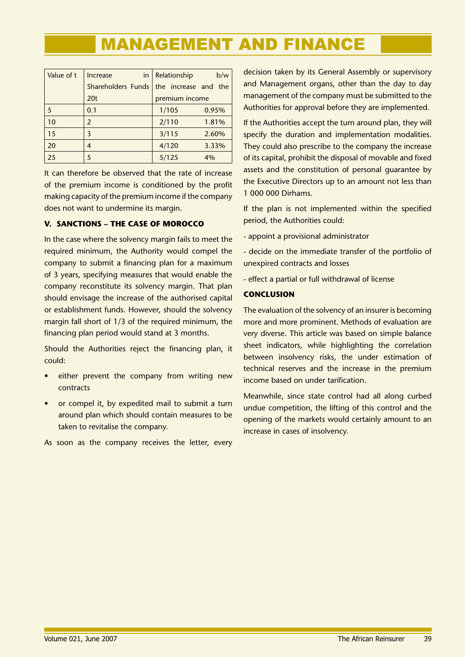| Value of t | in<br>Increase     | Relationship         | b/w   |
|------------|--------------------|----------------------|-------|
|            | Shareholders Funds | the increase and the |       |
|            | 20 <sub>t</sub>    | premium income       |       |
| 5          | 0.1                | 1/105                | 0.95% |
| 10         | 2                  | 2/110                | 1.81% |
| 15         | 3                  | 3/115                | 2.60% |
| 20         | 4                  | 4/120                | 3.33% |
| 25         | 5                  | 5/125                | 4%    |

It can therefore be observed that the rate of increase of the premium income is conditioned by the profit making capacity of the premium income if the company does not want to undermine its margin.

### **V. SANCTIONS – THE CASE OF MOROCCO**

In the case where the solvency margin fails to meet the required minimum, the Authority would compel the company to submit a financing plan for a maximum of 3 years, specifying measures that would enable the company reconstitute its solvency margin. That plan should envisage the increase of the authorised capital or establishment funds. However, should the solvency margin fall short of 1/3 of the required minimum, the financing plan period would stand at 3 months.

Should the Authorities reject the financing plan, it could:

- either prevent the company from writing new contracts •
- or compel it, by expedited mail to submit a turn around plan which should contain measures to be taken to revitalise the company. •

As soon as the company receives the letter, every

decision taken by its General Assembly or supervisory and Management organs, other than the day to day management of the company must be submitted to the Authorities for approval before they are implemented.

If the Authorities accept the turn around plan, they will specify the duration and implementation modalities. They could also prescribe to the company the increase of its capital, prohibit the disposal of movable and fixed assets and the constitution of personal guarantee by the Executive Directors up to an amount not less than 1 000 000 Dirhams.

If the plan is not implemented within the specified period, the Authorities could:

- appoint a provisional administrator
- decide on the immediate transfer of the portfolio of unexpired contracts and losses
- effect a partial or full withdrawal of license

### **CONCLUSION**

The evaluation of the solvency of an insurer is becoming more and more prominent. Methods of evaluation are very diverse. This article was based on simple balance sheet indicators, while highlighting the correlation between insolvency risks, the under estimation of technical reserves and the increase in the premium income based on under tarification.

Meanwhile, since state control had all along curbed undue competition, the lifting of this control and the opening of the markets would certainly amount to an increase in cases of insolvency.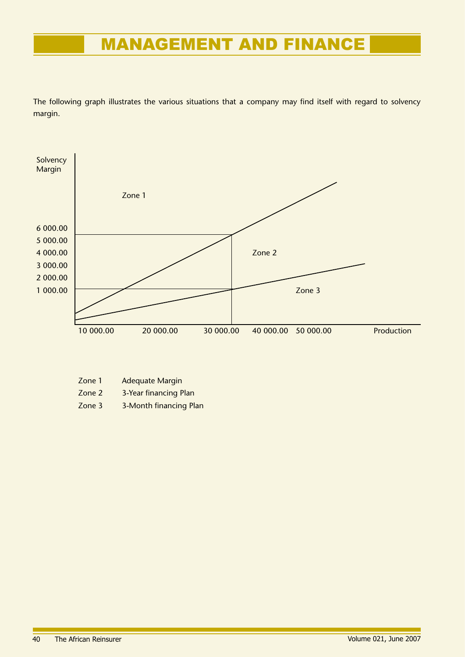The following graph illustrates the various situations that a company may find itself with regard to solvency margin.



| Zone 1 | <b>Adequate Margin</b> |  |
|--------|------------------------|--|
|        |                        |  |

Zone 2 3-Year financing Plan

Zone 3 3-Month financing Plan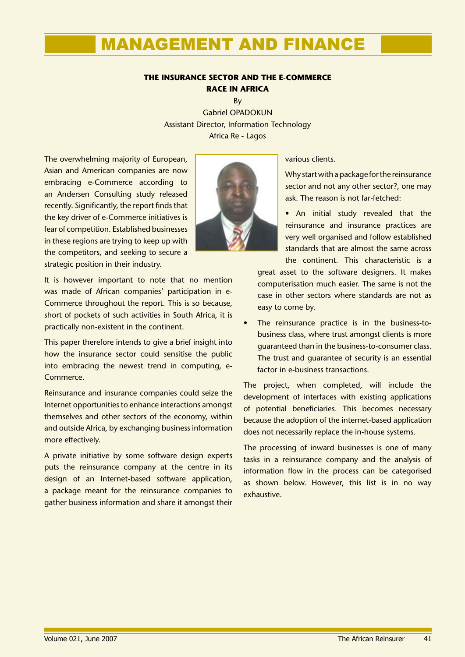### **THE INSURANCE SECTOR AND THE E-COMMERCE RACE IN AFRICA**

By Gabriel OPADOKUN Assistant Director, Information Technology Africa Re - Lagos

The overwhelming majority of European, Asian and American companies are now embracing e-Commerce according to an Andersen Consulting study released recently. Significantly, the report finds that the key driver of e-Commerce initiatives is fear of competition. Established businesses in these regions are trying to keep up with the competitors, and seeking to secure a strategic position in their industry.

It is however important to note that no mention was made of African companies' participation in e-Commerce throughout the report. This is so because, short of pockets of such activities in South Africa, it is practically non-existent in the continent.

This paper therefore intends to give a brief insight into how the insurance sector could sensitise the public into embracing the newest trend in computing, e-Commerce.

Reinsurance and insurance companies could seize the Internet opportunities to enhance interactions amongst themselves and other sectors of the economy, within and outside Africa, by exchanging business information more effectively.

A private initiative by some software design experts puts the reinsurance company at the centre in its design of an Internet-based software application, a package meant for the reinsurance companies to gather business information and share it amongst their various clients.

Why start with a package for the reinsurance sector and not any other sector?, one may ask. The reason is not far-fetched:

• An initial study revealed that the reinsurance and insurance practices are very well organised and follow established standards that are almost the same across the continent. This characteristic is a

great asset to the software designers. It makes computerisation much easier. The same is not the case in other sectors where standards are not as easy to come by.

The reinsurance practice is in the business-tobusiness class, where trust amongst clients is more guaranteed than in the business-to-consumer class. The trust and guarantee of security is an essential factor in e-business transactions. •

The project, when completed, will include the development of interfaces with existing applications of potential beneficiaries. This becomes necessary because the adoption of the internet-based application does not necessarily replace the in-house systems.

The processing of inward businesses is one of many tasks in a reinsurance company and the analysis of information flow in the process can be categorised as shown below. However, this list is in no way exhaustive.

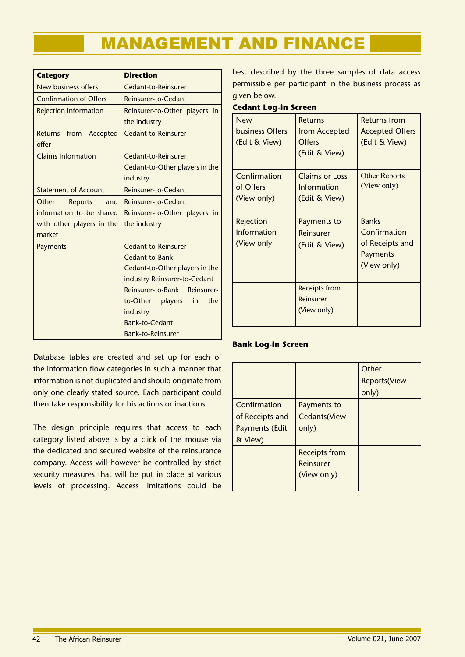| <b>Category</b>                          | <b>Direction</b>                              |
|------------------------------------------|-----------------------------------------------|
| New business offers                      | Cedant-to-Reinsurer                           |
| <b>Confirmation of Offers</b>            | Reinsurer-to-Cedant                           |
| <b>Rejection Information</b>             | Reinsurer-to-Other players in<br>the industry |
| from Accepted<br><b>Returns</b><br>offer | Cedant-to-Reinsurer                           |
| <b>Claims Information</b>                | Cedant-to-Reinsurer                           |
|                                          | Cedant-to-Other players in the                |
|                                          | industry                                      |
| <b>Statement of Account</b>              | Reinsurer-to-Cedant                           |
| Other<br><b>Reports</b><br>and           | Reinsurer-to-Cedant                           |
| information to be shared                 | Reinsurer-to-Other players in                 |
| with other players in the                | the industry                                  |
| market                                   |                                               |
| Payments                                 | Cedant-to-Reinsurer                           |
|                                          | Cedant-to-Bank                                |
|                                          | Cedant-to-Other players in the                |
|                                          | industry Reinsurer-to-Cedant                  |
|                                          | Reinsurer-to-Bank<br>Reinsurer-               |
|                                          | to-Other players<br>the<br>in                 |
|                                          | industry                                      |
|                                          | <b>Bank-to-Cedant</b>                         |
|                                          | <b>Bank-to-Reinsurer</b>                      |

best described by the three samples of data access permissible per participant in the business process as given below.

### **Cedant Log-in Screen**

| <b>New</b><br>business Offers<br>(Edit & View) | Returns<br>from Accepted<br>Offers<br>(Edit & View) | Returns from<br><b>Accepted Offers</b><br>(Edit & View)                    |
|------------------------------------------------|-----------------------------------------------------|----------------------------------------------------------------------------|
| Confirmation<br>of Offers<br>(View only)       | Claims or Loss<br>Information<br>(Edit & View)      | <b>Other Reports</b><br>(View only)                                        |
| Rejection<br>Information<br>(View only         | Payments to<br>Reinsurer<br>(Edit & View)           | <b>Banks</b><br>Confirmation<br>of Receipts and<br>Payments<br>(View only) |
|                                                | Receipts from<br>Reinsurer<br>(View only)           |                                                                            |

### **Bank Log-in Screen**

Database tables are created and set up for each of the information flow categories in such a manner that information is not duplicated and should originate from only one clearly stated source. Each participant could then take responsibility for his actions or inactions.

The design principle requires that access to each category listed above is by a click of the mouse via the dedicated and secured website of the reinsurance company. Access will however be controlled by strict security measures that will be put in place at various levels of processing. Access limitations could be

|                 |                      | Other<br><b>Reports</b> (View |
|-----------------|----------------------|-------------------------------|
| Confirmation    | Payments to          | only)                         |
| of Receipts and | Cedants(View         |                               |
| Payments (Edit  | only)                |                               |
| & View)         |                      |                               |
|                 | <b>Receipts from</b> |                               |
|                 | Reinsurer            |                               |
|                 | (View only)          |                               |
|                 |                      |                               |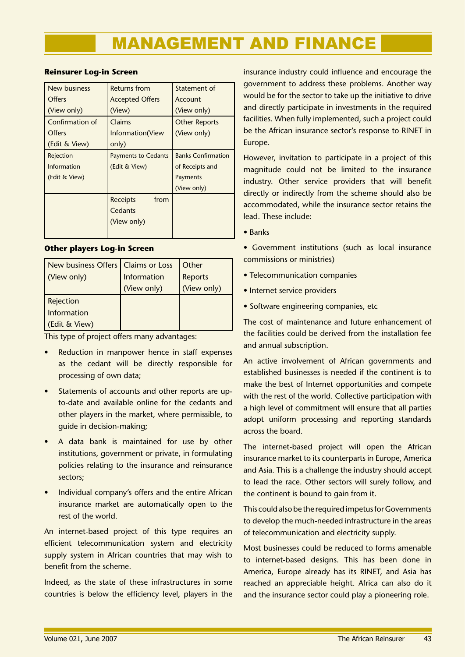### **Reinsurer Log-in Screen**

| <b>New business</b> | <b>Returns from</b>        | Statement of              |
|---------------------|----------------------------|---------------------------|
| Offers              | <b>Accepted Offers</b>     | Account                   |
| (View only)         | (View)                     | (View only)               |
| Confirmation of     | Claims                     | <b>Other Reports</b>      |
| Offers              | Information(View           | (View only)               |
| (Edit & View)       | only)                      |                           |
| Rejection           | <b>Payments to Cedants</b> | <b>Banks Confirmation</b> |
| Information         | (Edit & View)              | of Receipts and           |
| (Edit & View)       |                            | Payments                  |
|                     |                            | (View only)               |
|                     | from<br>Receipts           |                           |
|                     | Cedants                    |                           |
|                     | (View only)                |                           |
|                     |                            |                           |

### **Other players Log-in Screen**

| New business Offers   Claims or Loss |             | Other       |
|--------------------------------------|-------------|-------------|
| (View only)                          | Information | Reports     |
|                                      | (View only) | (View only) |
| Rejection                            |             |             |
| Information                          |             |             |
| (Edit & View)                        |             |             |

This type of project offers many advantages:

- Reduction in manpower hence in staff expenses as the cedant will be directly responsible for processing of own data; •
- Statements of accounts and other reports are upto-date and available online for the cedants and other players in the market, where permissible, to guide in decision-making; •
- A data bank is maintained for use by other institutions, government or private, in formulating policies relating to the insurance and reinsurance sectors; •
- Individual company's offers and the entire African insurance market are automatically open to the rest of the world. •

An internet-based project of this type requires an efficient telecommunication system and electricity supply system in African countries that may wish to benefit from the scheme.

Indeed, as the state of these infrastructures in some countries is below the efficiency level, players in the

insurance industry could influence and encourage the government to address these problems. Another way would be for the sector to take up the initiative to drive and directly participate in investments in the required facilities. When fully implemented, such a project could be the African insurance sector's response to RINET in Europe.

However, invitation to participate in a project of this magnitude could not be limited to the insurance industry. Other service providers that will benefit directly or indirectly from the scheme should also be accommodated, while the insurance sector retains the lead. These include:

- Banks
- Government institutions (such as local insurance commissions or ministries)
- Telecommunication companies
- Internet service providers
- Software engineering companies, etc

The cost of maintenance and future enhancement of the facilities could be derived from the installation fee and annual subscription.

An active involvement of African governments and established businesses is needed if the continent is to make the best of Internet opportunities and compete with the rest of the world. Collective participation with a high level of commitment will ensure that all parties adopt uniform processing and reporting standards across the board.

The internet-based project will open the African insurance market to its counterparts in Europe, America and Asia. This is a challenge the industry should accept to lead the race. Other sectors will surely follow, and the continent is bound to gain from it.

This could also be the required impetus for Governments to develop the much-needed infrastructure in the areas of telecommunication and electricity supply.

Most businesses could be reduced to forms amenable to internet-based designs. This has been done in America, Europe already has its RINET, and Asia has reached an appreciable height. Africa can also do it and the insurance sector could play a pioneering role.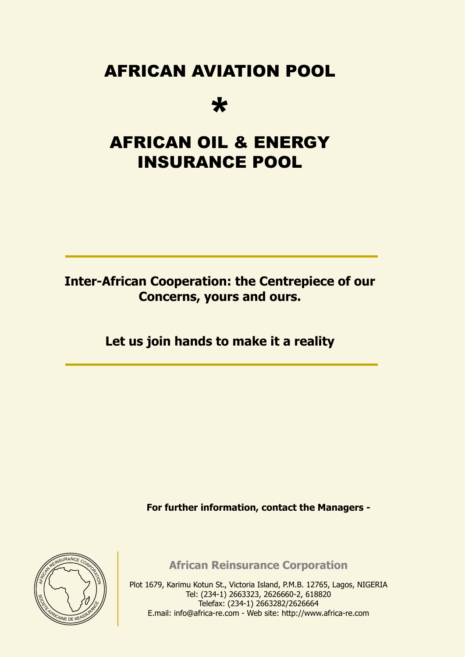# AFRICAN AVIATION POOL

# \*

# AFRICAN OIL & ENERGY INSURANCE POOL

### **Inter-African Cooperation: the Centrepiece of our Concerns, yours and ours.**

## **Let us join hands to make it a reality**

**For further information, contact the Managers -**



**African Reinsurance Corporation**

Plot 1679, Karimu Kotun St., Victoria Island, P.M.B. 12765, Lagos, NIGERIA Tel: (234-1) 2663323, 2626660-2, 618820 Telefax: (234-1) 2663282/2626664 E.mail: info@africa-re.com - Web site: http://www.africa-re.com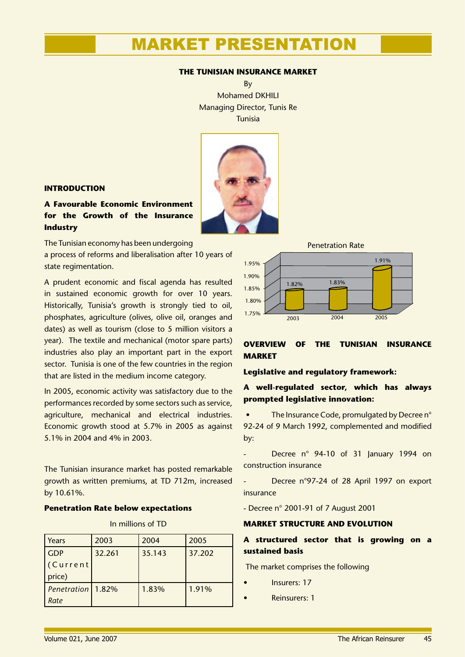### **THE TUNISIAN INSURANCE MARKET**

By Mohamed DKHILI Managing Director, Tunis Re Tunisia



### **INTRODUCTION**

### **A Favourable Economic Environment for the Growth of the Insurance Industry**

The Tunisian economy has been undergoing

a process of reforms and liberalisation after 10 years of state regimentation.

A prudent economic and fiscal agenda has resulted in sustained economic growth for over 10 years. Historically, Tunisia's growth is strongly tied to oil, phosphates, agriculture (olives, olive oil, oranges and dates) as well as tourism (close to 5 million visitors a year). The textile and mechanical (motor spare parts) industries also play an important part in the export sector. Tunisia is one of the few countries in the region that are listed in the medium income category.

In 2005, economic activity was satisfactory due to the performances recorded by some sectors such as service, agriculture, mechanical and electrical industries. Economic growth stood at 5.7% in 2005 as against 5.1% in 2004 and 4% in 2003.

The Tunisian insurance market has posted remarkable growth as written premiums, at TD 712m, increased by 10.61%.

### **Penetration Rate below expectations**

| Years               | 2003   | 2004   | 2005   |
|---------------------|--------|--------|--------|
| <b>GDP</b>          | 32.261 | 35.143 | 37.202 |
| (Current            |        |        |        |
| price)              |        |        |        |
| Penetration   1.82% |        | 1.83%  | 1.91%  |
| Rate                |        |        |        |



### **OVERVIEW OF THE TUNISIAN INSURANCE MARKET**

### **Legislative and regulatory framework:**

### **A well-regulated sector, which has always prompted legislative innovation:**

• The Insurance Code, promulgated by Decree n° 92-24 of 9 March 1992, complemented and modified by:

- Decree n° 94-10 of 31 January 1994 on construction insurance

Decree n°97-24 of 28 April 1997 on export insurance

- Decree n° 2001-91 of 7 August 2001

### **MARKET STRUCTURE AND EVOLUTION**

### **A structured sector that is growing on a sustained basis**

The market comprises the following

- Insurers: 17
- Reinsurers: 1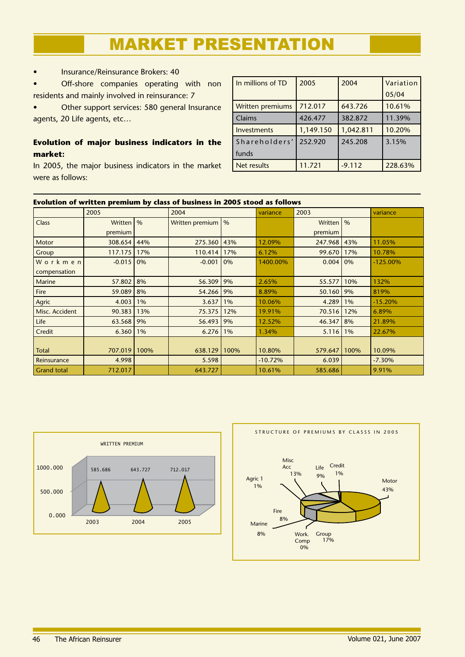• Insurance/Reinsurance Brokers: 40

• Off-shore companies operating with non residents and mainly involved in reinsurance: 7

• Other support services: 580 general Insurance agents, 20 Life agents, etc…

### **Evolution of major business indicators in the market:**

In 2005, the major business indicators in the market were as follows:

| In millions of TD       | 2005      | 2004      | Variation |
|-------------------------|-----------|-----------|-----------|
|                         |           |           | 05/04     |
| <b>Written premiums</b> | 712.017   | 643.726   | 10.61%    |
| Claims                  | 426.477   | 382.872   | 11.39%    |
| Investments             | 1,149.150 | 1,042.811 | 10.20%    |
| Shareholders'           | 252.920   | 245.208   | 3.15%     |
| funds                   |           |           |           |
| Net results             | 11.721    | $-9.112$  | 228.63%   |

|                    | Evolution of written premium by class of business in 2005 stood as follows |               |                 |      |           |             |       |             |  |  |
|--------------------|----------------------------------------------------------------------------|---------------|-----------------|------|-----------|-------------|-------|-------------|--|--|
|                    | 2005                                                                       |               | 2004            |      | variance  | 2003        |       | variance    |  |  |
| <b>Class</b>       | Written                                                                    | $\frac{9}{6}$ | Written premium | $\%$ |           | Written   % |       |             |  |  |
|                    | premium                                                                    |               |                 |      |           | premium     |       |             |  |  |
| Motor              | 308.654                                                                    | 44%           | 275.360         | 43%  | 12.09%    | 247.968 43% |       | 11.05%      |  |  |
| Group              | 117.175                                                                    | 17%           | 110.414         | 17%  | 6.12%     | 99.670      | 17%   | 10.78%      |  |  |
| Workmen            | $-0.015$                                                                   | 0%            | $-0.001$        | 0%   | 1400.00%  | 0.004       | 0%    | $-125.00\%$ |  |  |
| compensation       |                                                                            |               |                 |      |           |             |       |             |  |  |
| Marine             | 57.802                                                                     | 8%            | 56.309          | 9%   | 2.65%     | 55.577      | 10%   | 132%        |  |  |
| Fire               | 59.089                                                                     | 8%            | 54.266          | 9%   | 8.89%     | 50.160      | 9%    | 819%        |  |  |
| Agric              | 4.003                                                                      | $1\%$         | 3.637           | 1%   | 10.06%    | 4.289       | $1\%$ | $-15.20%$   |  |  |
| Misc. Accident     | 90.383                                                                     | 13%           | 75.375          | 12%  | 19.91%    | 70.516      | 12%   | 6.89%       |  |  |
| Life               | 63.568                                                                     | 9%            | 56.493          | 9%   | 12.52%    | 46.347      | 8%    | 21.89%      |  |  |
| Credit             | 6.360                                                                      | $1\%$         | 6.276           | 1%   | 1.34%     | 5.116       | 1%    | 22.67%      |  |  |
|                    |                                                                            |               |                 |      |           |             |       |             |  |  |
| Total              | 707.019                                                                    | 100%          | 638.129         | 100% | 10.80%    | 579.647     | 100%  | 10.09%      |  |  |
| Reinsurance        | 4.998                                                                      |               | 5.598           |      | $-10.72%$ | 6.039       |       | $-7.30%$    |  |  |
| <b>Grand total</b> | 712.017                                                                    |               | 643.727         |      | 10.61%    | 585.686     |       | 9.91%       |  |  |





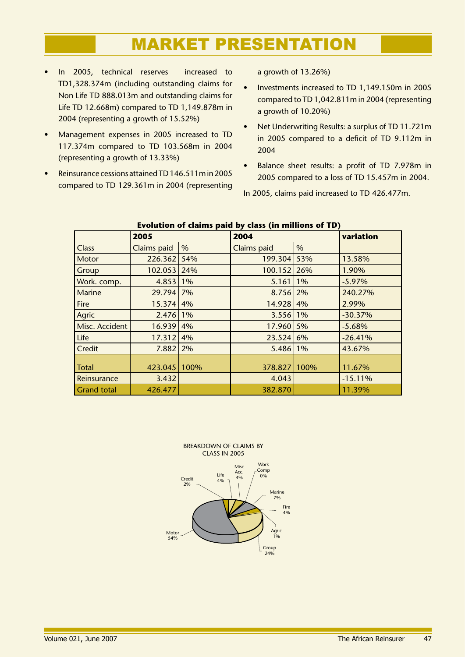- In 2005, technical reserves increased to TD1,328.374m (including outstanding claims for Non Life TD 888.013m and outstanding claims for Life TD 12.668m) compared to TD 1,149.878m in 2004 (representing a growth of 15.52%) •
- Management expenses in 2005 increased to TD 117.374m compared to TD 103.568m in 2004 (representing a growth of 13.33%) •
- Reinsurance cessions attained TD 146.511m in 2005 compared to TD 129.361m in 2004 (representing •

a growth of 13.26%)

- Investments increased to TD 1,149.150m in 2005 compared to TD 1,042.811m in 2004 (representing a growth of 10.20%) •
- Net Underwriting Results: a surplus of TD 11.721m in 2005 compared to a deficit of TD 9.112m in 2004 •
- Balance sheet results: a profit of TD 7.978m in 2005 compared to a loss of TD 15.457m in 2004. •

In 2005, claims paid increased to TD 426.477m.

|                    | 2005          |       | 2004               |       |           |  |  |  |  |
|--------------------|---------------|-------|--------------------|-------|-----------|--|--|--|--|
| <b>Class</b>       | Claims paid   | %     | <b>Claims paid</b> | %     |           |  |  |  |  |
| Motor              | 226.362       | 54%   | 199.304            | 53%   | 13.58%    |  |  |  |  |
| Group              | 102.053   24% |       | 100.152            | 26%   | 1.90%     |  |  |  |  |
| Work. comp.        | 4.853         | $1\%$ | 5.161              | $1\%$ | $-5.97%$  |  |  |  |  |
| <b>Marine</b>      | 29.794 7%     |       | 8.756              | 2%    | 240.27%   |  |  |  |  |
| <b>Fire</b>        | 15.374 4%     |       | 14.928             | 4%    | 2.99%     |  |  |  |  |
| Agric              | 2.476 1%      |       | 3.556              | 1%    | $-30.37%$ |  |  |  |  |
| Misc. Accident     | 16.939 4%     |       | 17.960             | 5%    | $-5.68%$  |  |  |  |  |
| Life               | 17.312 4%     |       | 23.524             | 6%    | $-26.41%$ |  |  |  |  |
| Credit             | $7.882$   2%  |       | 5.486              | $1\%$ | 43.67%    |  |  |  |  |
|                    |               |       |                    |       |           |  |  |  |  |
| <b>Total</b>       | 423.045 100%  |       | 378.827            | 100%  | 11.67%    |  |  |  |  |
| Reinsurance        | 3.432         |       | 4.043              |       | $-15.11%$ |  |  |  |  |
| <b>Grand total</b> | 426.477       |       | 382.870            |       | 11.39%    |  |  |  |  |

### **Evolution of claims paid by class (in millions of TD)**

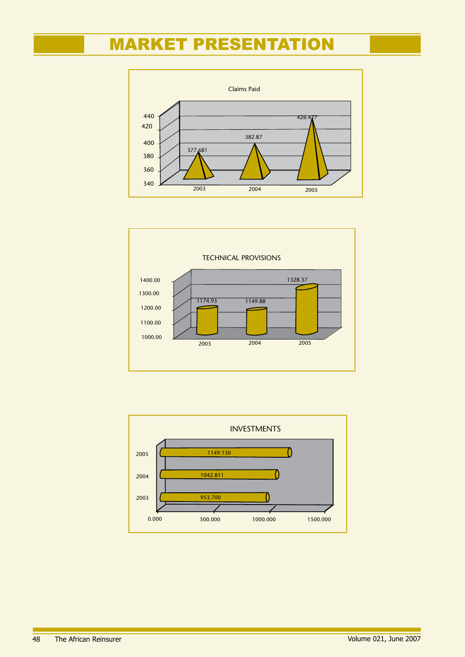



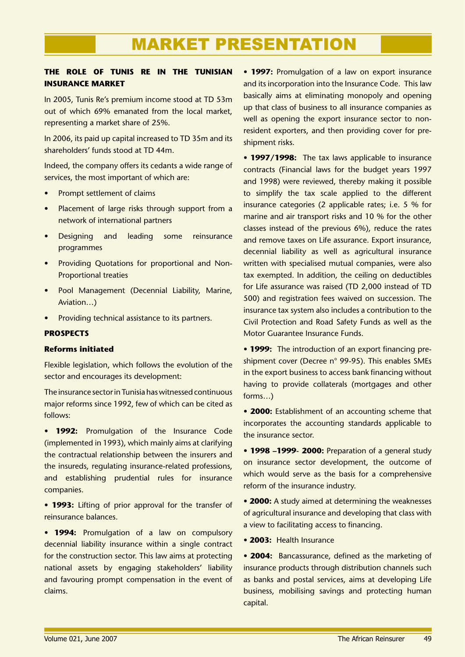### **THE ROLE OF TUNIS RE IN THE TUNISIAN INSURANCE MARKET**

In 2005, Tunis Re's premium income stood at TD 53m out of which 69% emanated from the local market, representing a market share of 25%.

In 2006, its paid up capital increased to TD 35m and its shareholders' funds stood at TD 44m.

Indeed, the company offers its cedants a wide range of services, the most important of which are:

- Prompt settlement of claims •
- Placement of large risks through support from a network of international partners •
- Designing and leading some reinsurance programmes •
- Providing Quotations for proportional and Non-Proportional treaties
- Pool Management (Decennial Liability, Marine, Aviation…)
- Providing technical assistance to its partners. •

### **PROSPECTS**

### **Reforms initiated**

Flexible legislation, which follows the evolution of the sector and encourages its development:

The insurance sector in Tunisia has witnessed continuous major reforms since 1992, few of which can be cited as follows:

• **1992:** Promulgation of the Insurance Code (implemented in 1993), which mainly aims at clarifying the contractual relationship between the insurers and the insureds, regulating insurance-related professions, and establishing prudential rules for insurance companies.

• **1993:** Lifting of prior approval for the transfer of reinsurance balances.

• **1994:** Promulgation of a law on compulsory decennial liability insurance within a single contract for the construction sector. This law aims at protecting national assets by engaging stakeholders' liability and favouring prompt compensation in the event of claims.

• **1997:** Promulgation of a law on export insurance and its incorporation into the Insurance Code. This law basically aims at eliminating monopoly and opening up that class of business to all insurance companies as well as opening the export insurance sector to nonresident exporters, and then providing cover for preshipment risks.

• **1997/1998:** The tax laws applicable to insurance contracts (Financial laws for the budget years 1997 and 1998) were reviewed, thereby making it possible to simplify the tax scale applied to the different insurance categories (2 applicable rates; i.e. 5 % for marine and air transport risks and 10 % for the other classes instead of the previous 6%), reduce the rates and remove taxes on Life assurance. Export insurance, decennial liability as well as agricultural insurance written with specialised mutual companies, were also tax exempted. In addition, the ceiling on deductibles for Life assurance was raised (TD 2,000 instead of TD 500) and registration fees waived on succession. The insurance tax system also includes a contribution to the Civil Protection and Road Safety Funds as well as the Motor Guarantee Insurance Funds.

• **1999:** The introduction of an export financing preshipment cover (Decree n° 99-95). This enables SMEs in the export business to access bank financing without having to provide collaterals (mortgages and other forms…)

• **2000:** Establishment of an accounting scheme that incorporates the accounting standards applicable to the insurance sector.

• **1998 –1999- 2000:** Preparation of a general study on insurance sector development, the outcome of which would serve as the basis for a comprehensive reform of the insurance industry.

• **2000:** A study aimed at determining the weaknesses of agricultural insurance and developing that class with a view to facilitating access to financing.

• **2003:** Health Insurance

• **2004:** Bancassurance, defined as the marketing of insurance products through distribution channels such as banks and postal services, aims at developing Life business, mobilising savings and protecting human capital.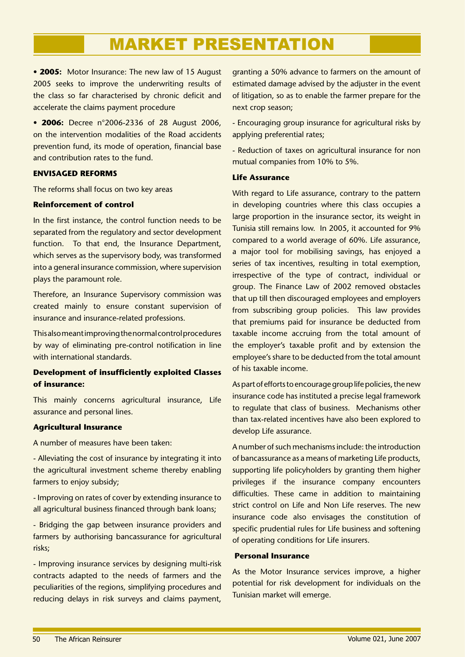• **2005:** Motor Insurance: The new law of 15 August 2005 seeks to improve the underwriting results of the class so far characterised by chronic deficit and accelerate the claims payment procedure

• **2006:** Decree n°2006-2336 of 28 August 2006, on the intervention modalities of the Road accidents prevention fund, its mode of operation, financial base and contribution rates to the fund.

### **ENVISAGED REFORMS**

The reforms shall focus on two key areas

### **Reinforcement of control**

In the first instance, the control function needs to be separated from the regulatory and sector development function. To that end, the Insurance Department, which serves as the supervisory body, was transformed into a general insurance commission, where supervision plays the paramount role.

Therefore, an Insurance Supervisory commission was created mainly to ensure constant supervision of insurance and insurance-related professions.

This also meant improving the normal control procedures by way of eliminating pre-control notification in line with international standards.

### **Development of insufficiently exploited Classes of insurance:**

This mainly concerns agricultural insurance, Life assurance and personal lines.

### **Agricultural Insurance**

A number of measures have been taken:

- Alleviating the cost of insurance by integrating it into the agricultural investment scheme thereby enabling farmers to enjoy subsidy;

- Improving on rates of cover by extending insurance to all agricultural business financed through bank loans;

- Bridging the gap between insurance providers and farmers by authorising bancassurance for agricultural risks;

- Improving insurance services by designing multi-risk contracts adapted to the needs of farmers and the peculiarities of the regions, simplifying procedures and reducing delays in risk surveys and claims payment,

granting a 50% advance to farmers on the amount of estimated damage advised by the adjuster in the event of litigation, so as to enable the farmer prepare for the next crop season;

- Encouraging group insurance for agricultural risks by applying preferential rates;

- Reduction of taxes on agricultural insurance for non mutual companies from 10% to 5%.

### **Life Assurance**

With regard to Life assurance, contrary to the pattern in developing countries where this class occupies a large proportion in the insurance sector, its weight in Tunisia still remains low. In 2005, it accounted for 9% compared to a world average of 60%. Life assurance, a major tool for mobilising savings, has enjoyed a series of tax incentives, resulting in total exemption, irrespective of the type of contract, individual or group. The Finance Law of 2002 removed obstacles that up till then discouraged employees and employers from subscribing group policies. This law provides that premiums paid for insurance be deducted from taxable income accruing from the total amount of the employer's taxable profit and by extension the employee's share to be deducted from the total amount of his taxable income.

As part of efforts to encourage group life policies, the new insurance code has instituted a precise legal framework to regulate that class of business. Mechanisms other than tax-related incentives have also been explored to develop Life assurance.

A number of such mechanisms include: the introduction of bancassurance as a means of marketing Life products, supporting life policyholders by granting them higher privileges if the insurance company encounters difficulties. These came in addition to maintaining strict control on Life and Non Life reserves. The new insurance code also envisages the constitution of specific prudential rules for Life business and softening of operating conditions for Life insurers.

### **Personal Insurance**

As the Motor Insurance services improve, a higher potential for risk development for individuals on the Tunisian market will emerge.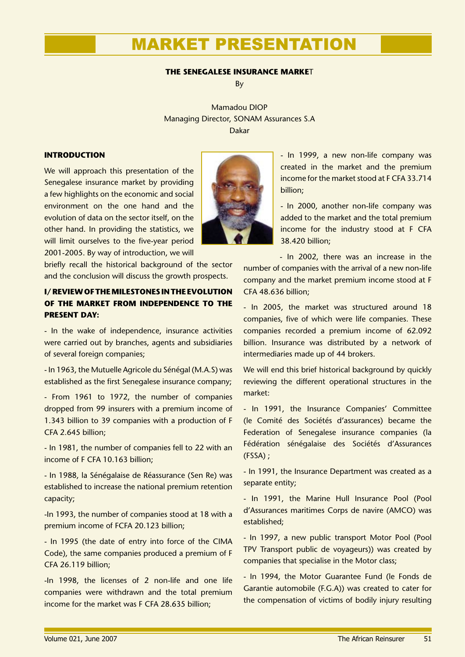### **THE SENEGALESE INSURANCE MARKE**T

By

Mamadou DIOP Managing Director, SONAM Assurances S.A Dakar

### **INTRODUCTION**

We will approach this presentation of the Senegalese insurance market by providing a few highlights on the economic and social environment on the one hand and the evolution of data on the sector itself, on the other hand. In providing the statistics, we will limit ourselves to the five-year period 2001-2005. By way of introduction, we will

briefly recall the historical background of the sector and the conclusion will discuss the growth prospects.

### **I/ REVIEW OF THE MILESTONES IN THE EVOLUTION OF THE MARKET FROM INDEPENDENCE TO THE PRESENT DAY:**

- In the wake of independence, insurance activities were carried out by branches, agents and subsidiaries of several foreign companies;

- In 1963, the Mutuelle Agricole du Sénégal (M.A.S) was established as the first Senegalese insurance company;

- From 1961 to 1972, the number of companies dropped from 99 insurers with a premium income of 1.343 billion to 39 companies with a production of F CFA 2.645 billion;

- In 1981, the number of companies fell to 22 with an income of F CFA 10.163 billion;

- In 1988, la Sénégalaise de Réassurance (Sen Re) was established to increase the national premium retention capacity;

-In 1993, the number of companies stood at 18 with a premium income of FCFA 20.123 billion;

- In 1995 (the date of entry into force of the CIMA Code), the same companies produced a premium of F CFA 26.119 billion;

-In 1998, the licenses of 2 non-life and one life companies were withdrawn and the total premium income for the market was F CFA 28.635 billion;



- In 1999, a new non-life company was created in the market and the premium income for the market stood at F CFA 33.714 billion;

- In 2000, another non-life company was added to the market and the total premium income for the industry stood at F CFA 38.420 billion;

- In 2002, there was an increase in the number of companies with the arrival of a new non-life company and the market premium income stood at F CFA 48.636 billion;

- In 2005, the market was structured around 18 companies, five of which were life companies. These companies recorded a premium income of 62.092 billion. Insurance was distributed by a network of intermediaries made up of 44 brokers.

We will end this brief historical background by quickly reviewing the different operational structures in the market:

- In 1991, the Insurance Companies' Committee (le Comité des Sociétés d'assurances) became the Federation of Senegalese insurance companies (la Fédération sénégalaise des Sociétés d'Assurances (FSSA) ;

- In 1991, the Insurance Department was created as a separate entity;

- In 1991, the Marine Hull Insurance Pool (Pool d'Assurances maritimes Corps de navire (AMCO) was established;

- In 1997, a new public transport Motor Pool (Pool TPV Transport public de voyageurs)) was created by companies that specialise in the Motor class;

- In 1994, the Motor Guarantee Fund (le Fonds de Garantie automobile (F.G.A)) was created to cater for the compensation of victims of bodily injury resulting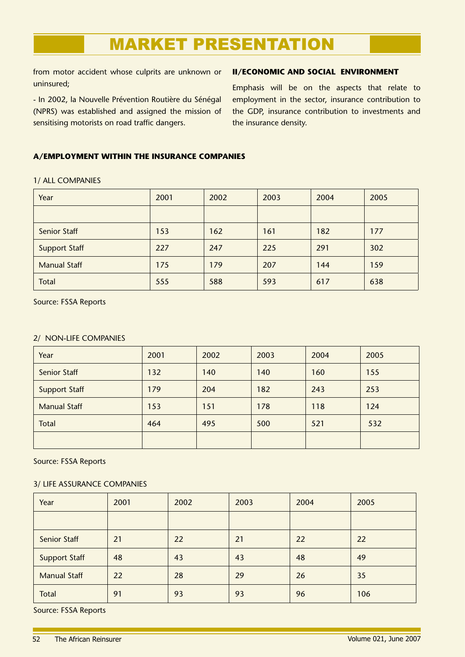from motor accident whose culprits are unknown or uninsured;

- In 2002, la Nouvelle Prévention Routière du Sénégal (NPRS) was established and assigned the mission of sensitising motorists on road traffic dangers.

### **II/ECONOMIC AND SOCIAL ENVIRONMENT**

Emphasis will be on the aspects that relate to employment in the sector, insurance contribution to the GDP, insurance contribution to investments and the insurance density.

### **A/EMPLOYMENT WITHIN THE INSURANCE COMPANIES**

### 1/ ALL COMPANIES

| Year                 | 2001 | 2002 | 2003 | 2004 | 2005 |
|----------------------|------|------|------|------|------|
|                      |      |      |      |      |      |
| <b>Senior Staff</b>  | 153  | 162  | 161  | 182  | 177  |
| <b>Support Staff</b> | 227  | 247  | 225  | 291  | 302  |
| <b>Manual Staff</b>  | 175  | 179  | 207  | 144  | 159  |
| Total                | 555  | 588  | 593  | 617  | 638  |

Source: FSSA Reports

### 2/ NON-LIFE COMPANIES

| Year                 | 2001 | 2002 | 2003 | 2004 | 2005 |
|----------------------|------|------|------|------|------|
| <b>Senior Staff</b>  | 132  | 140  | 140  | 160  | 155  |
| <b>Support Staff</b> | 179  | 204  | 182  | 243  | 253  |
| <b>Manual Staff</b>  | 153  | 151  | 178  | 118  | 124  |
| <b>Total</b>         | 464  | 495  | 500  | 521  | 532  |
|                      |      |      |      |      |      |

Source: FSSA Reports

### 3/ LIFE ASSURANCE COMPANIES

| Year                 | 2001 | 2002 | 2003 | 2004 | 2005 |
|----------------------|------|------|------|------|------|
|                      |      |      |      |      |      |
| Senior Staff         | 21   | 22   | 21   | 22   | 22   |
| <b>Support Staff</b> | 48   | 43   | 43   | 48   | 49   |
| <b>Manual Staff</b>  | 22   | 28   | 29   | 26   | 35   |
| <b>Total</b>         | 91   | 93   | 93   | 96   | 106  |

Source: FSSA Reports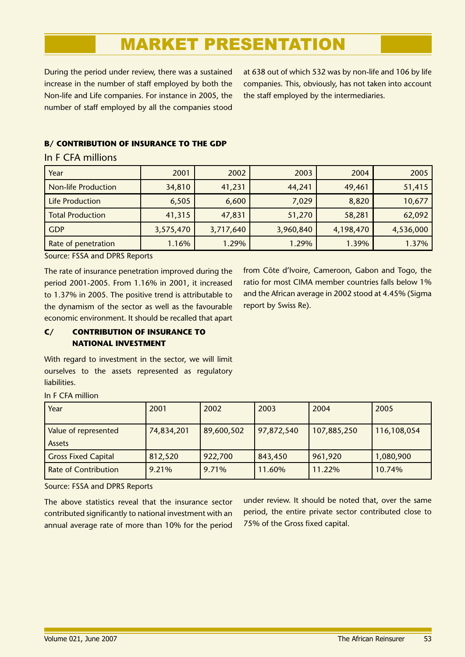During the period under review, there was a sustained increase in the number of staff employed by both the Non-life and Life companies. For instance in 2005, the number of staff employed by all the companies stood

at 638 out of which 532 was by non-life and 106 by life companies. This, obviously, has not taken into account the staff employed by the intermediaries.

### **B/ CONTRIBUTION OF INSURANCE TO THE GDP**

### In F CFA millions

| Year                       | 2001      | 2002      | 2003      | 2004      | 2005      |
|----------------------------|-----------|-----------|-----------|-----------|-----------|
| <b>Non-life Production</b> | 34,810    | 41,231    | 44,241    | 49,461    | 51,415    |
| <b>Life Production</b>     | 6,505     | 6,600     | 7,029     | 8,820     | 10,677    |
| <b>Total Production</b>    | 41,315    | 47,831    | 51,270    | 58,281    | 62,092    |
| <b>GDP</b>                 | 3,575,470 | 3,717,640 | 3,960,840 | 4,198,470 | 4,536,000 |
| Rate of penetration        | 1.16%     | 1.29%     | 1.29%     | 1.39%     | 1.37%     |

Source: FSSA and DPRS Reports

The rate of insurance penetration improved during the period 2001-2005. From 1.16% in 2001, it increased to 1.37% in 2005. The positive trend is attributable to the dynamism of the sector as well as the favourable economic environment. It should be recalled that apart from Côte d'Ivoire, Cameroon, Gabon and Togo, the ratio for most CIMA member countries falls below 1% and the African average in 2002 stood at 4.45% (Sigma report by Swiss Re).

### **C/ CONTRIBUTION OF INSURANCE TO NATIONAL INVESTMENT**

With regard to investment in the sector, we will limit ourselves to the assets represented as regulatory liabilities.

| Year                                  | 2001       | 2002       | 2003       | 2004        | 2005        |
|---------------------------------------|------------|------------|------------|-------------|-------------|
| Value of represented<br><b>Assets</b> | 74,834,201 | 89,600,502 | 97,872,540 | 107,885,250 | 116,108,054 |
| <b>Gross Fixed Capital</b>            | 812,520    | 922,700    | 843,450    | 961,920     | 1,080,900   |
| <b>Rate of Contribution</b>           | 9.21%      | 9.71%      | 11.60%     | 11.22%      | 10.74%      |

In F CFA million

Source: FSSA and DPRS Reports

The above statistics reveal that the insurance sector contributed significantly to national investment with an annual average rate of more than 10% for the period

under review. It should be noted that, over the same period, the entire private sector contributed close to 75% of the Gross fixed capital.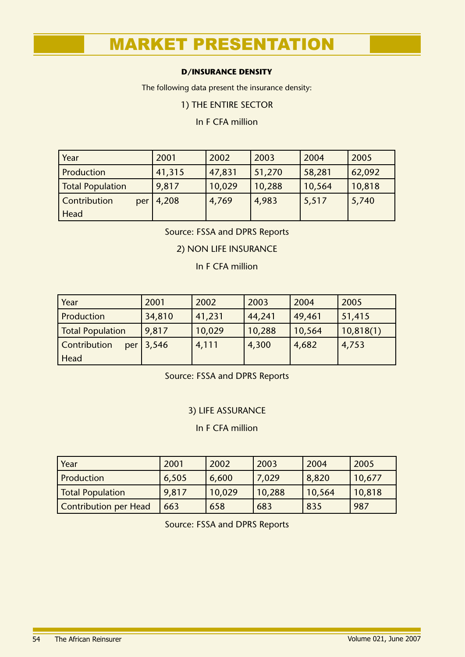### **D/INSURANCE DENSITY**

The following data present the insurance density:

1) THE ENTIRE SECTOR

In F CFA million

| Year                    | 2001   | 2002   | 2003   | 2004   | 2005   |
|-------------------------|--------|--------|--------|--------|--------|
| Production              | 41,315 | 47,831 | 51,270 | 58,281 | 62,092 |
| <b>Total Population</b> | 9,817  | 10,029 | 10,288 | 10,564 | 10,818 |
| Contribution<br>per     | 4,208  | 4,769  | 4,983  | 5,517  | 5,740  |
| Head                    |        |        |        |        |        |

Source: FSSA and DPRS Reports

### 2) NON LIFE INSURANCE

In F CFA million

| Year                       | 2001   | 2002   | 2003   | 2004   | 2005      |
|----------------------------|--------|--------|--------|--------|-----------|
| <b>Production</b>          | 34,810 | 41,231 | 44,241 | 49,461 | 51,415    |
| Total Population           | 9,817  | 10,029 | 10,288 | 10,564 | 10,818(1) |
| <b>Contribution</b><br>per | 3,546  | 4,111  | 4,300  | 4,682  | 4,753     |
| Head                       |        |        |        |        |           |

Source: FSSA and DPRS Reports

### 3) LIFE ASSURANCE

In F CFA million

| Year                  | 2001  | 2002   | 2003   | 2004   | 2005   |
|-----------------------|-------|--------|--------|--------|--------|
| Production            | 6,505 | 6,600  | 7,029  | 8,820  | 10,677 |
| Total Population      | 9,817 | 10,029 | 10,288 | 10,564 | 10,818 |
| Contribution per Head | 663   | 658    | 683    | 835    | 987    |

Source: FSSA and DPRS Reports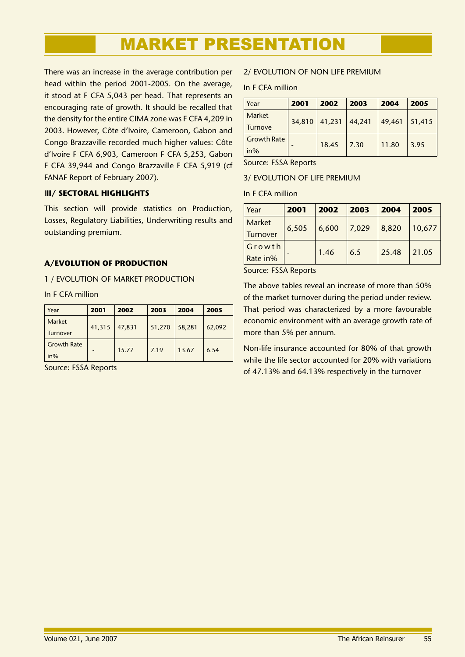There was an increase in the average contribution per head within the period 2001-2005. On the average, it stood at F CFA 5,043 per head. That represents an encouraging rate of growth. It should be recalled that the density for the entire CIMA zone was F CFA 4,209 in 2003. However, Côte d'Ivoire, Cameroon, Gabon and Congo Brazzaville recorded much higher values: Côte d'Ivoire F CFA 6,903, Cameroon F CFA 5,253, Gabon F CFA 39,944 and Congo Brazzaville F CFA 5,919 (cf FANAF Report of February 2007).

### I**II/ SECTORAL HIGHLIGHTS**

This section will provide statistics on Production, Losses, Regulatory Liabilities, Underwriting results and outstanding premium.

### **A/EVOLUTION OF PRODUCTION**

1 / EVOLUTION OF MARKET PRODUCTION

In F CFA million

| Year                         | 2001   | 2002   | 2003   | 2004   | 2005   |
|------------------------------|--------|--------|--------|--------|--------|
| Market<br>Turnover           | 41,315 | 47,831 | 51,270 | 58,281 | 62,092 |
| <b>Growth Rate</b><br>$in\%$ |        | 15.77  | 7.19   | 13.67  | 6.54   |

Source: FSSA Reports

### 2/ EVOLUTION OF NON LIFE PREMIUM

In F CFA million

| Year               | 2001   | 2002   | 2003   | 2004   | 2005   |
|--------------------|--------|--------|--------|--------|--------|
| <b>Market</b>      | 34,810 | 41,231 | 44,241 | 49,461 | 51,415 |
| <b>Turnove</b>     |        |        |        |        |        |
| <b>Growth Rate</b> |        |        | 7.30   |        | 3.95   |
| $in\%$             |        | 18.45  |        | 11.80  |        |

Source: FSSA Reports

### 3/ EVOLUTION OF LIFE PREMIUM

In F CFA million

| Year     | 2001  | 2002  | 2003  | 2004  | 2005   |
|----------|-------|-------|-------|-------|--------|
| Market   |       |       | 7,029 | 8,820 |        |
| Turnover | 6,505 | 6,600 |       |       | 10,677 |
| Growth   |       |       |       |       |        |
| Rate in% |       | 1.46  | 6.5   | 25.48 | 21.05  |

Source: FSSA Reports

The above tables reveal an increase of more than 50% of the market turnover during the period under review. That period was characterized by a more favourable economic environment with an average growth rate of more than 5% per annum.

Non-life insurance accounted for 80% of that growth while the life sector accounted for 20% with variations of 47.13% and 64.13% respectively in the turnover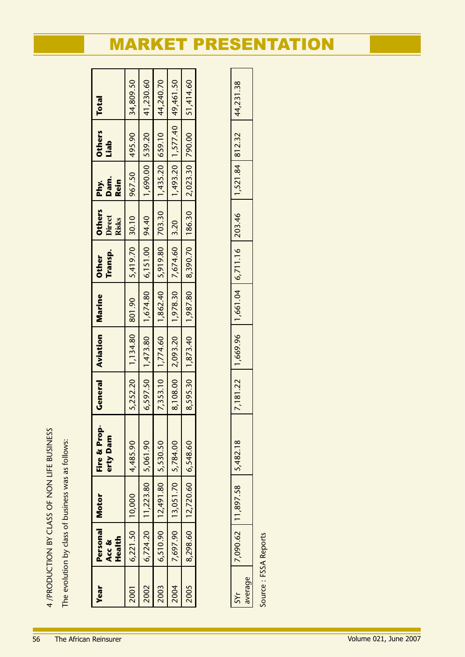4 /PRODUCTION BY CLASS OF NON LIFE BUSINESS 4 /PRODUCTION BY CLASS OF NON LIFE BUSINESS

The evolution by class of business was as follows: The evolution by class of business was as follows:

| <b>Year</b> | Personal   Motor<br>Health<br>Acc & |                                   | Fire & Prop-<br>erty Dam | General | <b>Aviation</b>                                                                    | Marine | Transp.<br><b>Other</b> | <b>Others</b><br>Direct<br>Risks | Dam.<br><b>Rein</b><br>Phy. | <b>Others</b><br>Liab                                                            | <b>Total</b> |
|-------------|-------------------------------------|-----------------------------------|--------------------------|---------|------------------------------------------------------------------------------------|--------|-------------------------|----------------------------------|-----------------------------|----------------------------------------------------------------------------------|--------------|
| 2001        | $6,221.50$ 10,000                   |                                   | 4,485.90                 |         | $5,252.20$   1,134.80   801.90                                                     |        | $5,419.70$ 30.10        |                                  | 967.50 495.90               |                                                                                  | 34,809.50    |
| 2002        |                                     | $6,724.20$   11,223.80   5,061.90 |                          |         | $6,597.50$   1,473.80   1,674.80   6,151.00   94.40                                |        |                         |                                  |                             | $\begin{bmatrix} 1,690.00 & 539.20 \\ 1,690.00 & 539.20 \end{bmatrix}$ 41,230.60 |              |
| 2003        |                                     | $6,510.90$   12,491.80   5,530.50 |                          |         | 7,353.10   1,774.60   1,862.40   5,919.80   703.30   1,435.20   659.10   44,240.70 |        |                         |                                  |                             |                                                                                  |              |
| 2004        |                                     | 7,697.90   13,051.70   5,784.00   |                          |         | 8,108.00   2,093.20   1,978.30   7,674.60   3.20                                   |        |                         |                                  |                             | $1,493.20$   $1,577.40$   $49,461.50$                                            |              |
| 2005        |                                     | 8,298.60   12,720.60   6,548.60   |                          |         | 8,595.30   1,873.40   1,987.80   8,390.70   186.30   2,023.30   790.00   51,414.60 |        |                         |                                  |                             |                                                                                  |              |
|             |                                     |                                   |                          |         |                                                                                    |        |                         |                                  |                             |                                                                                  |              |

| 7 090 62 L | 11,897.58 | 7,181.22 | ,669.96 | $-1,661.04$ | 6,711.16   203.46 | 1,521.84 812.32 | 44,231.38 |  |
|------------|-----------|----------|---------|-------------|-------------------|-----------------|-----------|--|
|            |           |          |         |             |                   |                 |           |  |
|            |           |          |         |             |                   |                 |           |  |

Source: FSSA Reports Source : FSSA Reports

# MARKET PRESENTATION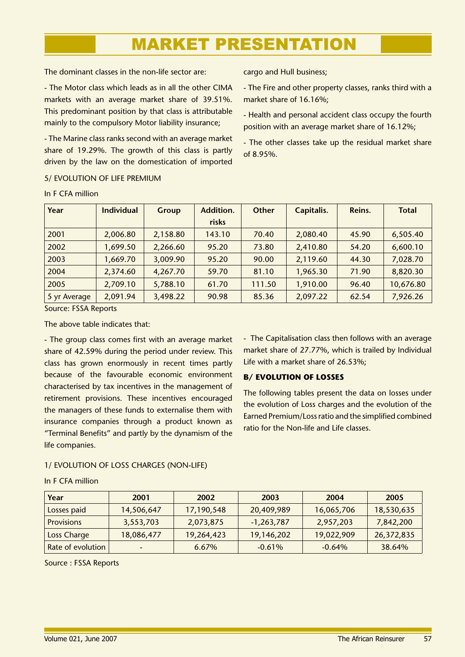The dominant classes in the non-life sector are:

- The Motor class which leads as in all the other CIMA markets with an average market share of 39.51%. This predominant position by that class is attributable mainly to the compulsory Motor liability insurance;

- The Marine class ranks second with an average market share of 19.29%. The growth of this class is partly driven by the law on the domestication of imported

cargo and Hull business;

- The Fire and other property classes, ranks third with a market share of 16.16%;
- Health and personal accident class occupy the fourth position with an average market share of 16.12%;

- The other classes take up the residual market share of 8.95%.

### 5/ EVOLUTION OF LIFE PREMIUM

| Year         | <b>Individual</b> | <b>Group</b> | Addition. | <b>Other</b> | Capitalis. | Reins. | <b>Total</b> |
|--------------|-------------------|--------------|-----------|--------------|------------|--------|--------------|
|              |                   |              | risks     |              |            |        |              |
| 2001         | 2,006.80          | 2,158.80     | 143.10    | 70.40        | 2,080.40   | 45.90  | 6,505.40     |
| 2002         | 1,699.50          | 2,266.60     | 95.20     | 73.80        | 2,410.80   | 54.20  | 6,600.10     |
| 2003         | 1,669.70          | 3,009.90     | 95.20     | 90.00        | 2,119.60   | 44.30  | 7,028.70     |
| 2004         | 2,374.60          | 4,267.70     | 59.70     | 81.10        | 1,965.30   | 71.90  | 8,820.30     |
| 2005         | 2,709.10          | 5,788.10     | 61.70     | 111.50       | 1,910.00   | 96.40  | 10,676.80    |
| 5 yr Average | 2,091.94          | 3,498.22     | 90.98     | 85.36        | 2,097.22   | 62.54  | 7,926.26     |

### In F CFA million

Source: FSSA Reports

The above table indicates that:

- The group class comes first with an average market share of 42.59% during the period under review. This class has grown enormously in recent times partly because of the favourable economic environment characterised by tax incentives in the management of retirement provisions. These incentives encouraged the managers of these funds to externalise them with insurance companies through a product known as "Terminal Benefits" and partly by the dynamism of the life companies.

- The Capitalisation class then follows with an average market share of 27.77%, which is trailed by Individual Life with a market share of 26.53%;

### **B/ EVOLUTION OF LOSSES**

The following tables present the data on losses under the evolution of Loss charges and the evolution of the Earned Premium/Loss ratio and the simplified combined ratio for the Non-life and Life classes.

### 1/ EVOLUTION OF LOSS CHARGES (NON-LIFE)

| Year              | 2001                     | 2002       | 2003         | 2004       | 2005       |
|-------------------|--------------------------|------------|--------------|------------|------------|
| Losses paid       | 14,506,647               | 17,190,548 | 20,409,989   | 16,065,706 | 18,530,635 |
| <b>Provisions</b> | 3,553,703                | 2,073,875  | $-1,263,787$ | 2,957,203  | 7,842,200  |
| Loss Charge       | 18,086,477               | 19,264,423 | 19,146,202   | 19,022,909 | 26,372,835 |
| Rate of evolution | $\overline{\phantom{0}}$ | 6.67%      | $-0.61%$     | $-0.64%$   | 38.64%     |

### In F CFA million

Source : FSSA Reports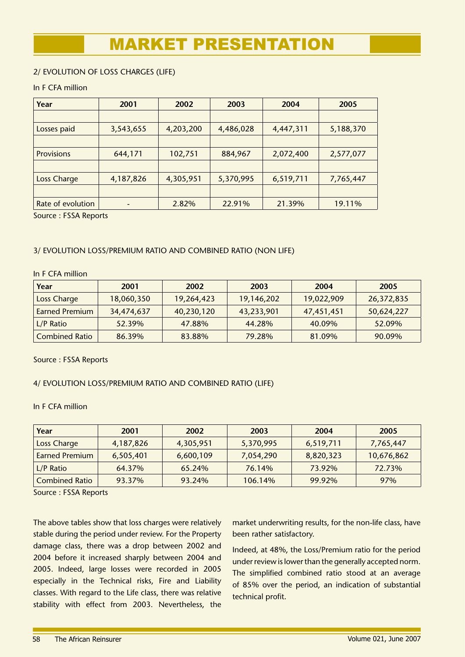### 2/ EVOLUTION OF LOSS CHARGES (LIFE)

### In F CFA million

| Year               | 2001      | 2002      | 2003      | 2004      | 2005      |
|--------------------|-----------|-----------|-----------|-----------|-----------|
|                    |           |           |           |           |           |
| Losses paid        | 3,543,655 | 4,203,200 | 4,486,028 | 4,447,311 | 5,188,370 |
|                    |           |           |           |           |           |
| <b>Provisions</b>  | 644,171   | 102,751   | 884,967   | 2,072,400 | 2,577,077 |
|                    |           |           |           |           |           |
| <b>Loss Charge</b> | 4,187,826 | 4,305,951 | 5,370,995 | 6,519,711 | 7,765,447 |
|                    |           |           |           |           |           |
| Rate of evolution  |           | 2.82%     | 22.91%    | 21.39%    | 19.11%    |

Source : FSSA Reports

### 3/ EVOLUTION LOSS/PREMIUM RATIO AND COMBINED RATIO (NON LIFE)

### In F CFA million

| Year                  | 2001       | 2002       | 2003       | 2004       | 2005       |
|-----------------------|------------|------------|------------|------------|------------|
| Loss Charge           | 18,060,350 | 19,264,423 | 19,146,202 | 19,022,909 | 26,372,835 |
| <b>Earned Premium</b> | 34,474,637 | 40,230,120 | 43,233,901 | 47,451,451 | 50,624,227 |
| $L/P$ Ratio           | 52.39%     | 47.88%     | 44.28%     | 40.09%     | 52.09%     |
| <b>Combined Ratio</b> | 86.39%     | 83.88%     | 79.28%     | 81.09%     | 90.09%     |

Source : FSSA Reports

### 4/ EVOLUTION LOSS/PREMIUM RATIO AND COMBINED RATIO (LIFE)

### In F CFA million

| Year                  | 2001      | 2002      | 2003      | 2004      | 2005       |
|-----------------------|-----------|-----------|-----------|-----------|------------|
| Loss Charge           | 4,187,826 | 4,305,951 | 5,370,995 | 6,519,711 | 7,765,447  |
| <b>Earned Premium</b> | 6,505,401 | 6,600,109 | 7,054,290 | 8,820,323 | 10,676,862 |
| $L/P$ Ratio           | 64.37%    | 65.24%    | 76.14%    | 73.92%    | 72.73%     |
| <b>Combined Ratio</b> | 93.37%    | 93.24%    | 106.14%   | 99.92%    | 97%        |

Source : FSSA Reports

The above tables show that loss charges were relatively stable during the period under review. For the Property damage class, there was a drop between 2002 and 2004 before it increased sharply between 2004 and 2005. Indeed, large losses were recorded in 2005 especially in the Technical risks, Fire and Liability classes. With regard to the Life class, there was relative stability with effect from 2003. Nevertheless, the market underwriting results, for the non-life class, have been rather satisfactory.

Indeed, at 48%, the Loss/Premium ratio for the period under review is lower than the generally accepted norm. The simplified combined ratio stood at an average of 85% over the period, an indication of substantial technical profit.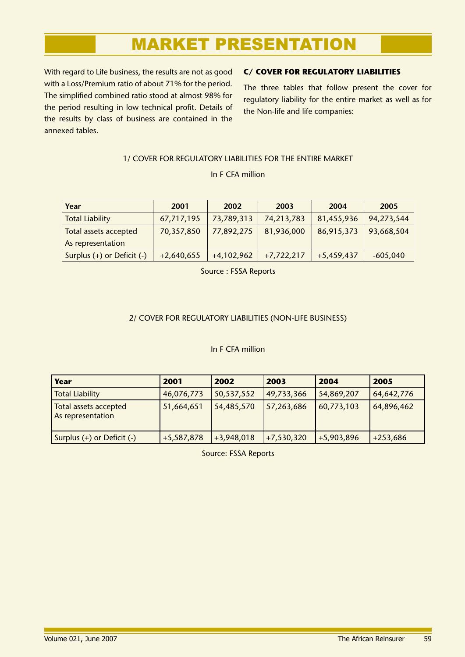With regard to Life business, the results are not as good with a Loss/Premium ratio of about 71% for the period. The simplified combined ratio stood at almost 98% for the period resulting in low technical profit. Details of the results by class of business are contained in the annexed tables.

### **C/ COVER FOR REGULATORY LIABILITIES**

The three tables that follow present the cover for regulatory liability for the entire market as well as for the Non-life and life companies:

### 1/ COVER FOR REGULATORY LIABILITIES FOR THE ENTIRE MARKET

In F CFA million

| Year                       | 2001         | 2002         | 2003         | 2004         | 2005       |
|----------------------------|--------------|--------------|--------------|--------------|------------|
| <b>Total Liability</b>     | 67,717,195   | 73,789,313   | 74,213,783   | 81,455,936   | 94,273,544 |
| Total assets accepted      | 70,357,850   | 77,892,275   | 81,936,000   | 86,915,373   | 93,668,504 |
| As representation          |              |              |              |              |            |
| Surplus (+) or Deficit (-) | $+2,640,655$ | $+4,102,962$ | $+7,722,217$ | $+5,459,437$ | $-605,040$ |

Source : FSSA Reports

### 2/ COVER FOR REGULATORY LIABILITIES (NON-LIFE BUSINESS)

### In F CFA million

| Year                                       | 2001         | 2002         | 2003         | 2004         | 2005       |
|--------------------------------------------|--------------|--------------|--------------|--------------|------------|
| <b>Total Liability</b>                     | 46,076,773   | 50,537,552   | 49,733,366   | 54,869,207   | 64,642,776 |
| Total assets accepted<br>As representation | 51,664,651   | 54,485,570   | 57,263,686   | 60,773,103   | 64,896,462 |
| Surplus (+) or Deficit (-)                 | $+5,587,878$ | $+3,948,018$ | $+7,530,320$ | $+5,903,896$ | $+253,686$ |

Source: FSSA Reports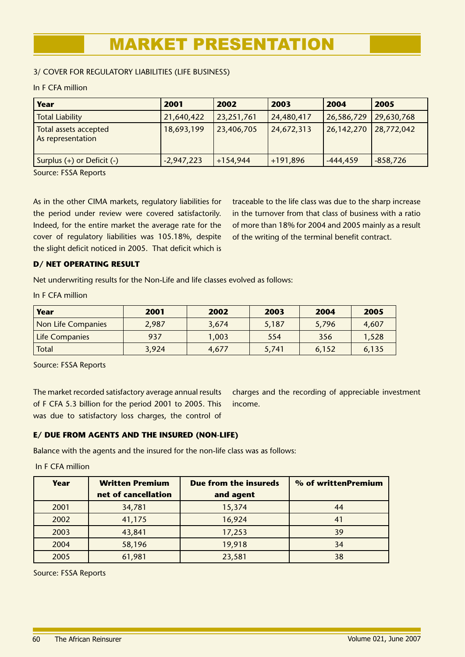### 3/ COVER FOR REGULATORY LIABILITIES (LIFE BUSINESS)

### In F CFA million

| Year                                       | 2001         | 2002       | 2003       | 2004       | 2005       |
|--------------------------------------------|--------------|------------|------------|------------|------------|
| <b>Total Liability</b>                     | 21,640,422   | 23,251,761 | 24,480,417 | 26,586,729 | 29,630,768 |
| Total assets accepted<br>As representation | 18,693,199   | 23,406,705 | 24,672,313 | 26,142,270 | 28,772,042 |
| Surplus $(+)$ or Deficit $(-)$             | $-2,947,223$ | $+154,944$ | $+191,896$ | -444,459   | $-858,726$ |

Source: FSSA Reports

As in the other CIMA markets, regulatory liabilities for the period under review were covered satisfactorily. Indeed, for the entire market the average rate for the cover of regulatory liabilities was 105.18%, despite the slight deficit noticed in 2005. That deficit which is traceable to the life class was due to the sharp increase in the turnover from that class of business with a ratio of more than 18% for 2004 and 2005 mainly as a result of the writing of the terminal benefit contract.

### **D/ NET OPERATING RESULT**

Net underwriting results for the Non-Life and life classes evolved as follows:

In F CFA million

| Year                      | 2001  | 2002  | 2003  | 2004  | 2005  |
|---------------------------|-------|-------|-------|-------|-------|
| <b>Non Life Companies</b> | 2.987 | 3,674 | 5,187 | 5,796 | 4.607 |
| Life Companies            | 937   | 1,003 | 554   | 356   | 1,528 |
| Total                     | 3,924 | 4,677 | 5,741 | 6,152 | 6,135 |

Source: FSSA Reports

The market recorded satisfactory average annual results of F CFA 5.3 billion for the period 2001 to 2005. This was due to satisfactory loss charges, the control of charges and the recording of appreciable investment income.

### **E/ DUE FROM AGENTS AND THE INSURED (NON-LIFE)**

Balance with the agents and the insured for the non-life class was as follows:

In F CFA million

| Year | <b>Written Premium</b> | Due from the insureds | % of writtenPremium |
|------|------------------------|-----------------------|---------------------|
|      | net of cancellation    | and agent             |                     |
| 2001 | 34,781                 | 15,374                | 44                  |
| 2002 | 41,175                 | 16,924                | 41                  |
| 2003 | 43,841                 | 17,253                | 39                  |
| 2004 | 58,196                 | 19,918                | 34                  |
| 2005 | 61,981                 | 23,581                | 38                  |

Source: FSSA Reports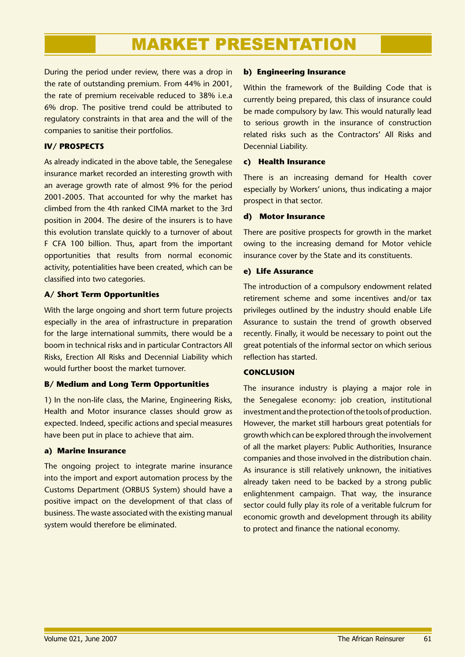During the period under review, there was a drop in the rate of outstanding premium. From 44% in 2001, the rate of premium receivable reduced to 38% i.e.a 6% drop. The positive trend could be attributed to regulatory constraints in that area and the will of the companies to sanitise their portfolios.

### **IV/ PROSPECTS**

As already indicated in the above table, the Senegalese insurance market recorded an interesting growth with an average growth rate of almost 9% for the period 2001-2005. That accounted for why the market has climbed from the 4th ranked CIMA market to the 3rd position in 2004. The desire of the insurers is to have this evolution translate quickly to a turnover of about F CFA 100 billion. Thus, apart from the important opportunities that results from normal economic activity, potentialities have been created, which can be classified into two categories.

### **A/ Short Term Opportunities**

With the large ongoing and short term future projects especially in the area of infrastructure in preparation for the large international summits, there would be a boom in technical risks and in particular Contractors All Risks, Erection All Risks and Decennial Liability which would further boost the market turnover.

### **B/ Medium and Long Term Opportunities**

1) In the non-life class, the Marine, Engineering Risks, Health and Motor insurance classes should grow as expected. Indeed, specific actions and special measures have been put in place to achieve that aim.

### **a) Marine Insurance**

The ongoing project to integrate marine insurance into the import and export automation process by the Customs Department (ORBUS System) should have a positive impact on the development of that class of business. The waste associated with the existing manual system would therefore be eliminated.

### **b) Engineering Insurance**

Within the framework of the Building Code that is currently being prepared, this class of insurance could be made compulsory by law. This would naturally lead to serious growth in the insurance of construction related risks such as the Contractors' All Risks and Decennial Liability.

### **c) Health Insurance**

There is an increasing demand for Health cover especially by Workers' unions, thus indicating a major prospect in that sector.

### **d) Motor Insurance**

There are positive prospects for growth in the market owing to the increasing demand for Motor vehicle insurance cover by the State and its constituents.

### **e) Life Assurance**

The introduction of a compulsory endowment related retirement scheme and some incentives and/or tax privileges outlined by the industry should enable Life Assurance to sustain the trend of growth observed recently. Finally, it would be necessary to point out the great potentials of the informal sector on which serious reflection has started.

### **CONCLUSION**

The insurance industry is playing a major role in the Senegalese economy: job creation, institutional investment and the protection of the tools of production. However, the market still harbours great potentials for growth which can be explored through the involvement of all the market players: Public Authorities, Insurance companies and those involved in the distribution chain. As insurance is still relatively unknown, the initiatives already taken need to be backed by a strong public enlightenment campaign. That way, the insurance sector could fully play its role of a veritable fulcrum for economic growth and development through its ability to protect and finance the national economy.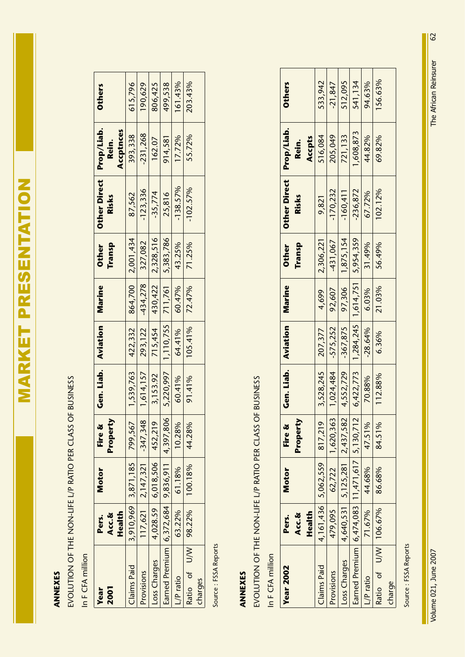# **ANNEXES ANNEXES**

EVOLUTION OF THE NON-LIFE L/P RATIO PER CLASS OF BUSINESS EVOLUTION OF THE NON-LIFE L/P RATIO PER CLASS OF BUSINESS

In F CFA million In F CFA million

| 2001<br><b>Year</b>                                      | Health<br>Acc.&<br>Pers. | Motor                        | Property<br>Fire & | Gen. Liab.   Aviation   Marine |                                               |                   | Transp<br><b>Other</b> | Other Direct   Prop/Liab.<br>Risks | Accptnces<br>Rein. | <b>Others</b> |
|----------------------------------------------------------|--------------------------|------------------------------|--------------------|--------------------------------|-----------------------------------------------|-------------------|------------------------|------------------------------------|--------------------|---------------|
| Claims Paid                                              |                          | 3,910,969 3,871,185 799,567  |                    | 1,539,763                      | 422,332                                       | 864,700 2,001,434 |                        | 87,562                             | 393,338            | 615,796       |
| <b>Provisions</b>                                        |                          | $117,621$   2,147,321        | $-347,348$         |                                | $1,614,157$ 293,122 434,278 327,082           |                   |                        | $-123,336$                         | $-231,268$         | 190,629       |
| Loss Charges                                             |                          | $4,028.59$ 6,018,506 452,219 |                    | 3,153.92                       | 715,454 430,422 2,328,516                     |                   |                        | $-35,774$                          | 162.07             | 806,425       |
| Earned Premium $ $ 6,372,684 $ $ 9,836,911 $ $ 4,397,806 |                          |                              |                    |                                | $5,220,997$   1,110,755   711,761   5,383,786 |                   |                        | 25,816                             | 914,581            | 499,538       |
| L/P ratio                                                |                          | 63.22% 61.18%                | 10.28%             | 60.41%                         | 64.41%                                        | 60.47%            | 43.25%                 | $-138.57%$                         | 17.72%             | 161.43%       |
| Ratio of U/W 98.22%                                      |                          | 100.18%                      | 44.28%             | 91.41%                         |                                               | $105.41\%$ 72.47% | 71.25%                 | $-102.57%$                         | 55.72%             | 203.43%       |
| charges                                                  |                          |                              |                    |                                |                                               |                   |                        |                                    |                    |               |

Source: FSSA Reports Source : FSSA Reports

# ANNEXES **ANNEXES**

EVOLUTION OF THE NON-LIFE L/P RATIO PER CLASS OF BUSINESS EVOLUTION OF THE NON-LIFE L/P RATIO PER CLASS OF BUSINESS

In F CFA million In F CFA million

| <b>Others</b>                       | 533,942                         | $-21,847$                | 512,095                             | 541,134                                         | 94.63%    | 156.63%              |        |
|-------------------------------------|---------------------------------|--------------------------|-------------------------------------|-------------------------------------------------|-----------|----------------------|--------|
| Accpts<br>Rein.                     | 516,084                         | 205,049                  | 721,133                             | 1,608,873                                       | 44.82%    | 69.82%               |        |
| Other Direct Prop/Liab.<br>Risks    | 9,821                           | $-170,232$               | $-160,411$                          | $-236,872$                                      | 67.72%    | 102.12%              |        |
| <b>Other</b><br><b>Transp</b>       | 2,306,221                       | $-431,067$               | 1,875,154                           |                                                 | 31.49%    | 56.49%               |        |
| <b>Marine</b>                       | 4,699                           | 92,607                   | 97,306                              |                                                 | 6.03%     | 21.03%               |        |
|                                     | 207,377                         | $-575,252$               | $-367,875$                          | $6,422,773$   1,284,245   1,614,751   5,954,359 | $-28.64%$ | 6.36%                |        |
| Gen. Liab.   Aviation               | 3,528,245                       | 1,024,484                | 4,552,729                           |                                                 | 70.88%    | 112.88%              |        |
| Property<br>Fire &                  |                                 |                          |                                     |                                                 | 47.51%    | 84.51%               |        |
| Motor                               | $4,161,436$ $5,062,559$ 817,219 | 479,095 62,722 1,620,363 | $4,640,531$ 5, 125, 281 2, 437, 582 |                                                 | 44.68%    | 86.68%               |        |
| Health<br><b>Acc.&amp;</b><br>Pers. |                                 |                          |                                     |                                                 | 71.67%    |                      |        |
| <b>Year 2002</b>                    | Claims Paid                     | <b>Provisions</b>        | Loss Charges                        | Earned Premium 6,474,083 11,471,617 5,130,712   | L/P ratio | Ratio of U/W 106.67% | charge |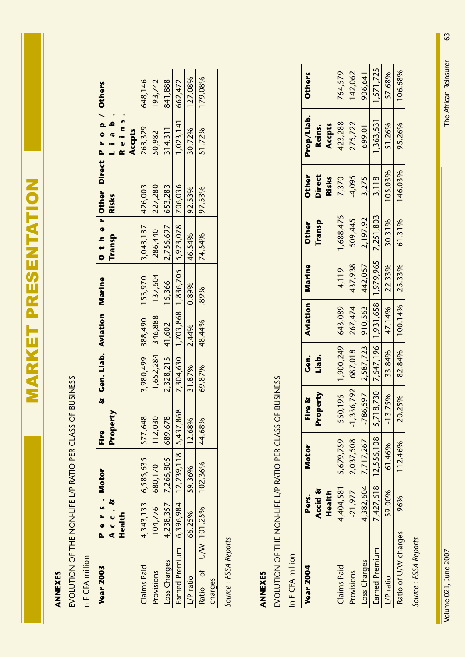# **ANNEXES ANNEXES**

EVOLUTION OF THE NON-LIFE L/P RATIO PER CLASS OF BUSINESS EVOLUTION OF THE NON-LIFE L/P RATIO PER CLASS OF BUSINESS

n F CFA million n F CFA million

| <b>Year 2003</b> | Pers. Motor      |                                       | Fire                                          | & Gen. Liab. Aviation Marine |               |                                                         | O ther Other Direct Prop/Others |                     |         |
|------------------|------------------|---------------------------------------|-----------------------------------------------|------------------------------|---------------|---------------------------------------------------------|---------------------------------|---------------------|---------|
|                  | Acc.St<br>Health |                                       | Property                                      |                              |               | Transp                                                  | Risks                           | Reins.<br>lia b     |         |
|                  |                  |                                       |                                               |                              |               |                                                         |                                 | Accpts              |         |
| Claims Paid      |                  | 4, 343, 133 6, 585, 635 577, 648      |                                               |                              |               | 3,980,499 388,490 153,970 3,043,137 426,003             |                                 | 263,329             | 648,146 |
|                  |                  | $-104,776$ 680,170 112,030            |                                               |                              |               | $-1,652,284$ $-346,888$ $-137,604$ $-286,440$ 227,280   |                                 | 50,982              | 193,742 |
| Loss Charges     |                  | 4,238,357 7,265,805 689,678           |                                               |                              |               | $2,328,215$ 41,602 16,366 2,756,697 653,283             |                                 | 314,311             | 841,888 |
|                  |                  |                                       | Earned Premium 6,396,984 12,239,118 5,437,868 |                              |               | 7,304,630   1,703,868   1,836,705   5,923,078   706,036 |                                 | $1,023,141$ 662,472 |         |
|                  | 66.25%           | 59.36%                                | 12.68%                                        | $31.87%$   2.44%   0.89%     |               | 46.54%                                                  | 92.53%                          | 30.72%              | 127.08% |
|                  |                  | Ratio of U/W 101.25% 102.36%   44.68% |                                               | 69.87%                       | 48.44%   .89% | 74.54%                                                  | 97.53%                          | 51.72%              | 179.08% |
|                  |                  |                                       |                                               |                              |               |                                                         |                                 |                     |         |

Source: FSSA Reports *Source : FSSA Reports*

# **ANNEXES ANNEXES**

# EVOLUTION OF THE NON-LIFE L/P RATIO PER CLASS OF BUSINESS EVOLUTION OF THE NON-LIFE L/P RATIO PER CLASS OF BUSINESS

In F CFA million In F CFA million

| <b>Year 2004</b>     | Accid &<br>Health<br>Pers. | Motor                                                                              | Property<br>Fire &                              | ູ່<br>ເອີ<br>Liab.              | <b>Aviation Marine</b>    |       | Transp<br><b>Other</b> | <b>Other</b><br><b>Direct</b><br>Risks | Prop/Liab.<br>Accpts<br>Reins. | <b>Others</b> |
|----------------------|----------------------------|------------------------------------------------------------------------------------|-------------------------------------------------|---------------------------------|---------------------------|-------|------------------------|----------------------------------------|--------------------------------|---------------|
| Claims Paid          |                            | $4,404,581$ 5,679,759                                                              |                                                 | $550,195$   1,900,249   643,089 |                           | 4,119 | 1,688,475              | 7,370                                  | 423,288                        | 764,579       |
| Provisions           | $-21,977$                  | 2,037,508                                                                          | $-1,336,792$ 687,018 267,474 437,938            |                                 |                           |       | 509,445                | $-4,095$                               | 275,722                        | 142,062       |
| Loss Charges         |                            | $4,382,604$ 7,717,267                                                              | $-786,597$ $2,587,723$ 910,563 442,057 2,197.92 |                                 |                           |       |                        | 3,275                                  | 699.01                         | 906,641       |
| Earned Premium       |                            | 7,427,618   12,556,108   5,718,730   7,647,196   1,931,658   1,979,965   7,251,803 |                                                 |                                 |                           |       |                        | 3,118                                  | $1,363,531$   $1,571,725$      |               |
| L/P ratio            | 59.00%                     | 61.46%                                                                             | 3.75%                                           |                                 | 33.84%   47.14%   22.33%  |       | 30.31%                 | 105.03%                                | 51.26%                         | 57.68%        |
| Ratio of U/W charges | 96%                        | 112.46%                                                                            | .25%<br>$\approx$                               |                                 | 82.84%   100.14%   25.33% |       | 61.31%                 | 146.03%                                | 95.26%                         | 106.68%       |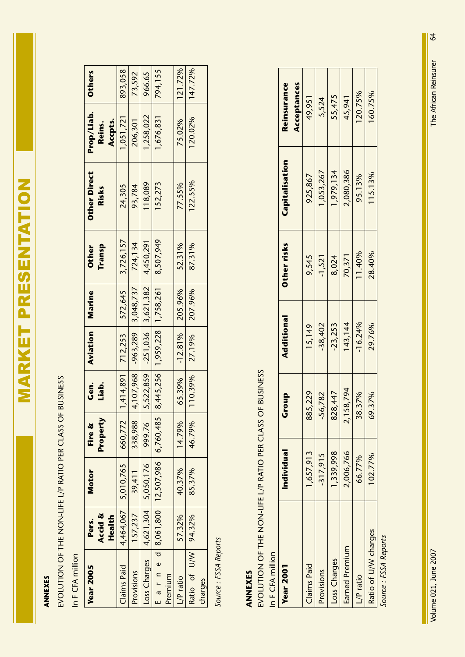# **ANNEXES ANNEXES**

EVOLUTION OF THE NON-LIFE L/P RATIO PER CLASS OF BUSINESS EVOLUTION OF THE NON-LIFE L/P RATIO PER CLASS OF BUSINESS

In F CFA million In F CFA million

| <b>Year 2005</b>                                         | Pers.             | <b>Motor</b>                | Fire &   | ن<br>وی | Aviation                         | Marine                                  | <b>Other</b>                          | <b>Other Direct</b> | Prop/Liab.        | <b>Others</b> |
|----------------------------------------------------------|-------------------|-----------------------------|----------|---------|----------------------------------|-----------------------------------------|---------------------------------------|---------------------|-------------------|---------------|
|                                                          | Accid &<br>Health |                             | Property | Liab.   |                                  |                                         | Transp                                | Risks               | Accpts.<br>Reins. |               |
| <b>Claims Paid</b>                                       |                   | 4,464,067 5,010,765 660,772 |          |         |                                  |                                         | $1,414,891$ 712,253 572,645 3,726,157 | 24,305              | 1,051,721         | 893,058       |
| Provisions                                               | 157,237           | 39,411                      | 338,988  |         | $4,107,968$ $-963,289$ 3,048,737 |                                         | 724,134                               | 93,784              | 206,301           | 73,592        |
| $\lfloor \cos \text{Chages} \rfloor$ 4,621,304 5,050,176 |                   |                             | 999.76   |         |                                  | 5,522,859 -251,036 3,621,382 4,450,291  |                                       | 118,089             | 1,258,022         | 966.65        |
| E a r n e d 8,061,800   12,507,986   6,760,485           |                   |                             |          |         |                                  | 8,445,256 1,959,228 1,758,261 8,507,949 |                                       | 152,273             | 1,676,831         | 794,155       |
| Premium                                                  |                   |                             |          |         |                                  |                                         |                                       |                     |                   |               |
| /Pratio                                                  | 57.32%            | 40.37%                      | 14.79%   | 65.39%  | $-12.81\%$ 205.96%               |                                         | 52.31%                                | 77.55%              | 75.02%            | 121.72%       |
| Ratio of U/W 94.32%                                      |                   | 85.37%                      | 46.79%   |         | $110.39\%$ 27.19% 207.96%        |                                         | 87.31%                                | 122.55%             | 120.02%           | 147.72%       |
| charges                                                  |                   |                             |          |         |                                  |                                         |                                       |                     |                   |               |

Source: FSSA Reports *Source : FSSA Reports*

# ANNEXES **ANNEXES**

EVOLUTION OF THE NON-LIFE L/P RATIO PER CLASS OF BUSINESS EVOLUTION OF THE NON-LIFE L/P RATIO PER CLASS OF BUSINESS

In F CFA million In F CFA million

| <b>Year 2001</b>                   | <b>Individual</b> | Group     | Additional | Other risks | Capitalisation | Reinsurance |
|------------------------------------|-------------------|-----------|------------|-------------|----------------|-------------|
|                                    |                   |           |            |             |                | Acceptances |
| Claims Paid                        | 1,657,913         | 385,229   | 15,149     | 9,545       | 925,867        | 49,951      |
| Provisions                         | $-317,915$        | -56,782   | $-38,402$  | $-1,521$    | 1,053,267      | 5,524       |
| Loss Charges                       | 1,339,998         | 328,447   | $-23,253$  | 8,024       | 1,979,134      | 55,475      |
| Earned Premium                     | 2,006,766         | 2,158,794 | 143, 144   | 70,371      | 2,080,386      | 45,941      |
| L/P ratio                          | 66.77%            | 38.37%    | $-16.24%$  | 11.40%      | 95.13%         | 120.75%     |
| Ratio of U/W charges               | 102.77%           | 69.37%    | 29.76%     | 28.40%      | 115.13%        | 160.75%     |
| $C_1, \ldots, C_n \in \mathcal{A}$ |                   |           |            |             |                |             |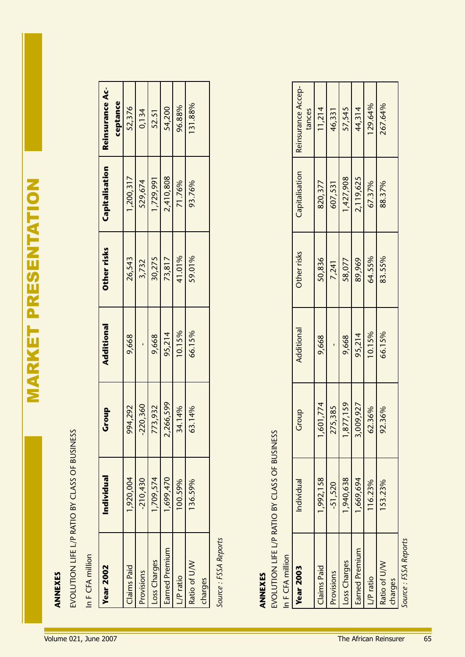| <b>Year 2002</b> | Individual | Group     | Additional | Other risks | Capitalisation | Reinsurance Ac- |
|------------------|------------|-----------|------------|-------------|----------------|-----------------|
|                  |            |           |            |             |                | ceptance        |
| Claims Paid      | 920,004    | 94,292    | 9,668      | 26,543      | 1,200,317      | 52,376          |
| Provisions       | $-210,430$ | 220,360   |            | 3,732       | 529,674        | 0,134           |
| Loss Charges     | 1,709,574  | 73,932    | 9,668      | 30,275      | 1,729,991      | 52.51           |
| Earned Premium   | 1,699,470  | 2,266,599 | 95,214     | 73,817      | 2,410,808      | 54,200          |
| P ratio          | 100.59%    | 4.14%     | 10.15%     | 41.01%      | 71.76%         | 96.88%          |
| Ratio of U/W     | 136.59%    | 3.14%     | 66.15%     | 59.01%      | 93.76%         | 131.88%         |
| charges          |            |           |            |             |                |                 |

| <b>Year 2002</b>                                                                      | Individual | Group      | Additional | Other risks | Capitalisation | Reinsurance Ac-              |
|---------------------------------------------------------------------------------------|------------|------------|------------|-------------|----------------|------------------------------|
|                                                                                       |            |            |            |             |                | ceptance                     |
| Claims Paid                                                                           | 1,920,004  | 994,292    | 9,668      | 26,543      | 1,200,317      | 52,376                       |
| Provisions                                                                            | $-210,430$ | $-220,360$ |            | 3,732       | 529,674        | 0,134                        |
| Loss Charges                                                                          | 1,709,574  | 773,932    | 9,668      | 30,275      | 1,729,991      | 52.51                        |
| Earned Premium                                                                        | 1,699,470  | 2,266,599  | 95,214     | 73,817      | 2,410,808      | 54,200                       |
| L/P ratio                                                                             | 100.59%    | 34.14%     | 10.15%     | 41.01%      | 71.76%         | 96.88%                       |
| Ratio of U/W                                                                          | 136.59%    | 63.14%     | 66.15%     | 59.01%      | 93.76%         | 131.88%                      |
| charges                                                                               |            |            |            |             |                |                              |
| EVOLUTION LIFE L/P RATIO BY CLASS OF BUSINESS<br>In F CFA million<br><b>Year 2003</b> | Individual | Group      | Additional | Other risks | Capitalisation | Reinsurance Accep-<br>tances |
| Claims Paid                                                                           | 1,992,158  | 1,601,774  | 9,668      | 50,836      | 820,377        | 11,214                       |
| Provisions                                                                            | $-51,520$  | 275,385    |            | 7,241       | 607,531        | 46,331                       |
| Loss Charges                                                                          | 1,940,638  | 1,877,159  | 9,668      | 58,077      | 1,427,908      | 57,545                       |
| Earned Premium                                                                        | 1,669,694  | 3,009,927  | 95,214     | 89,969      | 2,119,625      | 44,314                       |
| L/P ratio                                                                             | 116.23%    | 62.36%     | 10.15%     | 64.55%      | 67.37%         | 129.64%                      |
| Ratio of U/W<br>charges                                                               | 153.23%    | 92.36%     | 66.15%     | 83.55%      | 88.37%         | 267.64%                      |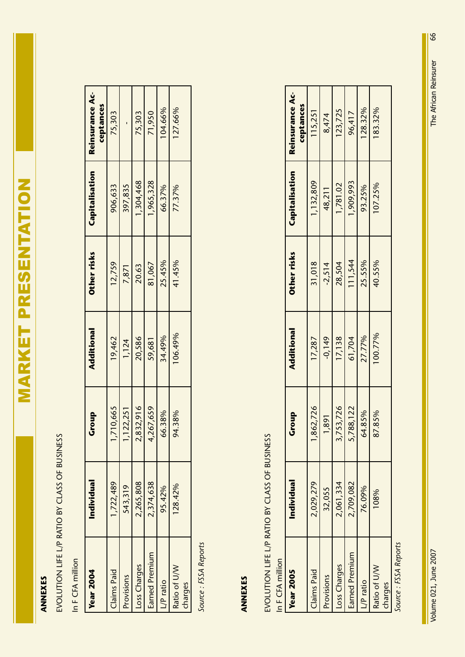# **ANNEXES ANNEXES**

EVOLUTION LIFE L/P RATIO BY CLASS OF BUSINESS EVOLUTION LIFE L/P RATIO BY CLASS OF BUSINESS

In F CFA million In F CFA million

| <b>Year 2004</b> | Individual | Group   | <b>Additional</b> | Other risks | Capitalisation | <b>Reinsurance Ac-</b><br>ceptances |
|------------------|------------|---------|-------------------|-------------|----------------|-------------------------------------|
| Claims Paid      | 1,722,489  | 710,665 | 19,462            | 12,759      | 906,633        | 75,303                              |
| Provisions       | 543,319    | 122,251 | 1,124             | 7,871       | 397,835        |                                     |
| Loss Charges     | 2,265,808  | 832,916 | 20,586            | 20.63       | 1,304,468      | 75,303                              |
| Earned Premium   | 2,374,638  | 267,659 | 59,681            | 81,067      | 1,965,328      | 71,950                              |
| L/P ratio        | 95.42%     | 6.38%   | 34.49%            | 25.45%      | 66.37%         | 04.66%                              |
| Ratio of U/W     | 128.42%    | 94.38%  | 106.49%           | 41.45%      | 77.37%         | 127.66%                             |
| charges          |            |         |                   |             |                |                                     |

Source: FSSA Reports *Source : FSSA Reports*

# **ANNEXES ANNEXES**

# EVOLUTION LIFE L/P RATIO BY CLASS OF BUSINESS EVOLUTION LIFE L/P RATIO BY CLASS OF BUSINESS

In F CFA million In F CFA million

| <b>Reinsurance Ac-</b><br>ceptances | 115,251     | 8,474      | 123,725      | 96,417         | 128.32%   | 183.32%      |         |
|-------------------------------------|-------------|------------|--------------|----------------|-----------|--------------|---------|
| Capitalisation                      | 1,132,809   | 48,211     | 1,781.02     | ,909,993       | 93.25%    | 107.25%      |         |
| Other risks                         | 31,018      | $-2,514$   | 28,504       | 111,544        | 25.55%    | 40.55%       |         |
| Additional                          | 17,287      | $-0,149$   | 17,138       | 61,704         | 27.77%    | 100.77%      |         |
| Group                               | 862,726     | 1,891      | 753,726      | 788,122        | 4.85%     | 87.85%       |         |
| Individual                          | 2,029,279   | 32,055     | 2,061,334    | 2,709,082      | 76.09%    | 108%         |         |
| <b>Year 2005</b>                    | Claims Paid | Provisions | Loss Charges | Earned Premium | L/P ratio | Ratio of U/W | charges |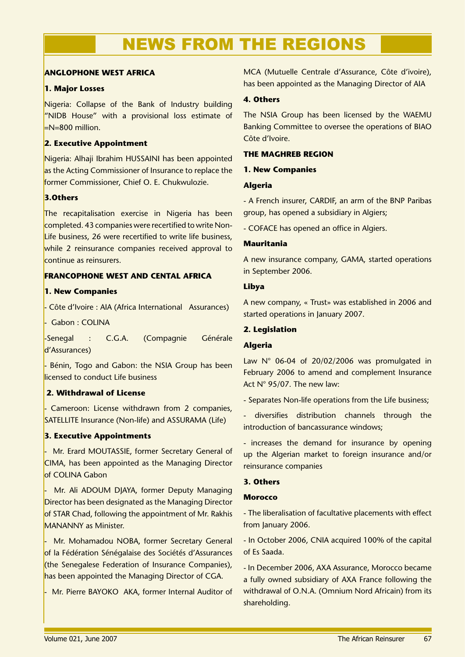# NEWS FROM THE REGIONS

### **ANGLOPHONE WEST AFRICA**

### **1. Major Losses**

Nigeria: Collapse of the Bank of Industry building "NIDB House" with a provisional loss estimate of  $=N=800$  million.

### **2. Executive Appointment**

Nigeria: Alhaji Ibrahim HUSSAINI has been appointed as the Acting Commissioner of Insurance to replace the former Commissioner, Chief O. E. Chukwulozie.

### **3.Others**

The recapitalisation exercise in Nigeria has been completed. 43 companies were recertified to write Non-Life business, 26 were recertified to write life business, while 2 reinsurance companies received approval to continue as reinsurers.

### **FRANCOPHONE WEST AND CENTAL AFRICA**

### **1. New Companies**

- Côte d'Ivoire : AIA (Africa International Assurances)

- Gabon : COLINA

-Senegal : C.G.A. (Compagnie Générale d'Assurances)

Bénin, Togo and Gabon: the NSIA Group has been licensed to conduct Life business

### **2. Withdrawal of License**

Cameroon: License withdrawn from 2 companies, SATELLITE Insurance (Non-life) and ASSURAMA (Life)

### **3. Executive Appointments**

Mr. Erard MOUTASSIE, former Secretary General of CIMA, has been appointed as the Managing Director of COLINA Gabon

Mr. Ali ADOUM DJAYA, former Deputy Managing Director has been designated as the Managing Director of STAR Chad, following the appointment of Mr. Rakhis MANANNY as Minister.

Mr. Mohamadou NOBA, former Secretary General of la Fédération Sénégalaise des Sociétés d'Assurances (the Senegalese Federation of Insurance Companies), has been appointed the Managing Director of CGA.

- Mr. Pierre BAYOKO AKA, former Internal Auditor of

MCA (Mutuelle Centrale d'Assurance, Côte d'ivoire), has been appointed as the Managing Director of AIA

### **4. Others**

The NSIA Group has been licensed by the WAEMU Banking Committee to oversee the operations of BIAO Côte d'Ivoire.

### **THE MAGHREB REGION**

### **1. New Companies**

### **Algeria**

- A French insurer, CARDIF, an arm of the BNP Paribas group, has opened a subsidiary in Algiers;

- COFACE has opened an office in Algiers.

### **Mauritania**

A new insurance company, GAMA, started operations in September 2006.

### **Libya**

A new company, « Trust» was established in 2006 and started operations in January 2007.

### **2. Legislation**

### **Algeria**

Law N° 06-04 of 20/02/2006 was promulgated in February 2006 to amend and complement Insurance Act N° 95/07. The new law:

- Separates Non-life operations from the Life business;

- diversifies distribution channels through the introduction of bancassurance windows;

- increases the demand for insurance by opening up the Algerian market to foreign insurance and/or reinsurance companies

### **3. Others**

### **Morocco**

- The liberalisation of facultative placements with effect from January 2006.

- In October 2006, CNIA acquired 100% of the capital of Es Saada.

- In December 2006, AXA Assurance, Morocco became a fully owned subsidiary of AXA France following the withdrawal of O.N.A. (Omnium Nord Africain) from its shareholding.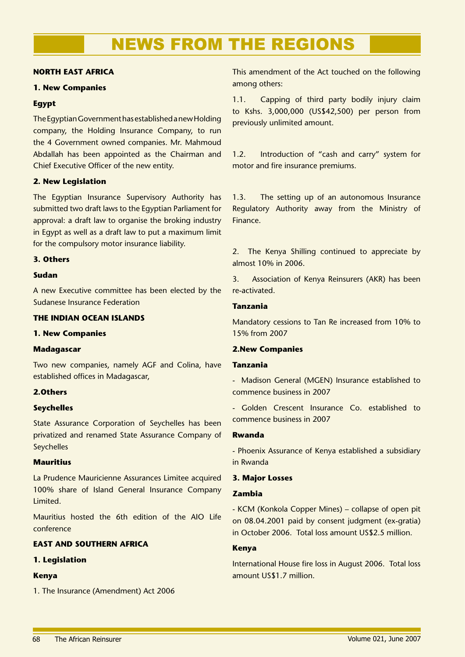# NEWS FROM THE REGIONS

### **NORTH EAST AFRICA**

### **1. New Companies**

### **Egypt**

The Egyptian Government has established a new Holding company, the Holding Insurance Company, to run the 4 Government owned companies. Mr. Mahmoud Abdallah has been appointed as the Chairman and Chief Executive Officer of the new entity.

### **2. New Legislation**

The Egyptian Insurance Supervisory Authority has submitted two draft laws to the Egyptian Parliament for approval: a draft law to organise the broking industry in Egypt as well as a draft law to put a maximum limit for the compulsory motor insurance liability.

### **3. Others**

### **Sudan**

A new Executive committee has been elected by the Sudanese Insurance Federation

### **THE INDIAN OCEAN ISLANDS**

### **1. New Companies**

### **Madagascar**

Two new companies, namely AGF and Colina, have established offices in Madagascar,

### **2.Others**

### **Seychelles**

State Assurance Corporation of Seychelles has been privatized and renamed State Assurance Company of **Sevchelles** 

### **Mauritius**

La Prudence Mauricienne Assurances Limitee acquired 100% share of Island General Insurance Company Limited.

Mauritius hosted the 6th edition of the AIO Life conference

### **EAST AND SOUTHERN AFRICA**

### **1. Legislation**

### **Kenya**

1. The Insurance (Amendment) Act 2006

This amendment of the Act touched on the following among others:

1.1. Capping of third party bodily injury claim to Kshs. 3,000,000 (US\$42,500) per person from previously unlimited amount.

1.2. Introduction of "cash and carry" system for motor and fire insurance premiums.

1.3. The setting up of an autonomous Insurance Regulatory Authority away from the Ministry of Finance.

2. The Kenya Shilling continued to appreciate by almost 10% in 2006.

3. Association of Kenya Reinsurers (AKR) has been re-activated.

### **Tanzania**

Mandatory cessions to Tan Re increased from 10% to 15% from 2007

### **2.New Companies**

### **Tanzania**

- Madison General (MGEN) Insurance established to commence business in 2007

- Golden Crescent Insurance Co. established to commence business in 2007

### **Rwanda**

- Phoenix Assurance of Kenya established a subsidiary in Rwanda

### **3. Major Losses**

### **Zambia**

- KCM (Konkola Copper Mines) – collapse of open pit on 08.04.2001 paid by consent judgment (ex-gratia) in October 2006. Total loss amount US\$2.5 million.

### **Kenya**

International House fire loss in August 2006. Total loss amount US\$1.7 million.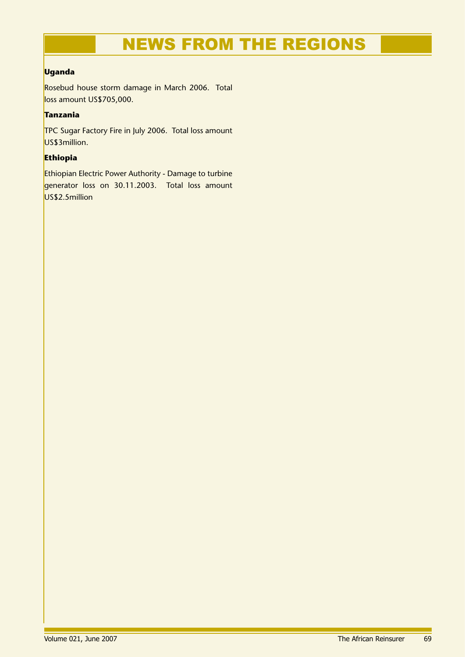# NEWS FROM THE REGIONS

### **Uganda**

Rosebud house storm damage in March 2006. Total loss amount US\$705,000.

### **Tanzania**

TPC Sugar Factory Fire in July 2006. Total loss amount US\$3million.

### **Ethiopia**

Ethiopian Electric Power Authority - Damage to turbine generator loss on 30.11.2003. Total loss amount US\$2.5million